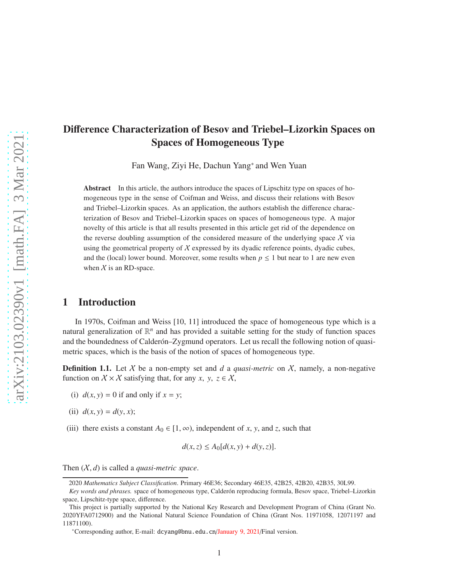# Difference Characterization of Besov and Triebel–Lizorkin Spaces on Spaces of Homogeneous Type

Fan Wang, Ziyi He, Dachun Yang\* and Wen Yuan

Abstract In this article, the authors introduce the spaces of Lipschitz type on spaces of homogeneous type in the sense of Coifman and Weiss, and discuss their relations with Besov and Triebel–Lizorkin spaces. As an application, the authors establish the difference characterization of Besov and Triebel–Lizorkin spaces on spaces of homogeneous type. A major novelty of this article is that all results presented in this article get rid of the dependence on the reverse doubling assumption of the considered measure of the underlying space  $X$  via using the geometrical property of  $X$  expressed by its dyadic reference points, dyadic cubes, and the (local) lower bound. Moreover, some results when  $p \leq 1$  but near to 1 are new even when  $X$  is an RD-space.

### 1 Introduction

In 1970s, Coifman and Weiss [10, 11] introduced the space of homogeneous type which is a natural generalization of  $\mathbb{R}^n$  and has provided a suitable setting for the study of function spaces and the boundedness of Calder *ón*–Zygmund operators. Let us recall the following notion of quasimetric spaces, which is the basis of the notion of spaces of homogeneous type.

**Definition 1.1.** Let X be a non-empty set and d a *quasi-metric* on X, namely, a non-negative function on  $X \times X$  satisfying that, for any *x*, *y*,  $z \in X$ ,

- (i)  $d(x, y) = 0$  if and only if  $x = y$ ;
- (ii)  $d(x, y) = d(y, x);$
- (iii) there exists a constant  $A_0 \in [1, \infty)$ , independent of *x*, *y*, and *z*, such that

$$
d(x, z) \le A_0[d(x, y) + d(y, z)].
$$

Then (X, *d*) is called a *quasi-metric space*.

<sup>2020</sup> *Mathematics Subject Classification*. Primary 46E36; Secondary 46E35, 42B25, 42B20, 42B35, 30L99.

*Key words and phrases.* space of homogeneous type, Calderón reproducing formula, Besov space, Triebel–Lizorkin space, Lipschitz-type space, difference.

This project is partially supported by the National Key Research and Development Program of China (Grant No. 2020YFA0712900) and the National Natural Science Foundation of China (Grant Nos. 11971058, 12071197 and 11871100).

<sup>\*</sup>Corresponding author, E-mail: dcyang@bnu.edu.cn/January 9, 2021/Final version.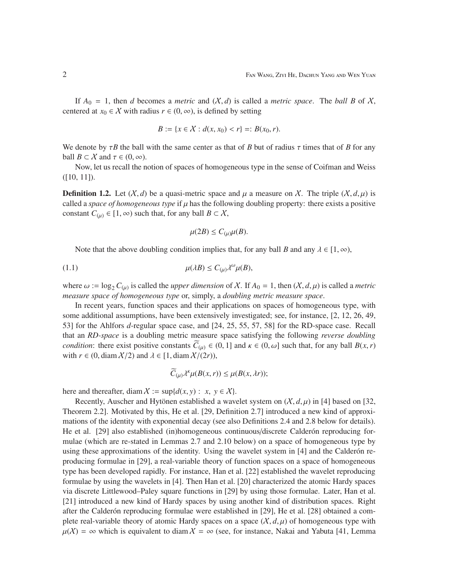If  $A_0 = 1$ , then *d* becomes a *metric* and  $(X, d)$  is called a *metric space*. The *ball B* of X, centered at  $x_0 \in \mathcal{X}$  with radius  $r \in (0, \infty)$ , is defined by setting

$$
B := \{x \in \mathcal{X} : d(x, x_0) < r\} =: B(x_0, r).
$$

We denote by  $\tau B$  the ball with the same center as that of *B* but of radius  $\tau$  times that of *B* for any ball  $B \subset \mathcal{X}$  and  $\tau \in (0, \infty)$ .

Now, let us recall the notion of spaces of homogeneous type in the sense of Coifman and Weiss  $([10, 11]).$ 

**Definition 1.2.** Let  $(X, d)$  be a quasi-metric space and  $\mu$  a measure on X. The triple  $(X, d, \mu)$  is called a *space of homogeneous type* if  $\mu$  has the following doubling property: there exists a positive constant  $C_{(\mu)} \in [1, \infty)$  such that, for any ball  $B \subset \mathcal{X}$ ,

$$
\mu(2B) \le C_{(\mu)}\mu(B).
$$

Note that the above doubling condition implies that, for any ball *B* and any  $\lambda \in [1, \infty)$ ,

(1.1) 
$$
\mu(\lambda B) \leq C_{(\mu)} \lambda^{\omega} \mu(B),
$$

where  $\omega := \log_2 C_{(\mu)}$  is called the *upper dimension* of X. If  $A_0 = 1$ , then  $(X, d, \mu)$  is called a *metric measure space of homogeneous type* or, simply, a *doubling metric measure space*.

In recent years, function spaces and their applications on spaces of homogeneous type, with some additional assumptions, have been extensively investigated; see, for instance, [2, 12, 26, 49, 53] for the Ahlfors *d*-regular space case, and [24, 25, 55, 57, 58] for the RD-space case. Recall that an *RD-space* is a doubling metric measure space satisfying the following *reverse doubling condition*: there exist positive constants  $\tilde{C}_{(\mu)} \in (0, 1]$  and  $\kappa \in (0, \omega]$  such that, for any ball  $B(x, r)$ with  $r \in (0, \text{diam } \mathcal{X}/2)$  and  $\lambda \in [1, \text{diam } \mathcal{X}/(2r)),$ 

$$
\widetilde{C}_{(\mu)}\lambda^{\kappa}\mu(B(x,r)) \leq \mu(B(x,\lambda r));
$$

here and thereafter, diam  $X := \sup\{d(x, y) : x, y \in X\}.$ 

Recently, Auscher and Hytönen established a wavelet system on  $(X, d, \mu)$  in [4] based on [32, Theorem 2.2]. Motivated by this, He et al. [29, Definition 2.7] introduced a new kind of approximations of the identity with exponential decay (see also Definitions 2.4 and 2.8 below for details). He et al. [29] also established (in)homogeneous continuous/discrete Calder on reproducing formulae (which are re-stated in Lemmas 2.7 and 2.10 below) on a space of homogeneous type by using these approximations of the identity. Using the wavelet system in  $[4]$  and the Calder  $\delta$ n reproducing formulae in [29], a real-variable theory of function spaces on a space of homogeneous type has been developed rapidly. For instance, Han et al. [22] established the wavelet reproducing formulae by using the wavelets in [4]. Then Han et al. [20] characterized the atomic Hardy spaces via discrete Littlewood–Paley square functions in [29] by using those formulae. Later, Han et al. [21] introduced a new kind of Hardy spaces by using another kind of distribution spaces. Right after the Calder on reproducing formulae were established in [29], He et al. [28] obtained a complete real-variable theory of atomic Hardy spaces on a space  $(X, d, \mu)$  of homogeneous type with  $\mu(X) = \infty$  which is equivalent to diam  $X = \infty$  (see, for instance, Nakai and Yabuta [41, Lemma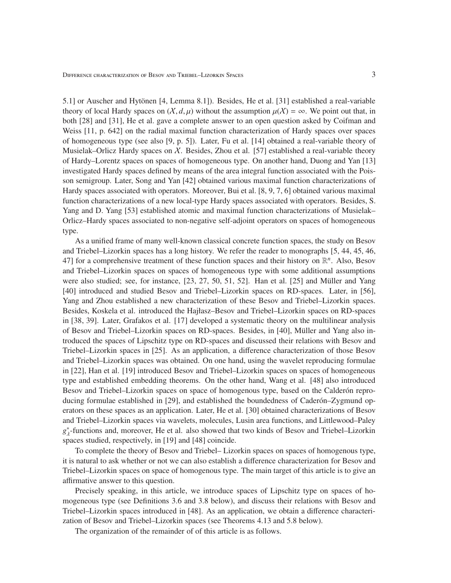5.1] or Auscher and Hytönen [4, Lemma 8.1]). Besides, He et al. [31] established a real-variable theory of local Hardy spaces on  $(X, d, \mu)$  without the assumption  $\mu(X) = \infty$ . We point out that, in both [28] and [31], He et al. gave a complete answer to an open question asked by Coifman and Weiss [11, p. 642] on the radial maximal function characterization of Hardy spaces over spaces of homogeneous type (see also [9, p. 5]). Later, Fu et al. [14] obtained a real-variable theory of Musielak–Orlicz Hardy spaces on  $X$ . Besides, Zhou et al. [57] established a real-variable theory of Hardy–Lorentz spaces on spaces of homogeneous type. On another hand, Duong and Yan [13] investigated Hardy spaces defined by means of the area integral function associated with the Poisson semigroup. Later, Song and Yan [42] obtained various maximal function characterizations of Hardy spaces associated with operators. Moreover, Bui et al. [8, 9, 7, 6] obtained various maximal function characterizations of a new local-type Hardy spaces associated with operators. Besides, S. Yang and D. Yang [53] established atomic and maximal function characterizations of Musielak– Orlicz–Hardy spaces associated to non-negative self-adjoint operators on spaces of homogeneous type.

As a unified frame of many well-known classical concrete function spaces, the study on Besov and Triebel–Lizorkin spaces has a long history. We refer the reader to monographs [5, 44, 45, 46, 47] for a comprehensive treatment of these function spaces and their history on  $\mathbb{R}^n$ . Also, Besov and Triebel–Lizorkin spaces on spaces of homogeneous type with some additional assumptions were also studied; see, for instance,  $[23, 27, 50, 51, 52]$ . Han et al.  $[25]$  and Müller and Yang [40] introduced and studied Besov and Triebel–Lizorkin spaces on RD-spaces. Later, in [56], Yang and Zhou established a new characterization of these Besov and Triebel–Lizorkin spaces. Besides, Koskela et al. introduced the Hajłasz–Besov and Triebel–Lizorkin spaces on RD-spaces in [38, 39]. Later, Grafakos et al. [17] developed a systematic theory on the multilinear analysis of Besov and Triebel–Lizorkin spaces on RD-spaces. Besides, in [40], Müller and Yang also introduced the spaces of Lipschitz type on RD-spaces and discussed their relations with Besov and Triebel–Lizorkin spaces in [25]. As an application, a difference characterization of those Besov and Triebel–Lizorkin spaces was obtained. On one hand, using the wavelet reproducing formulae in [22], Han et al. [19] introduced Besov and Triebel–Lizorkin spaces on spaces of homogeneous type and established embedding theorems. On the other hand, Wang et al. [48] also introduced Besov and Triebel–Lizorkin spaces on space of homogenous type, based on the Calderón reproducing formulae established in [29], and established the boundedness of Caderón-Zygmund operators on these spaces as an application. Later, He et al. [30] obtained characterizations of Besov and Triebel–Lizorkin spaces via wavelets, molecules, Lusin area functions, and Littlewood–Paley *g* ∗  $^*_{\lambda}$ -functions and, moreover, He et al. also showed that two kinds of Besov and Triebel–Lizorkin spaces studied, respectively, in [19] and [48] coincide.

To complete the theory of Besov and Triebel– Lizorkin spaces on spaces of homogenous type, it is natural to ask whether or not we can also establish a difference characterization for Besov and Triebel–Lizorkin spaces on space of homogenous type. The main target of this article is to give an affirmative answer to this question.

Precisely speaking, in this article, we introduce spaces of Lipschitz type on spaces of homogeneous type (see Definitions 3.6 and 3.8 below), and discuss their relations with Besov and Triebel–Lizorkin spaces introduced in [48]. As an application, we obtain a difference characterization of Besov and Triebel–Lizorkin spaces (see Theorems 4.13 and 5.8 below).

The organization of the remainder of of this article is as follows.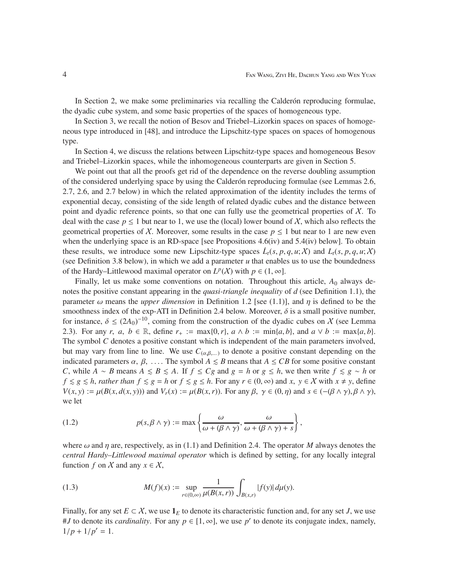In Section 2, we make some preliminaries via recalling the Calder on reproducing formulae, the dyadic cube system, and some basic properties of the spaces of homogeneous type.

In Section 3, we recall the notion of Besov and Triebel–Lizorkin spaces on spaces of homogeneous type introduced in [48], and introduce the Lipschitz-type spaces on spaces of homogenous type.

In Section 4, we discuss the relations between Lipschitz-type spaces and homogeneous Besov and Triebel–Lizorkin spaces, while the inhomogeneous counterparts are given in Section 5.

We point out that all the proofs get rid of the dependence on the reverse doubling assumption of the considered underlying space by using the Calder on reproducing formulae (see Lemmas 2.6, 2.7, 2.6, and 2.7 below) in which the related approximation of the identity includes the terms of exponential decay, consisting of the side length of related dyadic cubes and the distance between point and dyadic reference points, so that one can fully use the geometrical properties of  $X$ . To deal with the case  $p \le 1$  but near to 1, we use the (local) lower bound of X, which also reflects the geometrical properties of X. Moreover, some results in the case  $p \le 1$  but near to 1 are new even when the underlying space is an RD-space [see Propositions 4.6(iv) and 5.4(iv) below]. To obtain these results, we introduce some new Lipschitz-type spaces  $\dot{L}_t(s, p, q, u; \lambda)$  and  $L_t(s, p, q, u; \lambda)$ (see Definition 3.8 below), in which we add a parameter  $u$  that enables us to use the boundedness of the Hardy–Littlewood maximal operator on  $L^p(\mathcal{X})$  with  $p \in (1, \infty]$ .

Finally, let us make some conventions on notation. Throughout this article,  $A_0$  always denotes the positive constant appearing in the *quasi-triangle inequality* of *d* (see Definition 1.1), the parameter  $\omega$  means the *upper dimension* in Definition 1.2 [see (1.1)], and  $\eta$  is defined to be the smoothness index of the exp-ATI in Definition 2.4 below. Moreover,  $\delta$  is a small positive number, for instance,  $\delta \leq (2A_0)^{-10}$ , coming from the construction of the dyadic cubes on X (see Lemma 2.3). For any *r*, *a*,  $b \in \mathbb{R}$ , define  $r_+ := \max\{0, r\}$ ,  $a \wedge b := \min\{a, b\}$ , and  $a \vee b := \max\{a, b\}$ . The symbol *C* denotes a positive constant which is independent of the main parameters involved, but may vary from line to line. We use  $C_{(\alpha,\beta,...)}$  to denote a positive constant depending on the indicated parameters  $\alpha$ ,  $\beta$ , .... The symbol  $A \leq B$  means that  $A \leq CB$  for some positive constant *C*, while *A* ∼ *B* means *A*  $\leq B \leq A$ . If  $f \leq Cg$  and  $g = h$  or  $g \leq h$ , we then write  $f \leq g \sim h$  or *f* ≤ *g* ≤ *h*, *rather than f* ≤ *g* = *h* or *f* ≤ *g* ≤ *h*. For any *r* ∈ (0, ∞) and *x*, *y* ∈ *X* with *x* ≠ *y*, define  $V(x, y) := \mu(B(x, d(x, y)))$  and  $V_r(x) := \mu(B(x, r))$ . For any  $\beta, \gamma \in (0, \eta)$  and  $s \in (-(\beta \wedge \gamma), \beta \wedge \gamma)$ , we let

(1.2) 
$$
p(s, \beta \wedge \gamma) := \max \left\{ \frac{\omega}{\omega + (\beta \wedge \gamma)}, \frac{\omega}{\omega + (\beta \wedge \gamma) + s} \right\},\,
$$

where  $\omega$  and  $\eta$  are, respectively, as in (1.1) and Definition 2.4. The operator *M* always denotes the *central Hardy–Littlewood maximal operator* which is defined by setting, for any locally integral function *f* on *X* and any  $x \in X$ ,

(1.3) 
$$
M(f)(x) := \sup_{r \in (0,\infty)} \frac{1}{\mu(B(x,r))} \int_{B(x,r)} |f(y)| d\mu(y).
$$

Finally, for any set  $E \subset X$ , we use  $\mathbf{1}_E$  to denote its characteristic function and, for any set *J*, we use #*J* to denote its *cardinality*. For any  $p \in [1, \infty]$ , we use  $p'$  to denote its conjugate index, namely,  $1/p + 1/p' = 1.$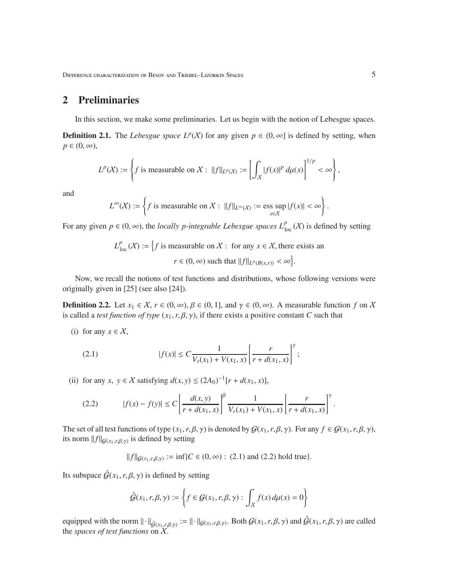### 2 Preliminaries

In this section, we make some preliminaries. Let us begin with the notion of Lebesgue spaces.

**Definition 2.1.** The *Lebesgue space L<sup>p</sup>*( $X$ ) for any given  $p \in (0, \infty]$  is defined by setting, when  $p \in (0, \infty)$ ,

$$
L^p(X) := \left\{ f \text{ is measurable on } X: ||f||_{L^p(X)} := \left[ \int_X |f(x)|^p \, d\mu(x) \right]^{1/p} < \infty \right\},
$$

and

$$
L^{\infty}(\mathcal{X}) := \left\{ f \text{ is measurable on } \mathcal{X} : ||f||_{L^{\infty}(\mathcal{X})} := \operatorname{ess} \sup_{x \in \mathcal{X}} |f(x)| < \infty \right\}.
$$

For any given  $p \in (0, \infty)$ , the *locally p-integrable Lebesgue spaces*  $L^p_{loc}(\mathcal{X})$  is defined by setting

$$
L_{loc}^{p}(\mathcal{X}) := \{ f \text{ is measurable on } \mathcal{X} : \text{ for any } x \in \mathcal{X}, \text{ there exists an } r \in (0, \infty) \text{ such that } ||f||_{L^{p}(B(x,r))} < \infty \}.
$$

Now, we recall the notions of test functions and distributions, whose following versions were originally given in [25] (see also [24]).

**Definition 2.2.** Let  $x_1 \in \mathcal{X}$ ,  $r \in (0, \infty)$ ,  $\beta \in (0, 1]$ , and  $\gamma \in (0, \infty)$ . A measurable function f on X is called a *test function of type*  $(x_1, r, \beta, \gamma)$ , if there exists a positive constant *C* such that

(i) for any  $x \in \mathcal{X}$ ,

(2.1) 
$$
|f(x)| \leq C \frac{1}{V_r(x_1) + V(x_1, x)} \left[ \frac{r}{r + d(x_1, x)} \right]^\gamma;
$$

(ii) for any *x*,  $y \in X$  satisfying  $d(x, y) \le (2A_0)^{-1}[r + d(x_1, x)],$ 

$$
(2.2) \t|f(x) - f(y)| \le C \left[ \frac{d(x, y)}{r + d(x_1, x)} \right]^{\beta} \frac{1}{V_r(x_1) + V(x_1, x)} \left[ \frac{r}{r + d(x_1, x)} \right]^{\gamma}.
$$

The set of all test functions of type  $(x_1, r, \beta, \gamma)$  is denoted by  $G(x_1, r, \beta, \gamma)$ . For any  $f \in G(x_1, r, \beta, \gamma)$ , its norm  $||f||_{\mathcal{G}(x_1,r,\beta,\gamma)}$  is defined by setting

$$
||f||_{\mathcal{G}(x_1,r,\beta,\gamma)} := \inf\{C \in (0,\infty) : (2.1) \text{ and } (2.2) \text{ hold true}\}.
$$

Its subspace  $\hat{G}(x_1, r, \beta, \gamma)$  is defined by setting

$$
\mathring{\mathcal{G}}(x_1, r, \beta, \gamma) := \left\{ f \in \mathcal{G}(x_1, r, \beta, \gamma) : \int_X f(x) \, d\mu(x) = 0 \right\}
$$

equipped with the norm  $\|\cdot\|_{\mathring{\mathcal{G}}(x_1,r,\beta,\gamma)} := \|\cdot\|_{\mathscr{G}(x_1,r,\beta,\gamma)}$ . Both  $\mathcal{G}(x_1,r,\beta,\gamma)$  and  $\mathring{\mathcal{G}}(x_1,r,\beta,\gamma)$  are called the *spaces of test functions* on X.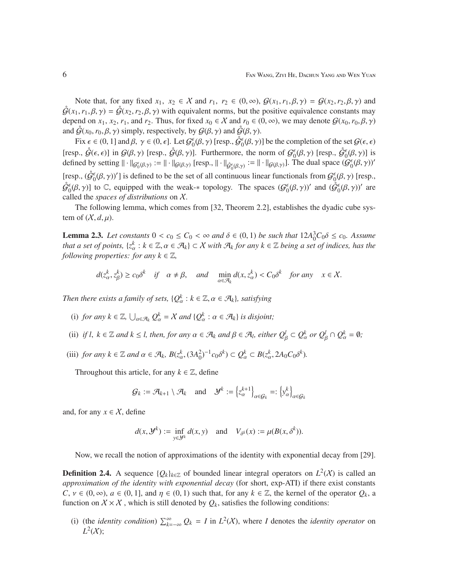Note that, for any fixed  $x_1, x_2 \in \mathcal{X}$  and  $r_1, r_2 \in (0, \infty), \mathcal{G}(x_1, r_1, \beta, \gamma) = \mathcal{G}(x_2, r_2, \beta, \gamma)$  and  $\tilde{\mathcal{G}}(x_1,r_1,\beta,\gamma) = \tilde{\mathcal{G}}(x_2,r_2,\beta,\gamma)$  with equivalent norms, but the positive equivalence constants may depend on  $x_1, x_2, r_1$ , and  $r_2$ . Thus, for fixed  $x_0 \in \mathcal{X}$  and  $r_0 \in (0, \infty)$ , we may denote  $\mathcal{G}(x_0, r_0, \beta, \gamma)$ and  $\tilde{\mathcal{G}}(x_0, r_0, \beta, \gamma)$  simply, respectively, by  $\mathcal{G}(\beta, \gamma)$  and  $\tilde{\mathcal{G}}(\beta, \gamma)$ .

Fix  $\epsilon \in (0, 1]$  and  $\beta, \gamma \in (0, \epsilon]$ . Let  $\mathcal{G}_0^{\epsilon}(\beta, \gamma)$  [resp.,  $\overset{\circ}{\mathcal{G}}_0^{\epsilon}(\beta, \gamma)$ ] be the completion of the set  $\mathcal{G}(\epsilon, \epsilon)$ [resp.,  $\hat{\mathcal{G}}(\epsilon, \epsilon)$ ] in  $\mathcal{G}(\beta, \gamma)$  [resp.,  $\hat{\mathcal{G}}(\beta, \gamma)$ ]. Furthermore, the norm of  $\mathcal{G}_0^{\epsilon}(\beta, \gamma)$  [resp.,  $\hat{\mathcal{G}}_0^{\epsilon}(\beta, \gamma)$ ] is defined by setting  $\|\cdot\|_{\mathcal{G}_{0}^{\epsilon}(\beta,\gamma)} := \|\cdot\|_{\mathcal{G}(\beta,\gamma)}$  [resp.,  $\|\cdot\|_{\mathcal{G}_{0}^{\epsilon}(\beta,\gamma)} := \|\cdot\|_{\mathcal{G}(\beta,\gamma)}$ ]. The dual space  $(\mathcal{G}_{0}^{\epsilon}(\beta,\gamma))'$ [resp.,  $(\hat{\mathcal{G}}_0^{\epsilon}(\beta, \gamma))'$ ] is defined to be the set of all continuous linear functionals from  $\mathcal{G}_0^{\epsilon}(\beta, \gamma)$  [resp.,  $\hat{\mathcal{G}}_0^{\epsilon}(\beta, \gamma)$  to  $\mathbb{C}$ , equipped with the weak-\* topology. The spaces  $(\mathcal{G}_0^{\epsilon}(\beta, \gamma))'$  and  $(\hat{\mathcal{G}}_0^{\epsilon}(\beta, \gamma))'$  are called the *spaces of distributions* on X.

The following lemma, which comes from [32, Theorem 2.2], establishes the dyadic cube system of  $(X, d, \mu)$ .

**Lemma 2.3.** Let constants  $0 < c_0 \le C_0 < \infty$  and  $\delta \in (0, 1)$  be such that  $12A_0^3C_0\delta \le c_0$ . Assume *that a set of points,* { $z_\alpha^k : k \in \mathbb{Z}, \alpha \in \mathcal{A}_k$ }  $\subset X$  *with*  $\mathcal{A}_k$  *for any*  $k \in \mathbb{Z}$  *being a set of indices, has the following properties: for any*  $k \in \mathbb{Z}$ *,* 

 $d(z_\alpha^k, z_\beta^k) \ge c_0 \delta^k$  *if*  $\alpha \ne \beta$ , and  $\min_{\alpha \in \mathcal{A}_k} d(x, z_\alpha^k) < C_0 \delta^k$  for any  $x \in \mathcal{X}$ .

*Then there exists a family of sets,*  $\{Q_{\alpha}^k : k \in \mathbb{Z}, \alpha \in \mathcal{A}_k\}$ *, satisfying* 

- (i) *for any*  $k \in \mathbb{Z}$ ,  $\bigcup_{\alpha \in \mathcal{A}_k} Q_{\alpha}^k = \mathcal{X}$  *and*  $\{Q_{\alpha}^k : \alpha \in \mathcal{A}_k\}$  *is disjoint;*
- (ii) *if l,*  $k \in \mathbb{Z}$  *and*  $k \leq l$ *, then, for any*  $\alpha \in \mathcal{A}_k$  *and*  $\beta \in \mathcal{A}_l$ *, either*  $Q_\beta^l \subset Q_\alpha^k$  *or*  $Q_\beta^l \cap Q_\alpha^k = \emptyset$ *;*

(iii) *for any*  $k \in \mathbb{Z}$  *and*  $\alpha \in \mathcal{A}_k$ *,*  $B(z_\alpha^k, (3A_0^2)^{-1}c_0\delta^k) \subset Q_\alpha^k \subset B(z_\alpha^k, 2A_0C_0\delta^k)$ *.* 

Throughout this article, for any  $k \in \mathbb{Z}$ , define

$$
\mathcal{G}_k := \mathcal{A}_{k+1} \setminus \mathcal{A}_k \quad \text{and} \quad \mathcal{Y}^k := \left\{ z_\alpha^{k+1} \right\}_{\alpha \in \mathcal{G}_k} =: \left\{ y_\alpha^k \right\}_{\alpha \in \mathcal{G}_k}
$$

and, for any  $x \in \mathcal{X}$ , define

$$
d(x, \mathcal{Y}^k) := \inf_{y \in \mathcal{Y}^k} d(x, y) \quad \text{and} \quad V_{\delta^k}(x) := \mu(B(x, \delta^k)).
$$

Now, we recall the notion of approximations of the identity with exponential decay from [29].

**Definition 2.4.** A sequence  $\{Q_k\}_{k\in\mathbb{Z}}$  of bounded linear integral operators on  $L^2(X)$  is called an *approximation of the identity with exponential decay* (for short, exp-ATI) if there exist constants  $C, \nu \in (0, \infty), a \in (0, 1]$ , and  $\eta \in (0, 1)$  such that, for any  $k \in \mathbb{Z}$ , the kernel of the operator  $Q_k$ , a function on  $X \times X$ , which is still denoted by  $Q_k$ , satisfies the following conditions:

(i) (the *identity condition*)  $\sum_{k=-\infty}^{\infty} Q_k = I$  in  $L^2(X)$ , where *I* denotes the *identity operator* on  $L^2(X);$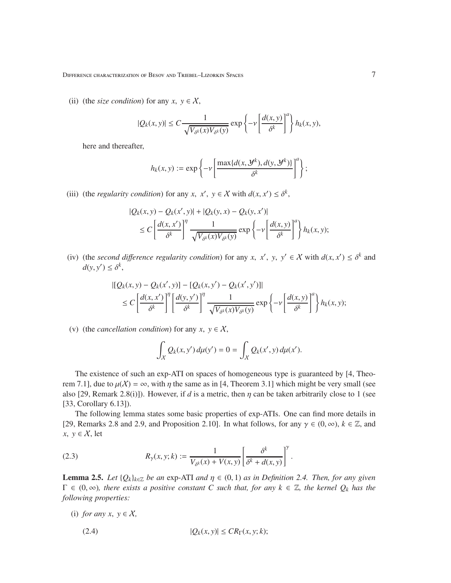(ii) (the *size condition*) for any  $x, y \in \mathcal{X}$ ,

$$
|Q_k(x,y)| \leq C \frac{1}{\sqrt{V_{\delta^k}(x)V_{\delta^k}(y)}} \exp\left\{-\nu \left[\frac{d(x,y)}{\delta^k}\right]^a\right\} h_k(x,y),
$$

here and thereafter,

$$
h_k(x,y) := \exp\left\{-\nu \left[\frac{\max\{d(x,\mathcal{Y}^k), d(y,\mathcal{Y}^k)\}}{\delta^k}\right]^a\right\};
$$

(iii) (the *regularity condition*) for any *x*, *x'*, *y*  $\in$  *X* with  $d(x, x') \leq \delta^k$ ,

$$
|Q_k(x, y) - Q_k(x', y)| + |Q_k(y, x) - Q_k(y, x')|
$$
  
\n
$$
\leq C \left[ \frac{d(x, x')}{\delta^k} \right]^\eta \frac{1}{\sqrt{V_{\delta^k}(x)V_{\delta^k}(y)}} \exp\left\{-\nu \left[ \frac{d(x, y)}{\delta^k} \right]^\alpha \right\} h_k(x, y);
$$

(iv) (the *second difference regularity condition*) for any *x*, *x'*, *y*, *y'*  $\in X$  with  $d(x, x') \leq \delta^k$  and  $d(y, y') \leq \delta^k$ ,

$$
\begin{aligned} \left\| \left[ Q_k(x, y) - Q_k(x', y) \right] - \left[ Q_k(x, y') - Q_k(x', y') \right] \right\| \\ &\leq C \left[ \frac{d(x, x')}{\delta^k} \right]^\eta \left[ \frac{d(y, y')}{\delta^k} \right]^\eta \frac{1}{\sqrt{V_{\delta^k}(x) V_{\delta^k}(y)}} \exp \left\{ -\nu \left[ \frac{d(x, y)}{\delta^k} \right]^\alpha \right\} h_k(x, y); \end{aligned}
$$

(v) (the *cancellation condition*) for any  $x, y \in X$ ,

$$
\int_X Q_k(x, y') d\mu(y') = 0 = \int_X Q_k(x', y) d\mu(x').
$$

The existence of such an exp-ATI on spaces of homogeneous type is guaranteed by [4, Theorem 7.1], due to  $\mu(\mathcal{X}) = \infty$ , with  $\eta$  the same as in [4, Theorem 3.1] which might be very small (see also [29, Remark 2.8(i)]). However, if *d* is a metric, then  $\eta$  can be taken arbitrarily close to 1 (see [33, Corollary 6.13]).

The following lemma states some basic properties of exp-ATIs. One can find more details in [29, Remarks 2.8 and 2.9, and Proposition 2.10]. In what follows, for any  $\gamma \in (0, \infty)$ ,  $k \in \mathbb{Z}$ , and *x*, *y* ∈  $X$ , let

(2.3) 
$$
R_{\gamma}(x,y;k) := \frac{1}{V_{\delta^k}(x) + V(x,y)} \left[ \frac{\delta^k}{\delta^k + d(x,y)} \right]^{\gamma}.
$$

**Lemma 2.5.** *Let*  $\{Q_k\}_{k\in\mathbb{Z}}$  *be an* exp-ATI *and*  $\eta \in (0,1)$  *as in Definition 2.4. Then, for any given*  $\Gamma \in (0, \infty)$ *, there exists a positive constant C such that, for any*  $k \in \mathbb{Z}$ *, the kernel*  $Q_k$  *has the following properties:*

(i) *for any x*,  $y \in X$ ,

$$
(2.4) \t\t |Q_k(x,y)| \le CR_\Gamma(x,y;k);
$$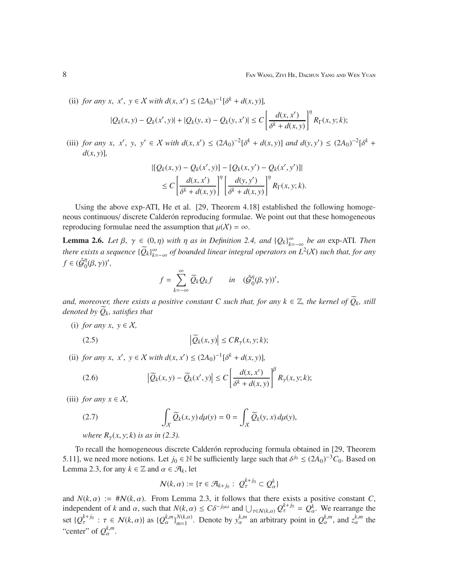(ii) for any x, 
$$
x', y \in X
$$
 with  $d(x, x') \le (2A_0)^{-1}[\delta^k + d(x, y)],$   

$$
|Q_k(x, y) - Q_k(x', y)| + |Q_k(y, x) - Q_k(y, x')| \le C \left[ \frac{d(x, x')}{\delta^k + d(x, y)} \right]^n R_\Gamma(x, y; k);
$$

(iii) for any x, x', y, y'  $\in X$  with  $d(x, x') \le (2A_0)^{-2} [\delta^k + d(x, y)]$  and  $d(y, y') \le (2A_0)^{-2} [\delta^k + d(x, y)]$ *d*(*x*, *y*)]*,*

$$
\begin{aligned} |[Q_k(x, y) - Q_k(x', y)] - [Q_k(x, y') - Q_k(x', y')]| \\ \leq C \left[ \frac{d(x, x')}{\delta^k + d(x, y)} \right]^{\eta} \left[ \frac{d(y, y')}{\delta^k + d(x, y)} \right]^{\eta} R_{\Gamma}(x, y; k). \end{aligned}
$$

Using the above exp-ATI, He et al. [29, Theorem 4.18] established the following homogeneous continuous/ discrete Calder on reproducing formulae. We point out that these homogeneous reproducing formulae need the assumption that  $\mu(\chi) = \infty$ .

**Lemma 2.6.** *Let*  $\beta$ ,  $\gamma \in (0, \eta)$  *with*  $\eta$  *as in Definition 2.4, and*  $\{Q_k\}_{k=-\infty}^{\infty}$  *be an* exp-ATI. Then *there exists a sequence*  ${\{\widetilde{Q}_k\}}_{k=-\infty}^{\infty}$  *of bounded linear integral operators on*  $L^2(X)$  *such that, for any*  $f \in (\mathring{\mathcal{G}}_0^\eta)$  $\int_0^{\eta}(\beta,\gamma)$ ',

$$
f = \sum_{k=-\infty}^{\infty} \widetilde{Q}_k Q_k f \quad in \quad (\hat{\mathcal{G}}_0^{\eta}(\beta, \gamma))',
$$

*and, moreover, there exists a positive constant C such that, for any*  $k \in \mathbb{Z}$ *, the kernel of*  $\widetilde{Q}_k$ *, still denoted by*  $\widetilde{Q}_k$ *, satisfies that* 

(i) *for any x*,  $y \in X$ ,

$$
(2.5) \qquad \qquad \left|\widetilde{Q}_k(x,y)\right| \leq CR_\gamma(x,y;k);
$$

(ii) *for any x, x', y*  $\in$  *X with d*(*x, x'*)  $\leq$   $(2A_0)^{-1}[\delta^k + d(x, y)]$ ,

(2.6) 
$$
\left|\widetilde{Q}_k(x,y)-\widetilde{Q}_k(x',y)\right|\leq C\left[\frac{d(x,x')}{\delta^k+d(x,y)}\right]^{\beta}R_{\gamma}(x,y;k);
$$

(iii) *for any*  $x \in \mathcal{X}$ ,

(2.7) 
$$
\int_X \widetilde{Q}_k(x, y) d\mu(y) = 0 = \int_X \widetilde{Q}_k(y, x) d\mu(y),
$$

*where*  $R_\gamma(x, y; k)$  *is as in (2.3).* 

To recall the homogeneous discrete Calderón reproducing formula obtained in [29, Theorem 5.11], we need more notions. Let  $j_0 \in \mathbb{N}$  be sufficiently large such that  $\delta^{j_0} \leq (2A_0)^{-3}C_0$ . Based on Lemma 2.3, for any  $k \in \mathbb{Z}$  and  $\alpha \in \mathcal{A}_k$ , let

$$
\mathcal{N}(k,\alpha) := \{ \tau \in \mathcal{A}_{k+j_0} : \ Q_{\tau}^{k+j_0} \subset Q_{\alpha}^k \}
$$

and  $N(k, \alpha) := #N(k, \alpha)$ . From Lemma 2.3, it follows that there exists a positive constant *C*, independent of *k* and  $\alpha$ , such that  $N(k, \alpha) \leq C\delta^{-j_0\omega}$  and  $\bigcup_{\tau \in \mathcal{N}(k,\alpha)} Q_{\tau}^{k+j_0} = Q_{\alpha}^k$ . We rearrange the set  $\{Q_{\tau}^{k+j_0}: \tau \in \mathcal{N}(k, \alpha)\}\$ as  $\{Q_{\alpha}^{k,m}\}_{m=1}^{N(k, \alpha)}\}$  $N(k,\alpha)$ . Denote by  $y_{\alpha}^{k,m}$  an arbitrary point in  $Q_{\alpha}^{k,m}$ , and  $z_{\alpha}^{k,m}$  the "center" of  $Q_{\alpha}^{k,m}$ .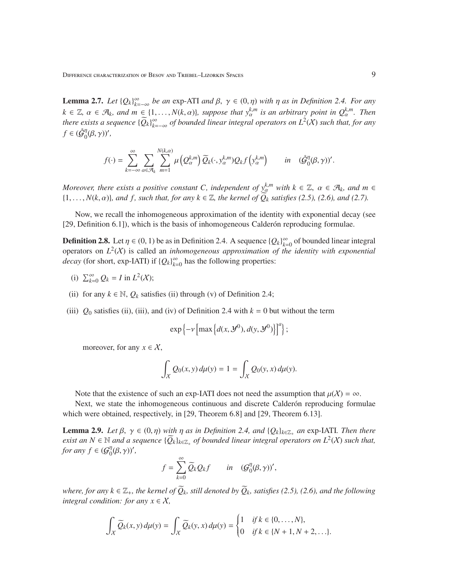**Lemma 2.7.** *Let*  ${Q_k}_{k=-\infty}^{\infty}$  *be an* exp-ATI *and*  $\beta$ ,  $\gamma \in (0, \eta)$  *with*  $\eta$  *as in Definition 2.4. For any*  $k \in \mathbb{Z}, \ \alpha \in \mathcal{A}_k$ , and  $m \in \{1, \ldots, N(k, \alpha)\}\$ , suppose that  $y_\alpha^{k,m}$  is an arbitrary point in  $Q_\alpha^{k,m}$ . Then *there exists a sequence*  ${\{\widetilde{Q}_k\}}_{k=-\infty}^{\infty}$  *of bounded linear integral operators on L*<sup>2</sup>(*X*) *such that, for any*  $f \in (\mathring{\mathcal{G}}_0^\eta)$  $\int_0^{\eta}(\beta,\gamma)$ ',

$$
f(\cdot) = \sum_{k=-\infty}^{\infty} \sum_{\alpha \in \mathcal{A}_k} \sum_{m=1}^{N(k,\alpha)} \mu\left(Q_{\alpha}^{k,m}\right) \widetilde{Q}_k(\cdot,y_{\alpha}^{k,m}) Q_k f\left(y_{\alpha}^{k,m}\right) \quad in \quad (\mathring{\mathcal{G}}_0^{\eta}(\beta,\gamma))'.
$$

*Moreover, there exists a positive constant C, independent of*  $y_\alpha^{k,m}$  with  $k \in \mathbb{Z}$ ,  $\alpha \in \mathcal{A}_k$ *, and m*  $\in$  $\{1, \ldots, N(k, \alpha)\}\$ , and f, such that, for any  $k \in \mathbb{Z}$ , the kernel of  $\mathbb{Q}_k$  satisfies (2.5), (2.6), and (2.7).

Now, we recall the inhomogeneous approximation of the identity with exponential decay (see  $[29,$  Definition 6.1]), which is the basis of inhomogeneous Calder on reproducing formulae.

**Definition 2.8.** Let  $\eta \in (0, 1)$  be as in Definition 2.4. A sequence  $\{Q_k\}_{k=0}^{\infty}$  of bounded linear integral operators on *L* 2 (X) is called an *inhomogeneous approximation of the identity with exponential decay* (for short, exp-IATI) if  ${Q_k}_{k=0}^{\infty}$  has the following properties:

- (i)  $\sum_{k=0}^{\infty} Q_k = I$  in  $L^2(X)$ ;
- (ii) for any  $k \in \mathbb{N}$ ,  $Q_k$  satisfies (ii) through (v) of Definition 2.4;
- (iii)  $Q_0$  satisfies (ii), (iii), and (iv) of Definition 2.4 with  $k = 0$  but without the term

$$
\exp\left\{-\nu \left[\max\left\{d(x,\mathcal{Y}^0),d(y,\mathcal{Y}^0)\right\}\right]^a\right\};
$$

moreover, for any  $x \in \mathcal{X}$ ,

$$
\int_X Q_0(x, y) d\mu(y) = 1 = \int_X Q_0(y, x) d\mu(y).
$$

Note that the existence of such an exp-IATI does not need the assumption that  $\mu(X) = \infty$ .

Next, we state the inhomogeneous continuous and discrete Calder on reproducing formulae which were obtained, respectively, in [29, Theorem 6.8] and [29, Theorem 6.13].

**Lemma 2.9.** *Let*  $\beta$ ,  $\gamma \in (0, \eta)$  *with*  $\eta$  *as in Definition 2.4, and*  $\{Q_k\}_{k \in \mathbb{Z}_+}$  *an* exp-IATI. Then there *exist an*  $N \in \mathbb{N}$  *and a sequence*  ${\{\widetilde{Q}_k\}_{k\in\mathbb{Z}_+}}$  *of bounded linear integral operators on*  $L^2(X)$  *such that, for any*  $f \in {\mathcal{G}}_{0}^{\eta}$  $\int_0^\eta(\beta,\gamma)$ ',

$$
f = \sum_{k=0}^{\infty} \widetilde{Q}_k Q_k f \qquad in \quad (G_0^{\eta}(\beta, \gamma))',
$$

*where, for any k*  $\in \mathbb{Z}_+$ *, the kernel of*  $\widetilde{Q}_k$ *, still denoted by*  $\widetilde{Q}_k$ *, satisfies* (2.5), (2.6), and the following *integral condition: for any*  $x \in X$ ,

$$
\int_X \widetilde{Q}_k(x, y) d\mu(y) = \int_X \widetilde{Q}_k(y, x) d\mu(y) = \begin{cases} 1 & \text{if } k \in \{0, \dots, N\}, \\ 0 & \text{if } k \in \{N+1, N+2, \dots\}. \end{cases}
$$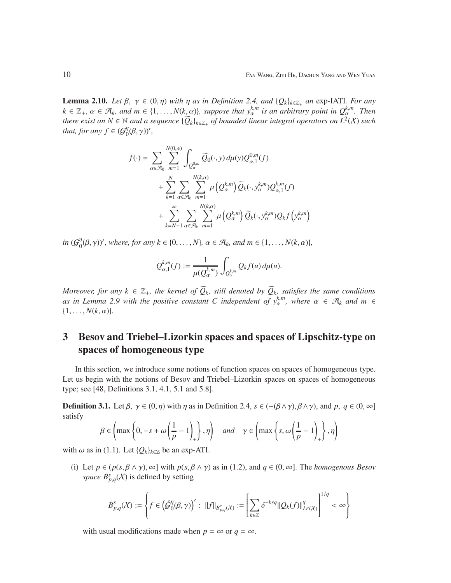**Lemma 2.10.** *Let*  $\beta$ ,  $\gamma \in (0, \eta)$  *with*  $\eta$  *as in Definition 2.4, and*  $\{Q_k\}_{k \in \mathbb{Z}_+}$  *an* exp-IATI. For any  $k \in \mathbb{Z}_+$ ,  $\alpha \in \mathcal{A}_k$ , and  $m \in \{1, \ldots, N(k, \alpha)\}$ , suppose that  $y_\alpha^{k,m}$  is an arbitrary point in  $Q_\alpha^{k,m}$ . Then *there exist an*  $N \in \mathbb{N}$  *and a sequence*  $\{\widetilde{Q}_k\}_{k \in \mathbb{Z}_+}$  *of bounded linear integral operators on*  $L^2(X)$  *such that, for any*  $f \in {\mathcal{G}}_{0}^{\eta}$  $_{0}^{\eta}(\beta,\gamma)$ ',

$$
f(\cdot) = \sum_{\alpha \in \mathcal{A}_0} \sum_{m=1}^{N(0,\alpha)} \int_{Q_{\alpha}^{0,m}} \widetilde{Q}_0(\cdot, y) d\mu(y) Q_{\alpha,1}^{0,m}(f)
$$
  
+ 
$$
\sum_{k=1}^{N} \sum_{\alpha \in \mathcal{A}_k} \sum_{m=1}^{N(k,\alpha)} \mu(Q_{\alpha}^{k,m}) \widetilde{Q}_k(\cdot, y_{\alpha}^{k,m}) Q_{\alpha,1}^{k,m}(f)
$$
  
+ 
$$
\sum_{k=N+1}^{\infty} \sum_{\alpha \in \mathcal{A}_k} \sum_{m=1}^{N(k,\alpha)} \mu(Q_{\alpha}^{k,m}) \widetilde{Q}_k(\cdot, y_{\alpha}^{k,m}) Q_k f(y_{\alpha}^{k,m})
$$

 $in \left(\mathcal{G}^\eta_0\right)$  $\mathcal{O}_0(\beta, \gamma)$ ', where, for any  $k \in \{0, \ldots, N\}$ ,  $\alpha \in \mathcal{A}_k$ , and  $m \in \{1, \ldots, N(k, \alpha)\}$ ,

$$
Q_{\alpha,1}^{k,m}(f):=\frac{1}{\mu(Q_\alpha^{k,m})}\int_{Q_\alpha^{k,m}}Q_kf(u)\,d\mu(u).
$$

*Moreover, for any*  $k \in \mathbb{Z}_+$ *, the kernel of*  $\widetilde{Q}_k$ *, still denoted by*  $\widetilde{Q}_k$ *, satisfies the same conditions as in Lemma 2.9 with the positive constant C independent of*  $y_\alpha^{k,m}$ *, where*  $\alpha \in \mathcal{A}_k$  *and*  $m \in$  $\{1, \ldots, N(k, \alpha)\}.$ 

## 3 Besov and Triebel–Lizorkin spaces and spaces of Lipschitz-type on spaces of homogeneous type

In this section, we introduce some notions of function spaces on spaces of homogeneous type. Let us begin with the notions of Besov and Triebel–Lizorkin spaces on spaces of homogeneous type; see [48, Definitions 3.1, 4.1, 5.1 and 5.8].

**Definition 3.1.** Let  $\beta$ ,  $\gamma \in (0, \eta)$  with  $\eta$  as in Definition 2.4,  $s \in (-(\beta \land \gamma), \beta \land \gamma)$ , and  $p, q \in (0, \infty)$ satisfy

$$
\beta \in \left(\max\left\{0, -s+\omega\left(\frac{1}{p}-1\right)_+\right\}, \eta\right) \quad \text{and} \quad \gamma \in \left(\max\left\{s, \omega\left(\frac{1}{p}-1\right)_+\right\}, \eta\right)
$$

with  $\omega$  as in (1.1). Let  $\{Q_k\}_{k\in\mathbb{Z}}$  be an exp-ATI.

(i) Let  $p \in (p(s, \beta \land \gamma), \infty]$  with  $p(s, \beta \land \gamma)$  as in (1.2), and  $q \in (0, \infty]$ . The *homogenous Besov space*  $\dot{B}^s_{p,q}(X)$  is defined by setting

$$
\dot{B}^s_{p,q}(X):=\left\{f\in\left(\mathring{\mathcal{G}}_0^{\eta}(\beta,\gamma)\right)':\; \|f\|_{\dot{B}^s_{p,q}(X)}:=\left[\sum_{k\in\mathbb{Z}}\delta^{-ksq}\|Q_k(f)\|_{L^p(X)}^q\right]^{1/q}<\infty\right\}
$$

with usual modifications made when  $p = \infty$  or  $q = \infty$ .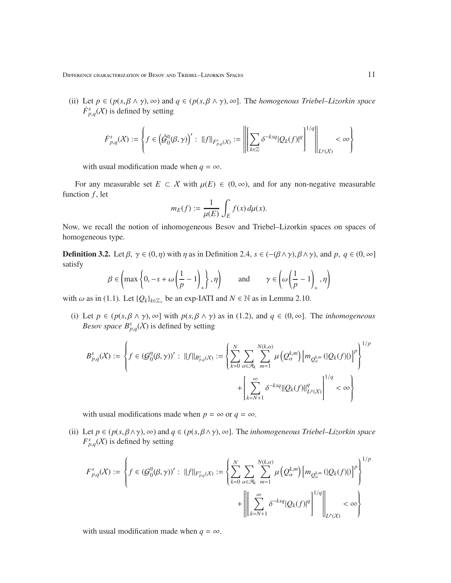(ii) Let  $p \in (p(s, \beta \wedge \gamma), \infty)$  and  $q \in (p(s, \beta \wedge \gamma), \infty]$ . The *homogenous Triebel–Lizorkin space*  $\dot{F}^s_{p,q}(X)$  is defined by setting

$$
\dot{F}^s_{p,q}(X):=\left\{f\in \left(\mathring{\mathcal{G}}^{\eta}_0(\beta,\gamma)\right)'\,\colon\,\|f\|_{\dot{F}^s_{p,q}(X)}:=\left\|\left[\sum_{k\in\mathbb{Z}}\delta^{-ksq}|Q_k(f)|^q\right]^{1/q}\right\|_{L^p(X)}<\infty\right\}
$$

with usual modification made when  $q = \infty$ .

For any measurable set  $E \subset X$  with  $\mu(E) \in (0, \infty)$ , and for any non-negative measurable function *f*, let

$$
m_E(f) := \frac{1}{\mu(E)} \int_E f(x) \, d\mu(x).
$$

Now, we recall the notion of inhomogeneous Besov and Triebel–Lizorkin spaces on spaces of homogeneous type.

**Definition 3.2.** Let  $\beta$ ,  $\gamma \in (0, \eta)$  with  $\eta$  as in Definition 2.4,  $s \in (-(\beta \land \gamma), \beta \land \gamma)$ , and  $p, q \in (0, \infty]$ satisfy

$$
\beta \in \left(\max\left\{0, -s+\omega\left(\frac{1}{p}-1\right)_+\right\}, \eta\right) \quad \text{and} \quad \gamma \in \left(\omega\left(\frac{1}{p}-1\right)_+, \eta\right)
$$

with  $\omega$  as in (1.1). Let  $\{Q_k\}_{k \in \mathbb{Z}_+}$  be an exp-IATI and  $N \in \mathbb{N}$  as in Lemma 2.10.

(i) Let  $p \in (p(s, \beta \land \gamma), \infty]$  with  $p(s, \beta \land \gamma)$  as in (1.2), and  $q \in (0, \infty]$ . The *inhomogeneous Besov space*  $B_{p,q}^s(X)$  is defined by setting

$$
B_{p,q}^s(X):=\left\{f\in (G_0^\eta(\beta,\gamma))':\; \|f\|_{B_{p,q}^s(X)}:=\left\{\sum_{k=0}^N\sum_{\alpha\in\mathcal{A}_k}\sum_{m=1}^{N(k,\alpha)}\mu\left(Q_\alpha^{k,m}\right)\left[m_{Q_\alpha^{k,m}}\left(\left|Q_k(f)\right|\right)^p\right]\right\}^{1/p} \right\}^{1/p}
$$

with usual modifications made when  $p = \infty$  or  $q = \infty$ .

(ii) Let *p* ∈ (*p*(*s*, β∧γ), ∞) and *q* ∈ (*p*(*s*, β∧γ), ∞]. The *inhomogeneous Triebel–Lizorkin space*  $F_{p,q}^s(X)$  is defined by setting

$$
F_{p,q}^s(X):=\left\{f\in (G_0^\eta(\beta,\gamma))':\; \|f\|_{F_{p,q}^s(X)}:=\left\{\sum_{k=0}^N\sum_{\alpha\in\mathcal{A}_k}\sum_{m=1}^{N(k,\alpha)}\mu\left(Q_\alpha^{k,m}\right)\left[m_{Q_\alpha^{k,m}}\left(\left|Q_k(f)\right|\right)\right]^\rho\right\}^{1/p}\\\quad+\left\|\left[\sum_{k=N+1}^\infty\delta^{-ksq}|Q_k(f)|^q\right]^{1/q}\right\|_{L^p(X)}<\infty\right\}
$$

with usual modification made when  $q = \infty$ .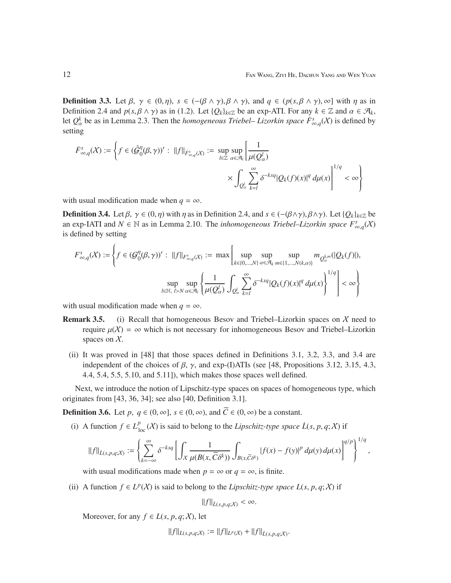**Definition 3.3.** Let  $\beta$ ,  $\gamma \in (0, \eta)$ ,  $s \in (-(\beta \wedge \gamma), \beta \wedge \gamma)$ , and  $q \in (p(s, \beta \wedge \gamma), \infty]$  with  $\eta$  as in Definition 2.4 and  $p(s, \beta \wedge \gamma)$  as in (1.2). Let  $\{Q_k\}_{k \in \mathbb{Z}}$  be an exp-ATI. For any  $k \in \mathbb{Z}$  and  $\alpha \in \mathcal{A}_k$ , let  $Q_{\alpha}^{k}$  be as in Lemma 2.3. Then the *homogeneous Triebel– Lizorkin space*  $\dot{F}_{\infty,q}^{s}(\mathcal{X})$  is defined by setting

$$
\dot{F}^s_{\infty,q}(X) := \left\{ f \in (\mathring{\mathcal{G}}_0^{\eta}(\beta, \gamma))' : ||f||_{\dot{F}^s_{\infty,q}(X)} := \sup_{l \in \mathbb{Z}} \sup_{\alpha \in \mathcal{A}_l} \left[ \frac{1}{\mu(Q_{\alpha}^l)} \right] \times \int_{Q_{\alpha}^l} \sum_{k=l}^{\infty} \frac{1}{\delta^{-ksq} |Q_k(f)(x)|^q} d\mu(x) \right]^{1/q} < \infty \right\}
$$

with usual modification made when  $q = \infty$ .

**Definition 3.4.** Let  $\beta$ ,  $\gamma \in (0, \eta)$  with  $\eta$  as in Definition 2.4, and  $s \in (-(\beta \land \gamma), \beta \land \gamma)$ . Let  $\{Q_k\}_{k \in \mathbb{Z}}$  be an exp-IATI and  $N \in \mathbb{N}$  as in Lemma 2.10. The *inhomogeneous Triebel–Lizorkin space*  $F_{\infty,q}^s(X)$ is defined by setting

$$
F_{\infty,q}^s(X) := \left\{ f \in (G_0^{\eta}(\beta, \gamma))': ||f||_{F_{\infty,q}^s(X)} := \max \left[ \sup_{k \in \{0, \ldots, N\}} \sup_{\alpha \in \mathcal{A}_k} \sup_{m \in \{1, \ldots, N(k,\alpha)\}} m_{Q_{\alpha}^{k,m}}(|Q_k(f)|), \right. \\ \left. \sup_{l \in \mathbb{N}, \ l > N} \sup_{\alpha \in \mathcal{A}_l} \left\{ \frac{1}{\mu(Q_{\alpha}^l)} \int_{Q_{\alpha}^l} \sum_{k=l}^{\infty} \delta^{-ksq} |Q_k(f)(x)|^q d\mu(x) \right\}^{1/q} \right\} < \infty \right\}
$$

with usual modification made when  $q = \infty$ .

- **Remark 3.5.** (i) Recall that homogeneous Besov and Triebel–Lizorkin spaces on  $X$  need to require  $\mu(X) = \infty$  which is not necessary for inhomogeneous Besov and Triebel–Lizorkin spaces on  $X$ .
	- (ii) It was proved in [48] that those spaces defined in Definitions 3.1, 3.2, 3.3, and 3.4 are independent of the choices of  $\beta$ ,  $\gamma$ , and exp-(I)ATIs (see [48, Propositions 3.12, 3.15, 4.3, 4.4, 5.4, 5.5, 5.10, and 5.11]), which makes those spaces well defined.

Next, we introduce the notion of Lipschitz-type spaces on spaces of homogeneous type, which originates from [43, 36, 34]; see also [40, Definition 3.1].

**Definition 3.6.** Let *p*,  $q \in (0, \infty)$ ,  $s \in (0, \infty)$ , and  $\widetilde{C} \in (0, \infty)$  be a constant.

(i) A function  $f \in L^p_{loc}(\mathcal{X})$  is said to belong to the *Lipschitz-type space*  $\dot{L}(s, p, q; \mathcal{X})$  if

$$
\|f\|_{\dot{L}(s,p,q;{\mathcal X})}:=\left\{\sum_{k=-\infty}^\infty \delta^{-ksq}\left[\int_{{\mathcal X}}\frac{1}{\mu(B(x,\widetilde{C}\delta^k))}\int_{B(x,\widetilde{C}\delta^k)}\left|f(x)-f(y)\right|^p d\mu(y)\,d\mu(x)\right]^{q/p}\right\}^{1/q},
$$

with usual modifications made when  $p = \infty$  or  $q = \infty$ , is finite.

(ii) A function  $f \in L^p(X)$  is said to belong to the *Lipschitz-type space*  $L(s, p, q; X)$  if

$$
||f||_{\dot{L}(s,p,q;X)} < \infty.
$$

Moreover, for any  $f \in L(s, p, q; \mathcal{X})$ , let

$$
||f||_{L(s,p,q;X)} := ||f||_{L^p(X)} + ||f||_{\dot{L}(s,p,q;X)}.
$$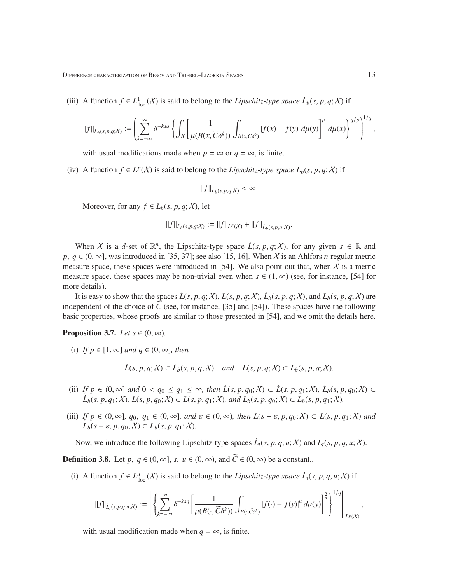(iii) A function  $f \in L^1_{loc}(\mathcal{X})$  is said to belong to the *Lipschitz-type space*  $\dot{L}_b(s, p, q; \mathcal{X})$  if

$$
||f||_{\dot{L}_b(s,p,q;X)} := \left(\sum_{k=-\infty}^{\infty} \delta^{-ksq} \left\{ \int_X \left[ \frac{1}{\mu(B(x,\widetilde{C}\delta^k))} \int_{B(x,\widetilde{C}\delta^k)} |f(x)-f(y)| \, d\mu(y) \right]^p \, d\mu(x) \right\}^{q/p} \right)^{1/q},
$$

with usual modifications made when  $p = \infty$  or  $q = \infty$ , is finite.

(iv) A function  $f \in L^p(X)$  is said to belong to the *Lipschitz-type space*  $L_b(s, p, q; X)$  if

$$
||f||_{\dot{L}_b(s,p,q;X)} < \infty.
$$

Moreover, for any  $f \in L_b(s, p, q; \mathcal{X})$ , let

$$
||f||_{L_b(s,p,q;X)} := ||f||_{L^p(X)} + ||f||_{\dot{L}_b(s,p,q;X)}.
$$

When X is a *d*-set of  $\mathbb{R}^n$ , the Lipschitz-type space  $\dot{L}(s, p, q; X)$ , for any given  $s \in \mathbb{R}$  and *p*, *q* ∈ (0, ∞), was introduced in [35, 37]; see also [15, 16]. When X is an Ahlfors *n*-regular metric measure space, these spaces were introduced in [54]. We also point out that, when  $X$  is a metric measure space, these spaces may be non-trivial even when  $s \in (1, \infty)$  (see, for instance, [54] for more details).

It is easy to show that the spaces  $\dot{L}(s, p, q; \lambda), L(s, p, q; \lambda), \dot{L}_b(s, p, q; \lambda)$ , and  $L_b(s, p, q; \lambda)$  are independent of the choice of  $C$  (see, for instance, [35] and [54]). These spaces have the following basic properties, whose proofs are similar to those presented in [54], and we omit the details here.

**Proposition 3.7.** *Let*  $s \in (0, \infty)$ *.* 

(i) *If*  $p \in [1, \infty]$  *and*  $q \in (0, \infty]$ *, then* 

 $\dot{L}(s, p, q; \mathcal{X}) \subset \dot{L}_b(s, p, q; \mathcal{X})$  *and*  $L(s, p, q; \mathcal{X}) \subset L_b(s, p, q; \mathcal{X})$ .

- (ii) If  $p \in (0, \infty]$  and  $0 < q_0 \leq q_1 \leq \infty$ , then  $\dot{L}(s, p, q_0; \lambda) \subset \dot{L}(s, p, q_1; \lambda)$ ,  $\dot{L}_b(s, p, q_0; \lambda) \subset$  $\dot{L}_b(s, p, q_1; \lambda), L(s, p, q_0; \lambda) \subset L(s, p, q_1; \lambda),$  and  $L_b(s, p, q_0; \lambda) \subset L_b(s, p, q_1; \lambda).$
- (iii) *If*  $p \in (0, \infty]$ *,*  $q_0, q_1 \in (0, \infty]$ *, and*  $\varepsilon \in (0, \infty)$ *, then*  $L(s + \varepsilon, p, q_0; X) \subset L(s, p, q_1; X)$  *and*  $L_b(s + \varepsilon, p, q_0; \mathcal{X}) \subset L_b(s, p, q_1; \mathcal{X})$ .

Now, we introduce the following Lipschitz-type spaces  $\dot{L}_t(s, p, q, u; \lambda)$  and  $L_t(s, p, q, u; \lambda)$ .

**Definition 3.8.** Let  $p, q \in (0, \infty)$ ,  $s, u \in (0, \infty)$ , and  $\widetilde{C} \in (0, \infty)$  be a constant...

(i) A function  $f \in L_{loc}^u(X)$  is said to belong to the *Lipschitz-type space*  $\dot{L}_t(s, p, q, u; X)$  if

$$
\|f\|_{\dot L_t(s,p,q,u;X)}:=\left\|\left\{\sum_{k=-\infty}^\infty \delta^{-ksq}\left[\frac{1}{\mu(B(\cdot,\widetilde C\delta^k))}\int_{B(\cdot,\widetilde C\delta^k)}|f(\cdot)-f(y)|^u\,d\mu(y)\right]^{\frac{q}{u}}\right\}^{1/q}\right\|_{L^p(X)},
$$

with usual modification made when  $q = \infty$ , is finite.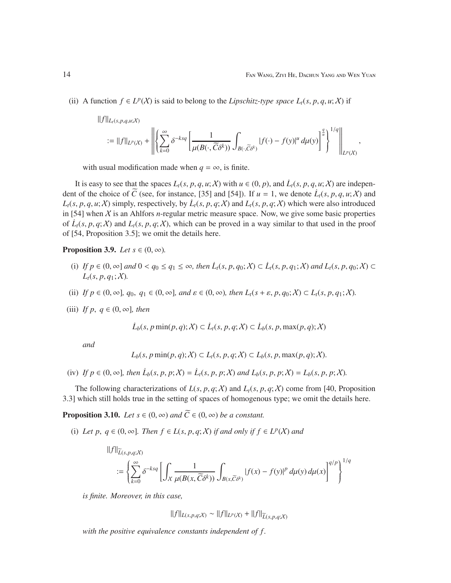(ii) A function  $f \in L^p(X)$  is said to belong to the *Lipschitz-type space*  $L_t(s, p, q, u; X)$  if

$$
||f||_{L_t(s,p,q,u;X)}:=||f||_{L^p(X)} + \left\|\left\{\sum_{k=0}^{\infty} \delta^{-ksq} \left[\frac{1}{\mu(B(\cdot,\widetilde{C}\delta^k))} \int_{B(\cdot,\widetilde{C}\delta^k)} |f(\cdot)-f(y)|^u d\mu(y)\right]^{\frac{q}{u}}\right\}^{1/q}\right\|_{L^p(X)},
$$

with usual modification made when  $q = \infty$ , is finite.

It is easy to see that the spaces  $L_t(s, p, q, u; \mathcal{X})$  with  $u \in (0, p)$ , and  $\dot{L}_t(s, p, q, u; \mathcal{X})$  are independent of the choice of  $\tilde{C}$  (see, for instance, [35] and [54]). If  $u = 1$ , we denote  $\dot{L}_t(s, p, q, u; \lambda)$  and  $L_t(s, p, q, u; X)$  simply, respectively, by  $\dot{L}_t(s, p, q; X)$  and  $L_t(s, p, q; X)$  which were also introduced in [54] when  $X$  is an Ahlfors *n*-regular metric measure space. Now, we give some basic properties of  $\dot{L}_t(s, p, q; \lambda)$  and  $L_t(s, p, q; \lambda)$ , which can be proved in a way similar to that used in the proof of [54, Proposition 3.5]; we omit the details here.

**Proposition 3.9.** *Let*  $s \in (0, \infty)$ *.* 

- (i) If  $p \in (0, \infty]$  and  $0 < q_0 \leq q_1 \leq \infty$ , then  $\dot{L}_t(s, p, q_0; \lambda) \subset \dot{L}_t(s, p, q_1; \lambda)$  and  $L_t(s, p, q_0; \lambda) \subset$  $L_t(s, p, q_1; X)$ .
- (ii) *If*  $p \in (0, \infty]$ ,  $q_0, q_1 \in (0, \infty]$ , and  $\varepsilon \in (0, \infty)$ , then  $L_t(s + \varepsilon, p, q_0; X) \subset L_t(s, p, q_1; X)$ .
- (iii) *If p, q*  $\in$  (0,  $\infty$ *), then*

$$
\dot{L}_b(s, p \min(p, q); \lambda) \subset \dot{L}_t(s, p, q; \lambda) \subset \dot{L}_b(s, p, \max(p, q); \lambda)
$$

*and*

$$
L_b(s, p\min(p,q); \mathcal{X}) \subset L_t(s, p, q; \mathcal{X}) \subset L_b(s, p, \max(p,q); \mathcal{X}).
$$

(iv) If  $p \in (0, \infty]$ , then  $\dot{L}_b(s, p, p; \chi) = \dot{L}_t(s, p, p; \chi)$  and  $L_b(s, p, p; \chi) = L_b(s, p, p; \chi)$ .

The following characterizations of  $L(s, p, q; X)$  and  $L_t(s, p, q; X)$  come from [40, Proposition 3.3] which still holds true in the setting of spaces of homogenous type; we omit the details here.

**Proposition 3.10.** *Let*  $s \in (0, \infty)$  *and*  $\widetilde{C} \in (0, \infty)$  *be a constant.* 

(i) *Let p*,  $q \in (0, ∞]$ *. Then*  $f \in L(s, p, q; X)$  *if and only if*  $f \in L<sup>p</sup>(X)$  *and* 

$$
||f||_{\widetilde{L}(s,p,q;X)}
$$
  

$$
:= \left\{ \sum_{k=0}^{\infty} \delta^{-ksq} \left[ \int_X \frac{1}{\mu(B(x,\widetilde{C}\delta^k))} \int_{B(x,\widetilde{C}\delta^k)} |f(x) - f(y)|^p \, d\mu(y) \, d\mu(x) \right]^{q/p} \right\}^{1/q}
$$

*is finite. Moreover, in this case,*

$$
||f||_{L(s,p,q;X)} \sim ||f||_{L^p(X)} + ||f||_{\widetilde{L}(s,p,q;X)}
$$

*with the positive equivalence constants independent of f .*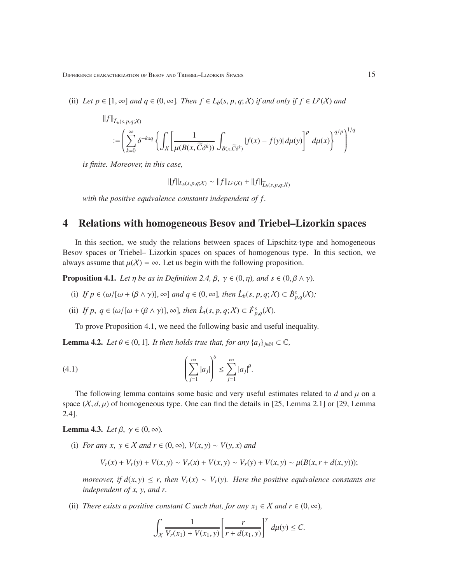(ii) *Let*  $p \in [1, \infty]$  *and*  $q \in (0, \infty]$ *. Then*  $f \in L_b(s, p, q; \mathcal{X})$  *if and only if*  $f \in L^p(\mathcal{X})$  *and* 

$$
\label{eq:3.1} \begin{split} &\|f\|_{\widetilde{L}_b(s,p,q;X)}\\ &:=\left(\sum_{k=0}^\infty \delta^{-ksq}\left\{\int_X\left[\frac{1}{\mu(B(x,\widetilde{C}\delta^k))}\int_{B(x,\widetilde{C}\delta^k)}|f(x)-f(y)|\,d\mu(y)\right]^p\,d\mu(x)\right\}^{q/p}\right)^{1/q}\\ \end{split}
$$

*is finite. Moreover, in this case,*

$$
||f||_{L_b(s,p,q;X)} \sim ||f||_{L^p(X)} + ||f||_{\widetilde{L}_b(s,p,q;X)}
$$

*with the positive equivalence constants independent of f .*

#### 4 Relations with homogeneous Besov and Triebel–Lizorkin spaces

In this section, we study the relations between spaces of Lipschitz-type and homogeneous Besov spaces or Triebel– Lizorkin spaces on spaces of homogenous type. In this section, we always assume that  $\mu(X) = \infty$ . Let us begin with the following proposition.

**Proposition 4.1.** *Let*  $\eta$  *be as in Definition 2.4,*  $\beta$ *,*  $\gamma \in (0, \eta)$ *, and*  $s \in (0, \beta \wedge \gamma)$ *.* 

- (i) If  $p \in (\omega/[\omega + (\beta \wedge \gamma)], \infty]$  and  $q \in (0, \infty]$ , then  $\dot{L}_b(s, p, q; \chi) \subset \dot{B}_{p,q}^s(\chi)$ ;
- (ii) If  $p, q \in (\omega/[\omega + (\beta \wedge \gamma)], \infty]$ , then  $\dot{L}_t(s, p, q; \chi) \subset \dot{F}_{p,q}^s(\chi)$ .

To prove Proposition 4.1, we need the following basic and useful inequality.

**Lemma 4.2.** *Let*  $\theta \in (0, 1]$ *. It then holds true that, for any*  $\{a_j\}_{j \in \mathbb{N}} \subset \mathbb{C}$ *,* 

(4.1) 
$$
\left(\sum_{j=1}^{\infty} |a_j|\right)^{\theta} \le \sum_{j=1}^{\infty} |a_j|^{\theta}.
$$

The following lemma contains some basic and very useful estimates related to  $d$  and  $\mu$  on a space  $(X, d, \mu)$  of homogeneous type. One can find the details in [25, Lemma 2.1] or [29, Lemma 2.4].

**Lemma 4.3.** *Let*  $\beta$ ,  $\gamma \in (0, \infty)$ *.* 

(i) *For any x, y*  $\in$  *X and r*  $\in$  (0, ∞), *V*(*x, y*) ~ *V*(*y, x*) *and* 

$$
V_r(x) + V_r(y) + V(x, y) \sim V_r(x) + V(x, y) \sim V_r(y) + V(x, y) \sim \mu(B(x, r + d(x, y))),
$$

*moreover, if*  $d(x, y) \le r$ , then  $V_r(x) \sim V_r(y)$ . Here the positive equivalence constants are *independent of x, y, and r.*

(ii) *There exists a positive constant C such that, for any*  $x_1 \in X$  *and*  $r \in (0, \infty)$ *,* 

$$
\int_{\mathcal{X}}\frac{1}{V_r(x_1)+V(x_1,y)}\left[\frac{r}{r+d(x_1,y)}\right]^\gamma\,d\mu(y)\leq C.
$$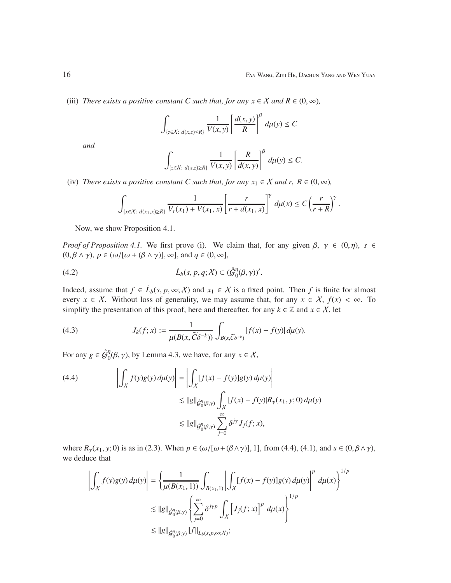(iii) *There exists a positive constant C such that, for any*  $x \in \mathcal{X}$  *and*  $R \in (0, \infty)$ *,* 

$$
\int_{\{z \in \mathcal{X} : d(x,z) \le R\}} \frac{1}{V(x,y)} \left[ \frac{d(x,y)}{R} \right]^{\beta} d\mu(y) \le C
$$

*and*

$$
\int_{\{z\in\mathcal{X}:\;d(x,z)\geq R\}}\frac{1}{V(x,y)}\left[\frac{R}{d(x,y)}\right]^\beta\,d\mu(y)\leq C.
$$

(iv) *There exists a positive constant C such that, for any*  $x_1 \in \mathcal{X}$  *and*  $r, R \in (0, \infty)$ *,* 

$$
\int_{\{x\in\mathcal{X}:\ d(x_1,x)\geq R\}}\frac{1}{V_r(x_1)+V(x_1,x)}\left[\frac{r}{r+d(x_1,x)}\right]^\gamma\ d\mu(x)\leq C\left(\frac{r}{r+R}\right)^\gamma.
$$

Now, we show Proposition 4.1.

*Proof of Proposition 4.1.* We first prove (i). We claim that, for any given  $\beta$ ,  $\gamma \in (0, \eta)$ ,  $s \in$  $(0, \beta \wedge \gamma), p \in (\omega/[\omega + (\beta \wedge \gamma)], \infty]$ , and  $q \in (0, \infty]$ ,

(4.2) 
$$
\dot{L}_b(s, p, q; \lambda) \subset (\mathring{\mathcal{G}}_0^{\eta}(\beta, \gamma))'.
$$

Indeed, assume that  $f \in L_b(s, p, \infty; X)$  and  $x_1 \in X$  is a fixed point. Then *f* is finite for almost every  $x \in X$ . Without loss of generality, we may assume that, for any  $x \in X$ ,  $f(x) < \infty$ . To simplify the presentation of this proof, here and thereafter, for any  $k \in \mathbb{Z}$  and  $x \in \mathcal{X}$ , let

(4.3) 
$$
J_k(f;x) := \frac{1}{\mu(B(x,\widetilde{C}\delta^{-k}))} \int_{B(x,\widetilde{C}\delta^{-k})} |f(x) - f(y)| d\mu(y).
$$

For any  $g \in \mathring{\mathcal{G}}_0^{\eta}$  $\eta_0^{\eta}(\beta, \gamma)$ , by Lemma 4.3, we have, for any  $x \in \mathcal{X}$ ,

(4.4)  
\n
$$
\left| \int_{\mathcal{X}} f(y)g(y) d\mu(y) \right| = \left| \int_{\mathcal{X}} [f(x) - f(y)]g(y) d\mu(y) \right|
$$
\n
$$
\leq ||g||_{\mathcal{G}_{0}^{\eta}(\beta,\gamma)} \int_{\mathcal{X}} |f(x) - f(y)| R_{\gamma}(x_{1}, y; 0) d\mu(y)
$$
\n
$$
\leq ||g||_{\mathcal{G}_{0}^{\eta}(\beta,\gamma)} \sum_{j=0}^{\infty} \delta^{j\gamma} J_{j}(f; x),
$$

where  $R_{\gamma}(x_1, y; 0)$  is as in (2.3). When  $p \in (\omega/[\omega + (\beta \wedge \gamma)], 1]$ , from (4.4), (4.1), and  $s \in (0, \beta \wedge \gamma)$ , we deduce that

$$
\left| \int_{\mathcal{X}} f(y)g(y) d\mu(y) \right| = \left\{ \frac{1}{\mu(B(x_1, 1))} \int_{B(x_1, 1)} \left| \int_{\mathcal{X}} [f(x) - f(y)]g(y) d\mu(y) \right|^p d\mu(x) \right\}^{1/p}
$$
  

$$
\lesssim ||g||_{\mathcal{G}_0^{\eta}(\beta, \gamma)} \left\{ \sum_{j=0}^{\infty} \delta^{j\gamma p} \int_{\mathcal{X}} \left[ J_j(f; x) \right]^p d\mu(x) \right\}^{1/p}
$$
  

$$
\lesssim ||g||_{\mathcal{G}_0^{\eta}(\beta, \gamma)} ||f||_{L_b(s, p, \infty; \mathcal{X})};
$$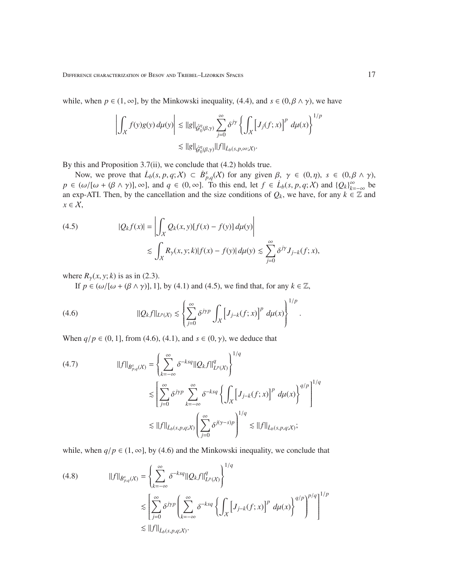while, when  $p \in (1, \infty]$ , by the Minkowski inequality, (4.4), and  $s \in (0, \beta \wedge \gamma)$ , we have

$$
\left| \int_X f(y)g(y) \, d\mu(y) \right| \lesssim \|g\|_{\mathring{\mathcal{G}}_0^{\eta}(\beta,\gamma)} \sum_{j=0}^{\infty} \delta^{j\gamma} \left\{ \int_X \left[ J_j(f;x) \right]^p \, d\mu(x) \right\}^{1/p}
$$
  

$$
\lesssim \|g\|_{\mathring{\mathcal{G}}_0^{\eta}(\beta,\gamma)} \|f\|_{\dot{L}_b(s,p,\infty;X)}.
$$

By this and Proposition 3.7(ii), we conclude that (4.2) holds true.

Now, we prove that  $\dot{L}_b(s, p, q; X) \subset \dot{B}_{p,q}^s(X)$  for any given  $\beta, \gamma \in (0, \eta), s \in (0, \beta \wedge \gamma),$  $p \in (\omega/[\omega + (\beta \wedge \gamma)], \infty]$ , and  $q \in (0, \infty]$ . To this end, let  $f \in L_b(s, p, q; \lambda)$  and  $\{Q_k\}_{k=-\infty}^{\infty}$  be an exp-ATI. Then, by the cancellation and the size conditions of  $Q_k$ , we have, for any  $k \in \mathbb{Z}$  and  $x \in \mathcal{X}$ ,

(4.5) 
$$
|Q_k f(x)| = \left| \int_X Q_k(x, y) [f(x) - f(y)] d\mu(y) \right|
$$

$$
\lesssim \int_X R_\gamma(x, y; k) |f(x) - f(y)| d\mu(y) \lesssim \sum_{j=0}^\infty \delta^{j\gamma} J_{j-k}(f; x),
$$

where  $R_{\gamma}(x, y; k)$  is as in (2.3).

If  $p \in (\omega/[\omega + (\beta \wedge \gamma)], 1]$ , by (4.1) and (4.5), we find that, for any  $k \in \mathbb{Z}$ ,

(4.6) 
$$
\|Q_k f\|_{L^p(X)} \lesssim \left\{\sum_{j=0}^{\infty} \delta^{j\gamma p} \int_X \left[J_{j-k}(f;x)\right]^p d\mu(x)\right\}^{1/p}.
$$

When  $q/p \in (0, 1]$ , from (4.6), (4.1), and  $s \in (0, \gamma)$ , we deduce that

$$
(4.7) \t\t\t\t||f||_{\dot{B}_{p,q}^{s}(X)} = \left\{ \sum_{k=-\infty}^{\infty} \delta^{-ksq} ||Q_{k}f||_{L^{p}(X)}^{q} \right\}^{1/q}
$$
  

$$
\lesssim \left[ \sum_{j=0}^{\infty} \delta^{j\gamma p} \sum_{k=-\infty}^{\infty} \delta^{-ksq} \left\{ \int_{X} \left[ J_{j-k}(f;x) \right]^{p} d\mu(x) \right\}^{q/p} \right]^{1/q}
$$
  

$$
\lesssim ||f||_{\dot{L}_{b}(s,p,q;X)} \left( \sum_{j=0}^{\infty} \delta^{j(\gamma-s)p} \right)^{1/q} \lesssim ||f||_{\dot{L}_{b}(s,p,q;X)};
$$

while, when  $q/p \in (1, \infty]$ , by (4.6) and the Minkowski inequality, we conclude that

$$
(4.8) \t\t\t||f||_{\dot{B}^{s}_{p,q}(X)} = \left\{ \sum_{k=-\infty}^{\infty} \delta^{-ksq} ||Q_{k}f||^{q}_{L^{p}(X)} \right\}^{1/q}
$$
  

$$
\lesssim \left[ \sum_{j=0}^{\infty} \delta^{j\gamma p} \left( \sum_{k=-\infty}^{\infty} \delta^{-ksq} \left\{ \int_{\mathcal{X}} \left[ J_{j-k}(f;x) \right]^{p} d\mu(x) \right\}^{q/p} \right\}^{1/p}
$$
  

$$
\lesssim ||f||_{L_{b}(s,p,q;X)}.
$$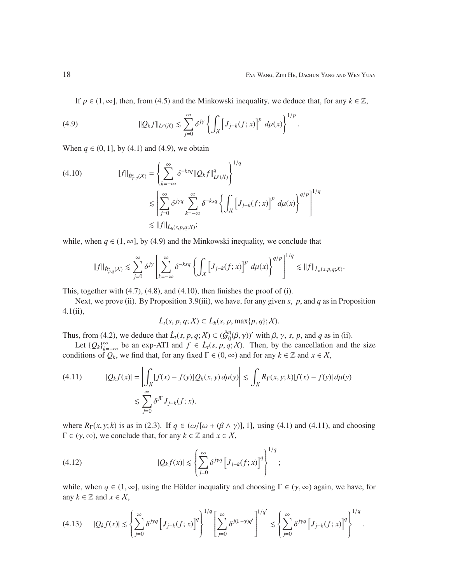If  $p \in (1, \infty]$ , then, from (4.5) and the Minkowski inequality, we deduce that, for any  $k \in \mathbb{Z}$ ,

(4.9) 
$$
\|Q_k f\|_{L^p(X)} \lesssim \sum_{j=0}^{\infty} \delta^{j\gamma} \left\{ \int_X \left[J_{j-k}(f;x)\right]^p d\mu(x) \right\}^{1/p}.
$$

When *q* ∈ (0, 1], by (4.1) and (4.9), we obtain

$$
(4.10) \t\t ||f||_{\dot{B}_{p,q}^{s}(X)} = \left\{ \sum_{k=-\infty}^{\infty} \delta^{-ksq} ||Q_{k}f||_{L^{p}(X)}^{q} \right\}^{1/q}
$$
  

$$
\lesssim \left[ \sum_{j=0}^{\infty} \delta^{j\gamma q} \sum_{k=-\infty}^{\infty} \delta^{-ksq} \left\{ \int_{X} \left[ J_{j-k}(f;x) \right]^{p} d\mu(x) \right\}^{q/p} \right]^{1/q}
$$
  

$$
\lesssim ||f||_{\dot{L}_{b}(s,p,q;X)};
$$

while, when  $q \in (1, \infty]$ , by (4.9) and the Minkowski inequality, we conclude that

$$
||f||_{\dot{B}^{s}_{p,q}(X)} \lesssim \sum_{j=0}^{\infty} \delta^{j\gamma} \left[ \sum_{k=-\infty}^{\infty} \delta^{-ksq} \left\{ \int_X \left[ J_{j-k}(f;x) \right]^p \ d\mu(x) \right\}^{q/p} \right]^{1/q} \lesssim ||f||_{\dot{L}_b(s,p,q;X)}.
$$

This, together with (4.7), (4.8), and (4.10), then finishes the proof of (i).

Next, we prove (ii). By Proposition 3.9(iii), we have, for any given *s*, *p*, and *q* as in Proposition 4.1(ii),

$$
\dot{L}_t(s, p, q; X) \subset \dot{L}_b(s, p, \max\{p, q\}; X).
$$

Thus, from (4.2), we deduce that  $\dot{L}_t(s, p, q; \lambda) \subset (\hat{\mathcal{G}}_0^{\eta})$  $\eta_0^{\eta}(\beta, \gamma)$ ' with  $\beta$ ,  $\gamma$ , s, p, and q as in (ii).

Let  ${Q_k}_{k=-\infty}^{\infty}$  be an exp-ATI and  $f \in L_t(s, p, q; X)$ . Then, by the cancellation and the size conditions of  $Q_k$ , we find that, for any fixed  $\Gamma \in (0, \infty)$  and for any  $k \in \mathbb{Z}$  and  $x \in \mathcal{X}$ ,

$$
(4.11) \qquad \qquad |\mathcal{Q}_k f(x)| = \left| \int_{\mathcal{X}} [f(x) - f(y)] \mathcal{Q}_k(x, y) \, d\mu(y) \right| \lesssim \int_{\mathcal{X}} R_\Gamma(x, y; k) |f(x) - f(y)| \, d\mu(y)
$$
\n
$$
\lesssim \sum_{j=0}^{\infty} \delta^{j\Gamma} J_{j-k}(f; x),
$$

where  $R_{\Gamma}(x, y; k)$  is as in (2.3). If  $q \in (\omega/[\omega + (\beta \wedge \gamma)]$ , 1], using (4.1) and (4.11), and choosing  $\Gamma \in (\gamma, \infty)$ , we conclude that, for any  $k \in \mathbb{Z}$  and  $x \in \mathcal{X}$ ,

(4.12) 
$$
|Q_k f(x)| \lesssim \left\{ \sum_{j=0}^{\infty} \delta^{j \gamma q} \left[ J_{j-k}(f;x) \right]^q \right\}^{1/q};
$$

while, when  $q \in (1, \infty]$ , using the Hölder inequality and choosing  $\Gamma \in (\gamma, \infty)$  again, we have, for any  $k \in \mathbb{Z}$  and  $x \in \mathcal{X}$ ,

$$
(4.13) \qquad |Q_k f(x)| \lesssim \left\{ \sum_{j=0}^\infty \delta^{j\gamma q} \left[J_{j-k}(f;x)\right]^q\right\}^{\frac{1}{q}} \left[\sum_{j=0}^\infty \delta^{j(\Gamma-\gamma)q'}\right]^{1/q'} \lesssim \left\{\sum_{j=0}^\infty \delta^{j\gamma q} \left[J_{j-k}(f;x)\right]^q\right\}^{1/q}.
$$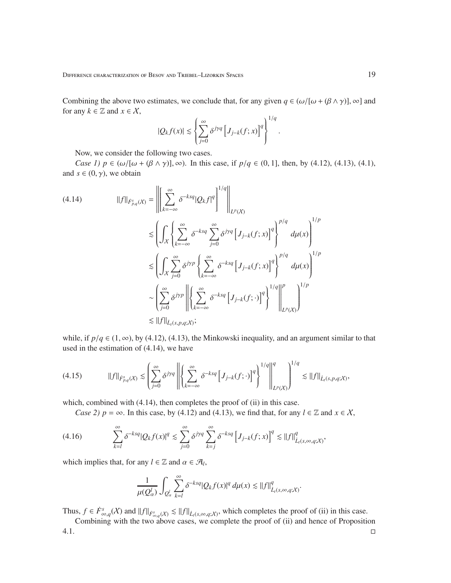Combining the above two estimates, we conclude that, for any given  $q \in (\omega/[\omega + (\beta \wedge \gamma)], \infty]$  and for any  $k \in \mathbb{Z}$  and  $x \in \mathcal{X}$ , 1/*q*

$$
|Q_k f(x)| \lesssim \left\{ \sum_{j=0}^{\infty} \delta^{j \gamma q} \left[ J_{j-k}(f; x) \right]^q \right\}^{1/q}.
$$

Now, we consider the following two cases.

*Case 1)*  $p \in (\omega/[\omega + (\beta \wedge \gamma)], \infty)$ . In this case, if  $p/q \in (0, 1]$ , then, by (4.12), (4.13), (4.1), and  $s \in (0, \gamma)$ , we obtain

$$
(4.14) \qquad ||f||_{\dot{F}^{s}_{p,q}(X)} = \left\| \left[ \sum_{k=-\infty}^{\infty} \delta^{-ksq} |Q_k f|^q \right]^{1/q} \right\|_{L^p(X)} \leq \left( \int_X \left\{ \sum_{k=-\infty}^{\infty} \delta^{-ksq} \sum_{j=0}^{\infty} \delta^{j\gamma q} \left[ J_{j-k}(f;x) \right]^q \right\}^{p/q} d\mu(x) \right\}^{1/p}
$$

$$
\leq \left( \int_X \sum_{j=0}^{\infty} \delta^{j\gamma p} \left\{ \sum_{k=-\infty}^{\infty} \delta^{-ksq} \left[ J_{j-k}(f;x) \right]^q \right\}^{p/q} d\mu(x) \right\}^{1/p}
$$

$$
\sim \left( \sum_{j=0}^{\infty} \delta^{j\gamma p} \left\| \left\{ \sum_{k=-\infty}^{\infty} \delta^{-ksq} \left[ J_{j-k}(f;\cdot) \right]^q \right\}^{1/q} \right\|_{L^p(X)}^p \right)^{1/p}
$$

$$
\leq ||f||_{\dot{L}_t(s,p,q;X)};
$$

while, if  $p/q \in (1, \infty)$ , by (4.12), (4.13), the Minkowski inequality, and an argument similar to that used in the estimation of (4.14), we have

$$
(4.15) \t\t\t||f||_{\dot{F}^{s}_{p,q}(X)} \lesssim \left(\sum_{j=0}^{\infty} \delta^{j\gamma q} \left\| \left\{ \sum_{k=-\infty}^{\infty} \delta^{-ksq} \left[J_{j-k}(f; \cdot)\right]^{q}\right\}^{1/q} \right\|_{L^{p}(X)}^{q} \right)^{1/q} \lesssim ||f||_{\dot{L}_{t}(s,p,q;X)},
$$

which, combined with (4.14), then completes the proof of (ii) in this case.

*Case 2)*  $p = \infty$ . In this case, by (4.12) and (4.13), we find that, for any  $l \in \mathbb{Z}$  and  $x \in \mathcal{X}$ ,

$$
(4.16) \qquad \qquad \sum_{k=l}^{\infty} \delta^{-ksq} |Q_k f(x)|^q \lesssim \sum_{j=0}^{\infty} \delta^{j\gamma q} \sum_{k=j}^{\infty} \delta^{-ksq} \left[ J_{j-k}(f;x) \right]^q \lesssim ||f||^q_{\dot{L}_t(s,\infty,q;X)},
$$

which implies that, for any  $l \in \mathbb{Z}$  and  $\alpha \in \mathcal{A}_l$ ,

$$
\frac{1}{\mu(Q_\alpha^l)}\int_{Q_\alpha^l} \sum_{k=l}^\infty \delta^{-ksq} |Q_kf(x)|^q\, d\mu(x)\lesssim \|f\|_{\dot{L}_l(s,\infty,q;{\cal X})}^q.
$$

Thus,  $f \in \dot{F}^s_{\infty,q}(X)$  and  $||f||_{\dot{F}^s_{\infty,q}(X)} \lesssim ||f||_{\dot{L}_t(s,\infty,q;X)}$ , which completes the proof of (ii) in this case.

Combining with the two above cases, we complete the proof of (ii) and hence of Proposition  $4.1.$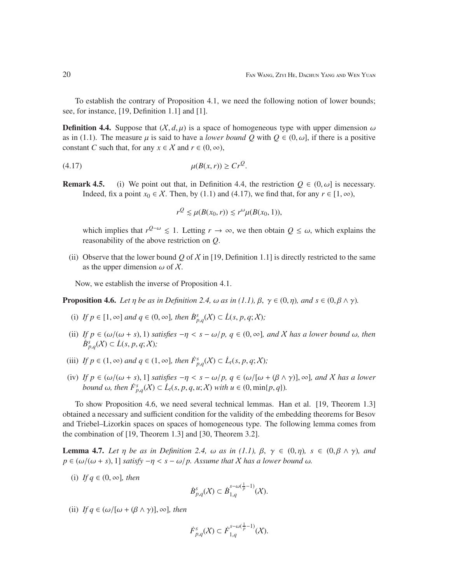To establish the contrary of Proposition 4.1, we need the following notion of lower bounds; see, for instance, [19, Definition 1.1] and [1].

**Definition 4.4.** Suppose that  $(X, d, \mu)$  is a space of homogeneous type with upper dimension  $\omega$ as in (1.1). The measure  $\mu$  is said to have a *lower bound Q* with  $Q \in (0, \omega]$ , if there is a positive constant *C* such that, for any  $x \in \mathcal{X}$  and  $r \in (0, \infty)$ ,

$$
\mu(B(x, r)) \ge Cr^Q.
$$

**Remark 4.5.** (i) We point out that, in Definition 4.4, the restriction  $Q \in (0, \omega]$  is necessary. Indeed, fix a point  $x_0 \in \mathcal{X}$ . Then, by (1.1) and (4.17), we find that, for any  $r \in [1, \infty)$ ,

$$
r^{\mathcal{Q}} \lesssim \mu(B(x_0, r)) \lesssim r^{\omega} \mu(B(x_0, 1)),
$$

which implies that  $r^{Q-\omega} \leq 1$ . Letting  $r \to \infty$ , we then obtain  $Q \leq \omega$ , which explains the reasonability of the above restriction on *Q*.

(ii) Observe that the lower bound *Q* of X in [19, Definition 1.1] is directly restricted to the same as the upper dimension  $\omega$  of X.

Now, we establish the inverse of Proposition 4.1.

**Proposition 4.6.** *Let*  $\eta$  *be as in Definition 2.4,*  $\omega$  *as in (1.1),*  $\beta$ ,  $\gamma \in (0, \eta)$ *, and s*  $\in (0, \beta \wedge \gamma)$ *.* 

- (i) *If*  $p \in [1, \infty]$  *and*  $q \in (0, \infty]$ *, then*  $\dot{B}_{p,q}^s(X) \subset \dot{L}(s, p, q; X)$ ;
- (ii) *If*  $p \in (\omega/(\omega + s), 1)$  *satisfies*  $-\eta < s \omega/p$ ,  $q \in (0, \infty]$ *, and* X *has a lower bound*  $\omega$ *, then*  $\dot{B}^s_{p,q}(X) \subset \dot{L}(s, p, q; X);$
- (iii) *If*  $p \in (1, \infty)$  *and*  $q \in (1, \infty)$ *, then*  $\dot{F}^s_{p,q}(X) \subset \dot{L}_t(s, p, q; X)$ ;
- (iv) *If*  $p \in (\omega/(\omega + s), 1]$  *satisfies*  $-\eta < s \omega/p$ ,  $q \in (\omega/[\omega + (\beta \wedge \gamma)], \infty]$ *, and* X *has a lower bound*  $\omega$ , then  $\dot{F}_{p,q}^s(\mathcal{X}) \subset \dot{L}_t(s, p, q, u; \mathcal{X})$  with  $u \in (0, \min\{p, q\})$ .

To show Proposition 4.6, we need several technical lemmas. Han et al. [19, Theorem 1.3] obtained a necessary and sufficient condition for the validity of the embedding theorems for Besov and Triebel–Lizorkin spaces on spaces of homogeneous type. The following lemma comes from the combination of [19, Theorem 1.3] and [30, Theorem 3.2].

**Lemma 4.7.** Let  $\eta$  be as in Definition 2.4,  $\omega$  as in (1.1),  $\beta$ ,  $\gamma \in (0, \eta)$ ,  $s \in (0, \beta \wedge \gamma)$ , and  $p \in (\omega/(\omega + s), 1]$  *satisfy*  $-\eta < s - \omega/p$ . Assume that X has a lower bound  $\omega$ .

(i) *If q*  $\in$  (0,  $\infty$ *), then* 

$$
\dot{B}_{p,q}^s(X) \subset \dot{B}_{1,q}^{s-\omega(\frac{1}{p}-1)}(X).
$$

(ii) *If*  $q \in (\omega/[\omega + (\beta \wedge \gamma)], \infty]$ *, then* 

$$
\dot{F}^s_{p,q}(X) \subset \dot{F}^{s-\omega(\frac{1}{p}-1)}_{1,q}(X).
$$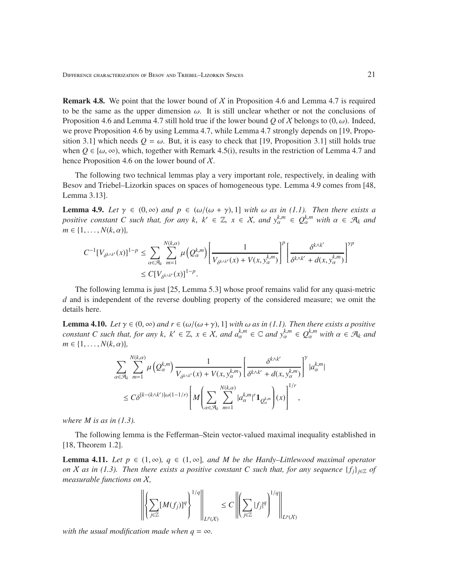**Remark 4.8.** We point that the lower bound of X in Proposition 4.6 and Lemma 4.7 is required to be the same as the upper dimension  $\omega$ . It is still unclear whether or not the conclusions of Proposition 4.6 and Lemma 4.7 still hold true if the lower bound *Q* of X belongs to  $(0, \omega)$ . Indeed, we prove Proposition 4.6 by using Lemma 4.7, while Lemma 4.7 strongly depends on [19, Proposition 3.1] which needs  $Q = \omega$ . But, it is easy to check that [19, Proposition 3.1] still holds true when  $Q \in [\omega, \infty)$ , which, together with Remark 4.5(i), results in the restriction of Lemma 4.7 and hence Proposition 4.6 on the lower bound of  $X$ .

The following two technical lemmas play a very important role, respectively, in dealing with Besov and Triebel–Lizorkin spaces on spaces of homogeneous type. Lemma 4.9 comes from [48, Lemma 3.13].

**Lemma 4.9.** *Let*  $\gamma \in (0, \infty)$  *and*  $p \in (\omega/(\omega + \gamma), 1]$  *with*  $\omega$  *as in* (1.1). Then there exists a *positive constant* C such that, for any k,  $k' \in \mathbb{Z}$ ,  $x \in \mathcal{X}$ , and  $y_{\alpha}^{k,m} \in Q_{\alpha}^{k,m}$  with  $\alpha \in \mathcal{A}_k$  and  $m \in \{1, \ldots, N(k, \alpha)\},\$ 

$$
C^{-1}[V_{\delta^{k\wedge k'}}(x)]^{1-p} \leq \sum_{\alpha \in \mathcal{A}_k} \sum_{m=1}^{N(k,\alpha)} \mu\left(Q_\alpha^{k,m}\right) \left[\frac{1}{V_{\delta^{k\wedge k'}}(x) + V(x, y_\alpha^{k,m})}\right]^p \left[\frac{\delta^{k\wedge k'}}{\delta^{k\wedge k'} + d(x, y_\alpha^{k,m})}\right]^{yp}
$$
  

$$
\leq C[V_{\delta^{k\wedge k'}}(x)]^{1-p}.
$$

The following lemma is just [25, Lemma 5.3] whose proof remains valid for any quasi-metric *d* and is independent of the reverse doubling property of the considered measure; we omit the details here.

**Lemma 4.10.** *Let*  $\gamma \in (0, \infty)$  *and*  $r \in (\omega/(\omega + \gamma), 1]$  *with*  $\omega$  *as in* (1.1). *Then there exists a positive constant* C such that, for any k,  $k' \in \mathbb{Z}$ ,  $x \in \mathcal{X}$ , and  $a_{\alpha}^{k,m} \in \mathbb{C}$  and  $y_{\alpha}^{k,m} \in Q_{\alpha}^{k,m}$  with  $\alpha \in \mathcal{A}_k$  and  $m \in \{1, \ldots, N(k, \alpha)\},\$ 

$$
\begin{split} & \sum_{\alpha \in \mathcal{A}_k} \sum_{m=1}^{N(k,\alpha)} \mu\left(Q_\alpha^{k,m}\right) \frac{1}{V_{\delta^{k \wedge k'}}(x) + V(x,y_\alpha^{k,m})} \left[ \frac{\delta^{k \wedge k'}}{\delta^{k \wedge k'} + d(x,y_\alpha^{k,m})} \right]^\gamma |a_\alpha^{k,m}| \\ & \leq C \delta^{[k-(k \wedge k')] \omega (1-1/r)} \left[ M \left( \sum_{\alpha \in \mathcal{A}_k} \sum_{m=1}^{N(k,\alpha)} |a_\alpha^{k,m}|^r \mathbf{1}_{Q_\alpha^{k,m}} \right) (x) \right]^{1/r}, \end{split}
$$

*where M is as in (1.3).*

The following lemma is the Fefferman–Stein vector-valued maximal inequality established in [18, Theorem 1.2].

**Lemma 4.11.** Let  $p \in (1,\infty)$ ,  $q \in (1,\infty)$ , and M be the Hardy–Littlewood maximal operator *on X as in* (1.3). Then there exists a positive constant C such that, for any sequence  $\{f_i\}_{i\in\mathbb{Z}}$  *of measurable functions on* X*,*

$$
\left\| \left\{ \sum_{j \in \mathbb{Z}} [M(f_j)]^q \right\}^{1/q} \right\|_{L^p(X)} \leq C \left\| \left( \sum_{j \in \mathbb{Z}} |f_j|^q \right)^{1/q} \right\|_{L^p(X)}
$$

*with the usual modification made when*  $q = \infty$ *.*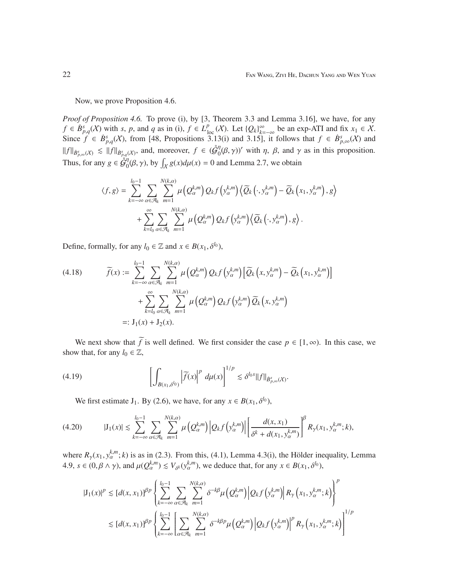Now, we prove Proposition 4.6.

*Proof of Proposition 4.6.* To prove (i), by [3, Theorem 3.3 and Lemma 3.16], we have, for any  $f \in B_{p,q}^s(X)$  with *s*, *p*, and *q* as in (i),  $f \in L_{loc}^p(X)$ . Let  $\{Q_k\}_{k=-\infty}^\infty$  be an exp-ATI and fix  $x_1 \in X$ . Since  $f \in B_{p,q}^s(X)$ , from [48, Propositions 3.13(i) and 3.15], it follows that  $f \in B_{p,\infty}^s(X)$  and  $||f||_{\dot{B}^s_{p,\infty}(X)} \le ||f||_{\dot{B}^s_{p,q}(X)},$  and, moreover,  $f \in (\mathring{\mathcal{G}}_0^{\eta})$  $\eta_0^{\eta}(\beta, \gamma)$ ' with  $\eta$ ,  $\beta$ , and  $\gamma$  as in this proposition. Thus, for any  $g \in \mathring{\mathcal{G}}_0^{\eta}$  $\int_0^{\eta} (\beta, \gamma)$ , by  $\int_X g(x) d\mu(x) = 0$  and Lemma 2.7, we obtain

$$
\langle f, g \rangle = \sum_{k=-\infty}^{l_0-1} \sum_{\alpha \in \mathcal{A}_k} \sum_{m=1}^{N(k,\alpha)} \mu\left(Q_{\alpha}^{k,m}\right) Q_k f\left(y_{\alpha}^{k,m}\right) \left\langle \widetilde{Q}_k\left(\cdot, y_{\alpha}^{k,m}\right) - \widetilde{Q}_k\left(x_1, y_{\alpha}^{k,m}\right), g \right\rangle + \sum_{k=l_0}^{\infty} \sum_{\alpha \in \mathcal{A}_k} \sum_{m=1}^{N(k,\alpha)} \mu\left(Q_{\alpha}^{k,m}\right) Q_k f\left(y_{\alpha}^{k,m}\right) \left\langle \widetilde{Q}_k\left(\cdot, y_{\alpha}^{k,m}\right), g \right\rangle.
$$

Define, formally, for any  $l_0 \in \mathbb{Z}$  and  $x \in B(x_1, \delta^{l_0})$ ,

$$
(4.18) \qquad \widetilde{f}(x) := \sum_{k=-\infty}^{l_0-1} \sum_{\alpha \in \mathcal{A}_k} \sum_{m=1}^{N(k,\alpha)} \mu\left(Q_{\alpha}^{k,m}\right) Q_k f\left(y_{\alpha}^{k,m}\right) \left[\widetilde{Q}_k\left(x, y_{\alpha}^{k,m}\right) - \widetilde{Q}_k\left(x_1, y_{\alpha}^{k,m}\right)\right] \\
+ \sum_{k=l_0}^{\infty} \sum_{\alpha \in \mathcal{A}_k} \sum_{m=1}^{N(k,\alpha)} \mu\left(Q_{\alpha}^{k,m}\right) Q_k f\left(y_{\alpha}^{k,m}\right) \widetilde{Q}_k\left(x, y_{\alpha}^{k,m}\right) \\
=: \mathcal{J}_1(x) + \mathcal{J}_2(x).
$$

We next show that  $\widetilde{f}$  is well defined. We first consider the case  $p \in [1, \infty)$ . In this case, we show that, for any  $l_0 \in \mathbb{Z}$ ,

(4.19) 
$$
\left[\int_{B(x_1,\delta^{l_0})}\left|\widetilde{f}(x)\right|^p d\mu(x)\right]^{1/p} \lesssim \delta^{l_0 s} \|f\|_{\dot{B}_{p,\infty}^s(X)}.
$$

We first estimate  $J_1$ . By (2.6), we have, for any  $x \in B(x_1, \delta^{l_0})$ ,

$$
(4.20) \t|J_1(x)| \lesssim \sum_{k=-\infty}^{l_0-1} \sum_{\alpha \in \mathcal{A}_k} \sum_{m=1}^{N(k,\alpha)} \mu\left(Q_{\alpha}^{k,m}\right) \left| Q_k f\left(y_{\alpha}^{k,m}\right) \right| \left[ \frac{d(x,x_1)}{\delta^k + d(x_1, y_{\alpha}^{k,m})} \right]^{\beta} R_{\gamma}(x_1, y_{\alpha}^{k,m}; k),
$$

where  $R_{\gamma}(x_1, y_{\alpha}^{k,m}; k)$  is as in (2.3). From this, (4.1), Lemma 4.3(i), the Hölder inequality, Lemma 4.9,  $s \in (0, \beta \wedge \gamma)$ , and  $\mu(Q_{\alpha}^{k,m}) \leq V_{\delta^k}(y_{\alpha}^{k,m})$ , we deduce that, for any  $x \in B(x_1, \delta^{l_0})$ ,

$$
|J_1(x)|^p \lesssim [d(x, x_1)]^{\beta p} \left\{ \sum_{k=-\infty}^{l_0-1} \sum_{\alpha \in \mathcal{A}_k} \sum_{m=1}^{N(k, \alpha)} \delta^{-k\beta} \mu\left(Q_{\alpha}^{k, m}\right) | Q_k f\left(y_{\alpha}^{k, m}\right) | R_{\gamma}\left(x_1, y_{\alpha}^{k, m}; k\right) \right\}^p
$$
  

$$
\lesssim [d(x, x_1)]^{\beta p} \left\{ \sum_{k=-\infty}^{l_0-1} \left[ \sum_{\alpha \in \mathcal{A}_k} \sum_{m=1}^{N(k, \alpha)} \delta^{-k\beta p} \mu\left(Q_{\alpha}^{k, m}\right) | Q_k f\left(y_{\alpha}^{k, m}\right) |^p R_{\gamma}\left(x_1, y_{\alpha}^{k, m}; k\right) \right]^{1/p}
$$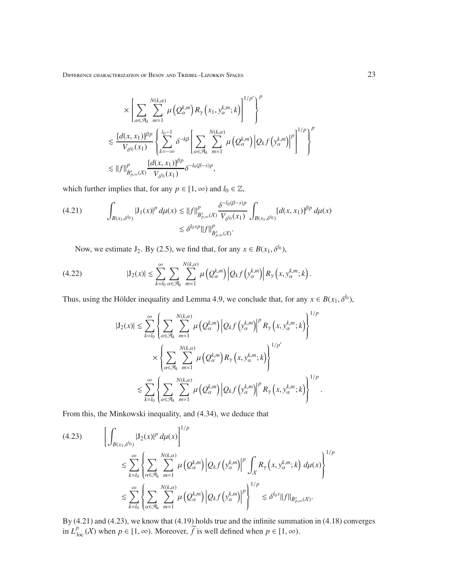$$
\times \left[ \sum_{\alpha \in \mathcal{A}_k} \sum_{m=1}^{N(k,\alpha)} \mu\left(Q_\alpha^{k,m}\right) R_\gamma\left(x_1, y_\alpha^{k,m}; k\right) \right]^{1/p'} \right]^p
$$
\n
$$
\leq \frac{[d(x, x_1)]^{\beta p}}{V_{\delta^{l_0}}(x_1)} \left\{ \sum_{k=-\infty}^{l_0-1} \delta^{-k\beta} \left[ \sum_{\alpha \in \mathcal{A}_k} \sum_{m=1}^{N(k,\alpha)} \mu\left(Q_\alpha^{k,m}\right) \left| Q_k f\left(y_\alpha^{k,m}\right) \right|^p \right\}^{1/p} \right\}^p
$$
\n
$$
\lesssim ||f||^p_{\dot{B}^s_{p,\infty}(X)} \frac{[d(x, x_1)]^{\beta p}}{V_{\delta^{l_0}}(x_1)} \delta^{-l_0(\beta - s)p},
$$

which further implies that, for any  $p \in [1, \infty)$  and  $l_0 \in \mathbb{Z}$ ,

$$
(4.21) \qquad \int_{B(x_1,\delta^{l_0})} |J_1(x)|^p \, d\mu(x) \lesssim ||f||_{\dot{B}^s_{p,\infty}(X)}^p \frac{\delta^{-l_0(\beta-s)p}}{V_{\delta^{l_0}}(x_1)} \int_{B(x_1,\delta^{l_0})} [d(x,x_1)]^{\beta p} \, d\mu(x) \lesssim \delta^{l_0 sp} ||f||_{\dot{B}^s_{p,\infty}(X)}^p.
$$

Now, we estimate  $J_2$ . By (2.5), we find that, for any  $x \in B(x_1, \delta^{l_0})$ ,

$$
(4.22) \t\t |J_2(x)| \lesssim \sum_{k=l_0}^{\infty} \sum_{\alpha \in \mathcal{A}_k} \sum_{m=1}^{N(k,\alpha)} \mu\left(Q_{\alpha}^{k,m}\right) \left|Q_k f\left(y_{\alpha}^{k,m}\right)\right| R_{\gamma}\left(x, y_{\alpha}^{k,m}; k\right).
$$

Thus, using the Hölder inequality and Lemma 4.9, we conclude that, for any  $x \in B(x_1, \delta^{l_0})$ ,

$$
\begin{split} |J_{2}(x)| &\lesssim \sum_{k=l_0}^{\infty} \left\{\sum_{\alpha\in\mathcal{A}_k}\sum_{m=1}^{N(k,\alpha)}\mu\left(Q^{k,m}_{\alpha}\right)\left|Q_{k}f\left(y^{k,m}_{\alpha}\right)\right|^{p}R_{\gamma}\left(x,y^{k,m}_{\alpha};k\right)\right\}^{1/p}\\ &\times\left\{\sum_{\alpha\in\mathcal{A}_k}\sum_{m=1}^{N(k,\alpha)}\mu\left(Q^{k,m}_{\alpha}\right)R_{\gamma}\left(x,y^{k,m}_{\alpha};k\right)\right\}^{1/p'}\\ &\lesssim \sum_{k=l_0}^{\infty}\left\{\sum_{\alpha\in\mathcal{A}_k}\sum_{m=1}^{N(k,\alpha)}\mu\left(Q^{k,m}_{\alpha}\right)\left|Q_{k}f\left(y^{k,m}_{\alpha}\right)\right|^{p}R_{\gamma}\left(x,y^{k,m}_{\alpha};k\right)\right\}^{1/p}. \end{split}
$$

From this, the Minkowski inequality, and (4.34), we deduce that

$$
(4.23) \qquad \left[\int_{B(x_1,\delta^{l_0})} |J_2(x)|^p \, d\mu(x)\right]^{1/p} \leq \sum_{k=l_0}^{\infty} \left\{\sum_{\alpha \in \mathcal{A}_k} \sum_{m=1}^{N(k,\alpha)} \mu\left(Q_{\alpha}^{k,m}\right) \left|\mathcal{Q}_k f\left(y_{\alpha}^{k,m}\right)\right|^p \int_{\mathcal{X}} R_{\gamma}\left(x, y_{\alpha}^{k,m}; k\right) \, d\mu(x)\right\}^{1/p} \leq \sum_{k=l_0}^{\infty} \left\{\sum_{\alpha \in \mathcal{A}_k} \sum_{m=1}^{N(k,\alpha)} \mu\left(Q_{\alpha}^{k,m}\right) \left|\mathcal{Q}_k f\left(y_{\alpha}^{k,m}\right)\right|^p\right\}^{1/p} \leq \delta^{l_0 s} \|f\|_{\dot{B}_{p,\infty}^s(\mathcal{X})}.
$$

By (4.21) and (4.23), we know that (4.19) holds true and the infinite summation in (4.18) converges in  $L^p_{loc}(\mathcal{X})$  when  $p \in [1, \infty)$ . Moreover,  $\widetilde{f}$  is well defined when  $p \in [1, \infty)$ .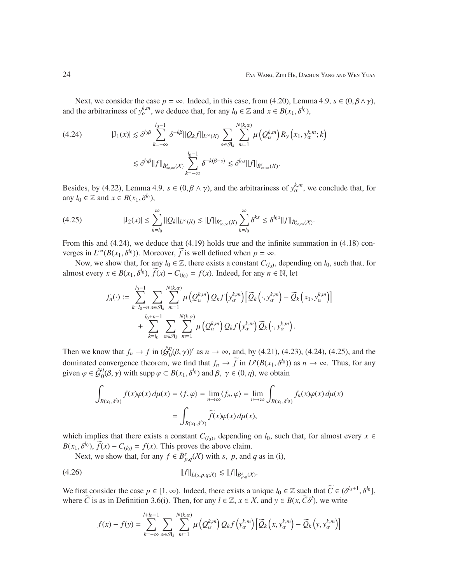Next, we consider the case  $p = \infty$ . Indeed, in this case, from (4.20), Lemma 4.9,  $s \in (0, \beta \wedge \gamma)$ , and the arbitrariness of  $y_\alpha^{k,m}$ , we deduce that, for any  $l_0 \in \mathbb{Z}$  and  $x \in B(x_1, \delta^{l_0})$ ,

$$
(4.24) \t|J_1(x)| \lesssim \delta^{l_0 \beta} \sum_{k=-\infty}^{l_0-1} \delta^{-k\beta} ||Q_k f||_{L^{\infty}(X)} \sum_{\alpha \in \mathcal{A}_k} \sum_{m=1}^{N(k,\alpha)} \mu\left(Q_{\alpha}^{k,m}\right) R_{\gamma}\left(x_1, y_{\alpha}^{k,m}; k\right)
$$

$$
\lesssim \delta^{l_0 \beta} ||f||_{\dot{B}_{\infty,\infty}^s(X)} \sum_{k=-\infty}^{l_0-1} \delta^{-k(\beta-s)} \lesssim \delta^{l_0 s} ||f||_{\dot{B}_{\infty,\infty}^s(X)}.
$$

Besides, by (4.22), Lemma 4.9,  $s \in (0, \beta \wedge \gamma)$ , and the arbitrariness of  $y_\alpha^{k,m}$ , we conclude that, for any  $l_0 \in \mathbb{Z}$  and  $x \in B(x_1, \delta^{l_0}),$ 

$$
(4.25) \t\t |J_2(x)| \lesssim \sum_{k=l_0}^{\infty} ||Q_k||_{L^{\infty}(\mathcal{X})} \lesssim ||f||_{\dot{B}^s_{\infty,\infty}(\mathcal{X})} \sum_{k=l_0}^{\infty} \delta^{ks} \lesssim \delta^{l_0 s} ||f||_{\dot{B}^s_{\infty,\infty}(\mathcal{X})}.
$$

From this and (4.24), we deduce that (4.19) holds true and the infinite summation in (4.18) converges in  $L^{\infty}(B(x_1, \delta^{l_0}))$ . Moreover,  $\widetilde{f}$  is well defined when  $p = \infty$ .

Now, we show that, for any  $l_0 \in \mathbb{Z}$ , there exists a constant  $C_{(l_0)}$ , depending on  $l_0$ , such that, for almost every  $x \in B(x_1, \delta^{l_0})$ ,  $\widetilde{f}(x) - C_{(l_0)} = f(x)$ . Indeed, for any  $n \in \mathbb{N}$ , let

$$
f_n(\cdot) := \sum_{k=l_0-n}^{l_0-1} \sum_{\alpha \in \mathcal{A}_k} \sum_{m=1}^{N(k,\alpha)} \mu\left(Q_\alpha^{k,m}\right) Q_k f\left(y_\alpha^{k,m}\right) \left[\widetilde{Q}_k\left(\cdot, y_\alpha^{k,m}\right) - \widetilde{Q}_k\left(x_1, y_\alpha^{k,m}\right)\right] + \sum_{k=l_0}^{l_0+n-1} \sum_{\alpha \in \mathcal{A}_k} \sum_{m=1}^{N(k,\alpha)} \mu\left(Q_\alpha^{k,m}\right) Q_k f\left(y_\alpha^{k,m}\right) \widetilde{Q}_k\left(\cdot, y_\alpha^{k,m}\right).
$$

Then we know that  $f_n \to f$  in  $(\mathcal{G}_0^{\eta})$  $\binom{n}{0}(\beta, \gamma)$ ' as  $n \to \infty$ , and, by (4.21), (4.23), (4.24), (4.25), and the dominated convergence theorem, we find that  $f_n \to \tilde{f}$  in  $L^p(B(x_1, \delta^{l_0}))$  as  $n \to \infty$ . Thus, for any given  $\varphi \in \mathring{\mathcal{G}}_0^{\eta}$  $\eta_0^{\eta}(\beta, \gamma)$  with supp  $\varphi \subset B(x_1, \delta^{l_0})$  and  $\beta, \gamma \in (0, \eta)$ , we obtain

$$
\int_{B(x_1,\delta^{l_0})} f(x)\varphi(x) d\mu(x) = \langle f, \varphi \rangle = \lim_{n \to \infty} \langle f_n, \varphi \rangle = \lim_{n \to \infty} \int_{B(x_1,\delta^{l_0})} f_n(x)\varphi(x) d\mu(x)
$$

$$
= \int_{B(x_1,\delta^{l_0})} \widetilde{f}(x)\varphi(x) d\mu(x),
$$

which implies that there exists a constant  $C_{(l_0)}$ , depending on  $l_0$ , such that, for almost every  $x \in$  $B(x_1, \delta^{l_0})$ ,  $\widetilde{f}(x) - C_{(l_0)} = f(x)$ . This proves the above claim.

Next, we show that, for any  $f \in \dot{B}_{p,q}^s(\mathcal{X})$  with *s*, *p*, and *q* as in (i),

$$
(4.26) \t\t\t\t\t||f||_{\dot{L}(s,p,q;X)} \lesssim ||f||_{\dot{B}_{p,q}^s(X)}
$$

We first consider the case  $p \in [1, \infty)$ . Indeed, there exists a unique  $l_0 \in \mathbb{Z}$  such that  $\widetilde{C} \in (\delta^{l_0+1}, \delta^{l_0}],$ where  $\tilde{C}$  is as in Definition 3.6(i). Then, for any  $l \in \mathbb{Z}$ ,  $x \in \mathcal{X}$ , and  $y \in B(x, \tilde{C}\delta^l)$ , we write

.

$$
f(x) - f(y) = \sum_{k=-\infty}^{l+l_0-1} \sum_{\alpha \in \mathcal{A}_k} \sum_{m=1}^{N(k,\alpha)} \mu\left(Q_{\alpha}^{k,m}\right) Q_k f\left(y_{\alpha}^{k,m}\right) \left[\widetilde{Q}_k\left(x, y_{\alpha}^{k,m}\right) - \widetilde{Q}_k\left(y, y_{\alpha}^{k,m}\right)\right]
$$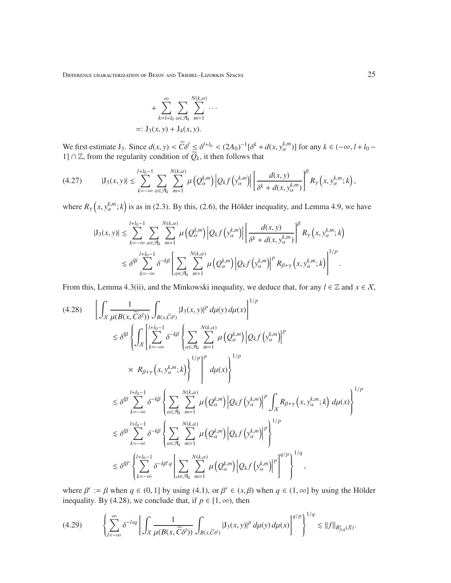$$
+\sum_{k=l+l_0}^{\infty}\sum_{\alpha\in\mathcal{A}_k}\sum_{m=1}^{N(k,\alpha)}\cdots
$$
  
=: J\_3(x,y) + J\_4(x,y).

We first estimate  $J_3$ . Since  $d(x, y) < \widetilde{C} \delta^l \leq \delta^{l+l_0} < (2A_0)^{-1} [\delta^k + d(x, y_{\alpha}^{k,m})]$  for any  $k \in (-\infty, l+l_0 - \delta^l)$ 1]  $\cap \mathbb{Z}$ , from the regularity condition of  $\widetilde{Q}_k$ , it then follows that

$$
(4.27) \t|J_3(x,y)| \lesssim \sum_{k=-\infty}^{l+l_0-1} \sum_{\alpha \in \mathcal{A}_k} \sum_{m=1}^{N(k,\alpha)} \mu\left(Q_{\alpha}^{k,m}\right) \left|Q_k f\left(y_{\alpha}^{k,m}\right)\right| \left[\frac{d(x,y)}{\delta^k + d(x,y_{\alpha}^{k,m})}\right]^{\beta} R_{\gamma}\left(x,y_{\alpha}^{k,m};k\right),
$$

where  $R_{\gamma}\left(x, y_{\alpha}^{k,m}; k\right)$  is as in (2.3). By this, (2.6), the Hölder inequality, and Lemma 4.9, we have

$$
|J_{3}(x,y)| \lesssim \sum_{k=-\infty}^{l+l_{0}-1} \sum_{\alpha \in \mathcal{A}_{k}} \sum_{m=1}^{N(k,\alpha)} \mu\left(Q_{\alpha}^{k,m}\right) \left|Q_{k} f\left(y_{\alpha}^{k,m}\right)\right| \left[\frac{d(x,y)}{\delta^{k}+d(x,y_{\alpha}^{k,m})}\right]^{\beta} R_{\gamma}\left(x,y_{\alpha}^{k,m};k\right)
$$
  

$$
\lesssim \delta^{l\beta} \sum_{k=-\infty}^{l+l_{0}-1} \delta^{-k\beta} \left[\sum_{\alpha \in \mathcal{A}_{k}} \sum_{m=1}^{N(k,\alpha)} \mu\left(Q_{\alpha}^{k,m}\right) \left|Q_{k} f\left(y_{\alpha}^{k,m}\right)\right|^{p} R_{\beta+\gamma}\left(x,y_{\alpha}^{k,m};k\right)\right]^{1/p}.
$$

From this, Lemma 4.3(ii), and the Minkowski inequality, we deduce that, for any  $l \in \mathbb{Z}$  and  $x \in \mathcal{X}$ ,

$$
(4.28) \qquad \left[ \int_{X} \frac{1}{\mu(B(x, \widetilde{C}\delta^{l}))} \int_{B(x, \widetilde{C}\delta^{l})} |J_{3}(x, y)|^{p} d\mu(y) d\mu(x) \right]^{1/p} \n\leq \delta^{l\beta} \left\{ \int_{X} \left[ \sum_{k=-\infty}^{l+l_{0}-1} \delta^{-k\beta} \left\{ \sum_{\alpha \in \mathcal{A}_{k}} \sum_{m=1}^{N(k,\alpha)} \mu(Q_{\alpha}^{k,m}) | Q_{k}f(y_{\alpha}^{k,m}) |^{p} \right. \right. \\ \left. \left. \times R_{\beta+\gamma}(x, y_{\alpha}^{k,m}; k) \right\}^{1/p} \right]^{1/p} d\mu(x) \right\}^{1/p} \n\leq \delta^{l\beta} \sum_{k=-\infty}^{l+l_{0}-1} \delta^{-k\beta} \left\{ \sum_{\alpha \in \mathcal{A}_{k}} \sum_{m=1}^{N(k,\alpha)} \mu(Q_{\alpha}^{k,m}) | Q_{k}f(y_{\alpha}^{k,m}) |^{p} \int_{X} R_{\beta+\gamma}(x, y_{\alpha}^{k,m}; k) d\mu(x) \right\}^{1/p} \n\leq \delta^{l\beta} \sum_{k=-\infty}^{l+l_{0}-1} \delta^{-k\beta} \left\{ \sum_{\alpha \in \mathcal{A}_{k}} \sum_{m=1}^{N(k,\alpha)} \mu(Q_{\alpha}^{k,m}) | Q_{k}f(y_{\alpha}^{k,m}) |^{p} \right\}^{1/p} \n\leq \delta^{l\beta'} \left\{ \sum_{k=-\infty}^{l+l_{0}-1} \delta^{-k\beta' q} \left[ \sum_{\alpha \in \mathcal{A}_{k}} \sum_{m=1}^{N(k,\alpha)} \mu(Q_{\alpha}^{k,m}) | Q_{k}f(y_{\alpha}^{k,m}) |^{p} \right]^{q/p} \right\}^{1/q},
$$

where  $\beta' := \beta$  when  $q \in (0, 1]$  by using (4.1), or  $\beta' \in (s, \beta)$  when  $q \in (1, \infty]$  by using the Hölder inequality. By (4.28), we conclude that, if  $p \in [1, \infty)$ , then

$$
(4.29) \qquad \left\{ \sum_{l=-\infty}^{\infty} \delta^{-lsq} \left[ \int_X \frac{1}{\mu(B(x,\widetilde{C}\delta^l))} \int_{B(x,\widetilde{C}\delta^l)} |J_3(x,y)|^p \, d\mu(y) \, d\mu(x) \right]^{q/p} \right\}^{1/q} \lesssim ||f||_{\dot{B}^s_{p,q}(X)}.
$$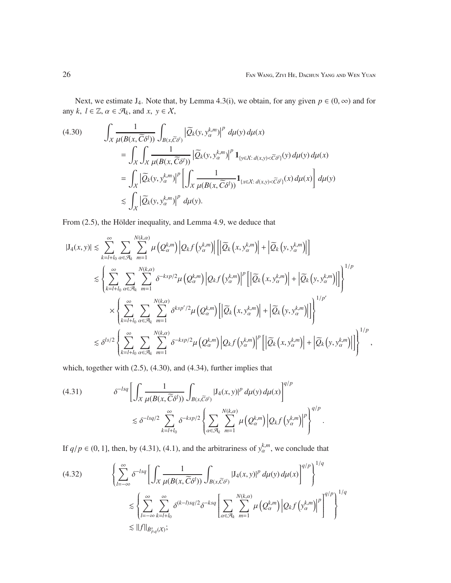.

Next, we estimate J<sub>4</sub>. Note that, by Lemma 4.3(i), we obtain, for any given  $p \in (0, \infty)$  and for any  $k, l \in \mathbb{Z}, \alpha \in \mathcal{A}_k$ , and  $x, y \in \mathcal{X}$ ,

$$
(4.30) \qquad \int_{X} \frac{1}{\mu(B(x, \widetilde{C}\delta^{l}))} \int_{B(x, \widetilde{C}\delta^{l})} \left| \widetilde{Q}_{k}(y, y_{\alpha}^{k,m}) \right|^{p} d\mu(y) d\mu(x)
$$
\n
$$
= \int_{X} \int_{X} \frac{1}{\mu(B(x, \widetilde{C}\delta^{l}))} \left| \widetilde{Q}_{k}(y, y_{\alpha}^{k,m}) \right|^{p} \mathbf{1}_{\{y \in X : d(x, y) < \widetilde{C}\delta^{l}\}}(y) d\mu(y) d\mu(x)
$$
\n
$$
= \int_{X} \left| \widetilde{Q}_{k}(y, y_{\alpha}^{k,m}) \right|^{p} \left[ \int_{X} \frac{1}{\mu(B(x, \widetilde{C}\delta^{l}))} \mathbf{1}_{\{x \in X : d(x, y) < \widetilde{C}\delta^{l}\}}(x) d\mu(x) \right] d\mu(y)
$$
\n
$$
\lesssim \int_{X} \left| \widetilde{Q}_{k}(y, y_{\alpha}^{k,m}) \right|^{p} d\mu(y).
$$

From (2.5), the Hölder inequality, and Lemma 4.9, we deduce that

$$
|J_{4}(x,y)| \leq \sum_{k=l+l_{0}}^{\infty} \sum_{\alpha \in \mathcal{A}_{k}}^{N(k,\alpha)} \mu(Q_{\alpha}^{k,m}) |Q_{k}f(y_{\alpha}^{k,m})| \left[ \left| \widetilde{Q}_{k}(x,y_{\alpha}^{k,m}) \right| + \left| \widetilde{Q}_{k}(y,y_{\alpha}^{k,m}) \right| \right] \times \left\{ \sum_{k=l+l_{0}}^{\infty} \sum_{\alpha \in \mathcal{A}_{k}}^{N(k,\alpha)} \sum_{m=1}^{N(k,\alpha)} \delta^{-ksp/2} \mu(Q_{\alpha}^{k,m}) |Q_{k}f(y_{\alpha}^{k,m})|^{p} \left[ \left| \widetilde{Q}_{k}(x,y_{\alpha}^{k,m}) \right| + \left| \widetilde{Q}_{k}(y,y_{\alpha}^{k,m}) \right| \right] \right\}^{1/p} \times \left\{ \sum_{k=l+l_{0}}^{\infty} \sum_{\alpha \in \mathcal{A}_{k}}^{N(k,\alpha)} \sum_{m=1}^{N(k,\alpha)} \delta^{ksp/2} \mu(Q_{\alpha}^{k,m}) \left[ \left| \widetilde{Q}_{k}(x,y_{\alpha}^{k,m}) \right| + \left| \widetilde{Q}_{k}(y,y_{\alpha}^{k,m}) \right| \right] \right\}^{1/p'} \right\}^{1/p'} \leq \delta^{ls/2} \left\{ \sum_{k=l+l_{0}}^{\infty} \sum_{\alpha \in \mathcal{A}_{k}}^{N(k,\alpha)} \sum_{m=1}^{N(k,\alpha)} \delta^{-ksp/2} \mu(Q_{\alpha}^{k,m}) |Q_{k}f(y_{\alpha}^{k,m})|^{p} \left[ \left| \widetilde{Q}_{k}(x,y_{\alpha}^{k,m}) \right| + \left| \widetilde{Q}_{k}(y,y_{\alpha}^{k,m}) \right| \right] \right\}^{1/p},
$$

which, together with (2.5), (4.30), and (4.34), further implies that

$$
(4.31) \qquad \delta^{-lsq} \left[ \int_X \frac{1}{\mu(B(x, \widetilde{C}\delta^l))} \int_{B(x, \widetilde{C}\delta^l)} |J_4(x, y)|^p \, d\mu(y) \, d\mu(x) \right]^{q/p}
$$

$$
\lesssim \delta^{-lsq/2} \sum_{k=l+l_0}^{\infty} \delta^{-ksp/2} \left\{ \sum_{\alpha \in \mathcal{A}_k} \sum_{m=1}^{N(k, \alpha)} \mu\left(Q_{\alpha}^{k,m}\right) \left| Q_k f\left(y_{\alpha}^{k,m}\right) \right|^p \right\}^{q/p}
$$

If  $q/p \in (0, 1]$ , then, by (4.31), (4.1), and the arbitrariness of  $y_\alpha^{k,m}$ , we conclude that

$$
(4.32) \qquad \left\{ \sum_{l=-\infty}^{\infty} \delta^{-lsq} \left[ \int_{\mathcal{X}} \frac{1}{\mu(B(x, \widetilde{C}\delta^{l}))} \int_{B(x, \widetilde{C}\delta^{l})} |J_{4}(x, y)|^{p} d\mu(y) d\mu(x) \right]^{q/p} \right\}^{1/q} \\ \leq \left\{ \sum_{l=-\infty}^{\infty} \sum_{k=l+l_{0}}^{\infty} \delta^{(k-l)sq/2} \delta^{-ksq} \left[ \sum_{\alpha \in \mathcal{A}_{k}} \sum_{m=1}^{N(k, \alpha)} \mu\left(Q_{\alpha}^{k, m}\right) \left| Q_{k} f\left(y_{\alpha}^{k, m}\right) \right|^{p} \right\}^{1/q} \\ \leq ||f||_{\dot{B}_{p,q}^{s}(X)};
$$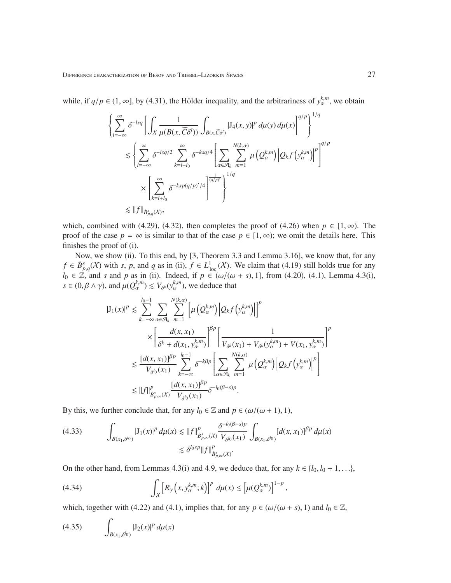while, if  $q/p \in (1, \infty]$ , by (4.31), the Hölder inequality, and the arbitrariness of  $y_\alpha^{k,m}$ , we obtain

$$
\left\{\sum_{l=-\infty}^{\infty} \delta^{-lsq} \left[\int_{\mathcal{X}} \frac{1}{\mu(B(x,\widetilde{C}\delta^{l}))} \int_{B(x,\widetilde{C}\delta^{l})} |J_4(x,y)|^p d\mu(y) d\mu(x)\right]^{q/p}\right\}^{1/q}
$$
  

$$
\lesssim \left\{\sum_{l=-\infty}^{\infty} \delta^{-lsq/2} \sum_{k=l+l_0}^{\infty} \delta^{-ksq/4} \left[\sum_{\alpha \in \mathcal{A}_k} \sum_{m=1}^{N(k,\alpha)} \mu\left(Q_{\alpha}^{k,m}\right) |Q_{k}f\left(y_{\alpha}^{k,m}\right)|^p\right]^{q/p}
$$
  

$$
\times \left[\sum_{k=l+l_0}^{\infty} \delta^{-ksp(q/p)'/4} \right]^{1/q}
$$
  

$$
\lesssim ||f||_{\dot{B}_{p,q}^s(\mathcal{X})},
$$

which, combined with (4.29), (4.32), then completes the proof of (4.26) when  $p \in [1, \infty)$ . The proof of the case  $p = \infty$  is similar to that of the case  $p \in [1, \infty)$ ; we omit the details here. This finishes the proof of (i).

Now, we show (ii). To this end, by [3, Theorem 3.3 and Lemma 3.16], we know that, for any  $f \in \dot{B}_{p,q}^{s}(\mathcal{X})$  with *s*, *p*, and *q* as in (ii),  $f \in L_{loc}^{1}(\mathcal{X})$ . We claim that (4.19) still holds true for any  $l_0 \in \mathbb{Z}$ , and *s* and *p* as in (ii). Indeed, if  $p \in (\omega/(\omega + s), 1]$ , from (4.20), (4.1), Lemma 4.3(i),  $s \in (0, \beta \wedge \gamma)$ , and  $\mu(Q_{\alpha}^{k,m}) \leq V_{\delta^k}(y_{\alpha}^{k,m})$ , we deduce that

$$
\begin{split} |{\bf J}_1(x)|^p &\lesssim \sum_{k=-\infty}^{l_0-1} \sum_{\alpha\in\mathcal{A}_k} \sum_{m=1}^{N(k,\alpha)} \left[\mu\left(Q^{k,m}_{\alpha}\right) \left|Q_k f\left(y^{k,m}_{\alpha}\right)\right|\right]^p\\ &\quad\times \left[\frac{d(x,x_1)}{\delta^k+d(x_1,y^{k,m}_{\alpha})}\right]^{\beta p} \left[\frac{1}{V_{\delta^k}(x_1)+V_{\delta^k}(y^{k,m}_{\alpha})+V(x_1,y^{k,m}_{\alpha})}\right]^p\\ &\lesssim \frac{[d(x,x_1)]^{\beta p}}{V_{\delta^l 0}(x_1)} \sum_{k=-\infty}^{l_0-1} \delta^{-k\beta p} \left[\sum_{\alpha\in\mathcal{A}_k} \sum_{m=1}^{N(k,\alpha)} \mu\left(Q^{k,m}_{\alpha}\right) \left|Q_k f\left(y^{k,m}_{\alpha}\right)\right|^p\right]\\ &\lesssim \|f\|^p_{\dot{B}^s_{p,\infty}(X)} \frac{[d(x,x_1)]^{\beta p}}{V_{\delta^l 0}(x_1)} \delta^{-l_0(\beta-s) p}. \end{split}
$$

By this, we further conclude that, for any  $l_0 \in \mathbb{Z}$  and  $p \in (\omega/(\omega + 1), 1)$ ,

$$
(4.33) \qquad \int_{B(x_1,\delta^{l_0})} |J_1(x)|^p \, d\mu(x) \lesssim ||f||_{\dot{B}^s_{p,\infty}(X)}^p \frac{\delta^{-l_0(\beta-s)p}}{V_{\delta^{l_0}}(x_1)} \int_{B(x_1,\delta^{l_0})} [d(x,x_1)]^{\beta p} \, d\mu(x) \lesssim \delta^{l_0 sp} ||f||_{\dot{B}^s_{p,\infty}(X)}^p.
$$

On the other hand, from Lemmas 4.3(i) and 4.9, we deduce that, for any  $k \in \{l_0, l_0 + 1, \ldots\}$ ,

(4.34) 
$$
\int_X \left[ R_\gamma\left(x, y_\alpha^{k,m}; k\right) \right]^p d\mu(x) \lesssim \left[ \mu(Q_\alpha^{k,m}) \right]^{1-p},
$$

which, together with (4.22) and (4.1), implies that, for any  $p \in (\omega/(\omega + s), 1)$  and  $l_0 \in \mathbb{Z}$ ,

(4.35) 
$$
\int_{B(x_1,\delta^{l_0})} |J_2(x)|^p d\mu(x)
$$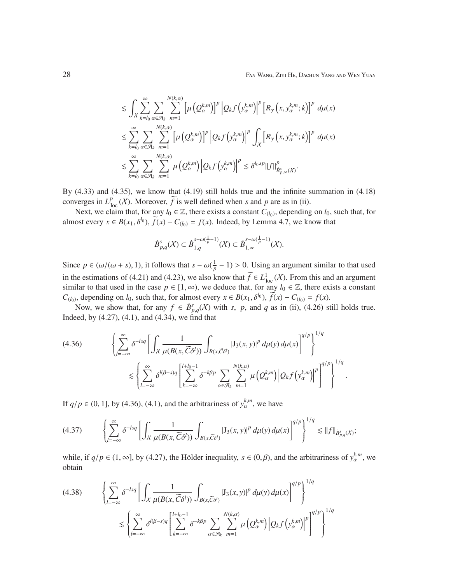$$
\leq \int_{X} \sum_{k=l_0}^{\infty} \sum_{\alpha \in \mathcal{A}_k} \sum_{m=1}^{N(k,\alpha)} \left[ \mu \left( Q_{\alpha}^{k,m} \right) \right]^p \left| Q_{k} f \left( y_{\alpha}^{k,m} \right) \right|^p \left[ R_{\gamma} \left( x, y_{\alpha}^{k,m}; k \right) \right]^p d\mu(x)
$$
  

$$
\leq \sum_{k=l_0}^{\infty} \sum_{\alpha \in \mathcal{A}_k} \sum_{m=1}^{N(k,\alpha)} \left[ \mu \left( Q_{\alpha}^{k,m} \right) \right]^p \left| Q_{k} f \left( y_{\alpha}^{k,m} \right) \right|^p \int_{X} \left[ R_{\gamma} \left( x, y_{\alpha}^{k,m}; k \right) \right]^p d\mu(x)
$$
  

$$
\leq \sum_{k=l_0}^{\infty} \sum_{\alpha \in \mathcal{A}_k} \sum_{m=1}^{N(k,\alpha)} \mu \left( Q_{\alpha}^{k,m} \right) \left| Q_{k} f \left( y_{\alpha}^{k,m} \right) \right|^p \leq \delta^{l_0 s p} \| f \|_{\dot{B}^s_{p,\infty}(X)}^p.
$$

By (4.33) and (4.35), we know that (4.19) still holds true and the infinite summation in (4.18) converges in  $L_{loc}^p(X)$ . Moreover,  $\widetilde{f}$  is well defined when *s* and *p* are as in (ii).

Next, we claim that, for any  $l_0 \in \mathbb{Z}$ , there exists a constant  $C_{(l_0)}$ , depending on  $l_0$ , such that, for almost every  $x \in B(x_1, \delta^{l_0})$ ,  $\widetilde{f}(x) - C_{(l_0)} = f(x)$ . Indeed, by Lemma 4.7, we know that

$$
\dot{B}_{p,q}^s(X) \subset \dot{B}_{1,q}^{s-\omega(\frac{1}{p}-1)}(X) \subset \dot{B}_{1,\infty}^{s-\omega(\frac{1}{p}-1)}(X).
$$

Since  $p \in (\omega/(\omega + s), 1)$ , it follows that  $s - \omega(\frac{1}{n})$  $\frac{1}{p}$  − 1) > 0. Using an argument similar to that used in the estimations of (4.21) and (4.23), we also know that  $\tilde{f} \in L^1_{loc}(\mathcal{X})$ . From this and an argument similar to that used in the case  $p \in [1, \infty)$ , we deduce that, for any  $l_0 \in \mathbb{Z}$ , there exists a constant *C*<sub>(*l*0</sub>), depending on *l*<sub>0</sub>, such that, for almost every  $x \in B(x_1, \delta^{l_0})$ ,  $\tilde{f}(x) - C_{(l_0)} = f(x)$ .

Now, we show that, for any  $f \in \dot{B}_{p,q}^s(\mathcal{X})$  with *s*, *p*, and *q* as in (ii), (4.26) still holds true. Indeed, by (4.27), (4.1), and (4.34), we find that

$$
(4.36) \qquad \left\{ \sum_{l=-\infty}^{\infty} \delta^{-lsq} \left[ \int_{\mathcal{X}} \frac{1}{\mu(B(x,\widetilde{C}\delta^{l}))} \int_{B(x,\widetilde{C}\delta^{l})} |J_{3}(x,y)|^{p} d\mu(y) d\mu(x) \right]^{q/p} \right\}^{1/q} \\ \lesssim \left\{ \sum_{l=-\infty}^{\infty} \delta^{l(\beta-s)q} \left[ \sum_{k=-\infty}^{l+l_{0}-1} \delta^{-k\beta p} \sum_{\alpha \in \mathcal{A}_{k}} \sum_{m=1}^{N(k,\alpha)} \mu\left(Q_{\alpha}^{k,m}\right) \left| Q_{k} f\left(y_{\alpha}^{k,m}\right) \right|^{p} \right]^{1/q} .
$$

If  $q/p \in (0, 1]$ , by (4.36), (4.1), and the arbitrariness of  $y_\alpha^{k,m}$ , we have

$$
(4.37) \qquad \left\{ \sum_{l=-\infty}^{\infty} \delta^{-lsq} \left[ \int_X \frac{1}{\mu(B(x,\widetilde{C}\delta^l))} \int_{B(x,\widetilde{C}\delta^l)} |J_3(x,y)|^p \, d\mu(y) \, d\mu(x) \right]^{q/p} \right\}^{1/q} \lesssim ||f||_{\dot{B}^s_{p,q}(X)};
$$

while, if  $q/p \in (1, \infty]$ , by (4.27), the Hölder inequality,  $s \in (0, \beta)$ , and the arbitrariness of  $y_\alpha^{k,m}$ , we obtain

$$
(4.38) \qquad \left\{ \sum_{l=-\infty}^{\infty} \delta^{-lsq} \left[ \int_{\mathcal{X}} \frac{1}{\mu(B(x, \widetilde{C}\delta^{l}))} \int_{B(x, \widetilde{C}\delta^{l})} |J_{3}(x, y)|^{p} d\mu(y) d\mu(x) \right]^{q/p} \right\}^{1/q} \\ \lesssim \left\{ \sum_{l=-\infty}^{\infty} \delta^{l(\beta - s)q} \left[ \sum_{k=-\infty}^{l+l_{0}-1} \delta^{-k\beta p} \sum_{\alpha \in \mathcal{A}_{k}} \sum_{m=1}^{N(k,\alpha)} \mu\left(Q_{\alpha}^{k,m}\right) \left| Q_{k} f\left(y_{\alpha}^{k,m}\right) \right|^{p} \right\}^{1/q} \right\}^{1/q}
$$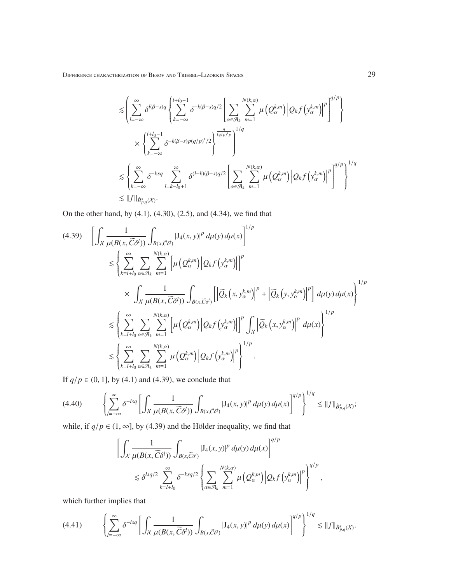$$
\leq \left( \sum_{l=-\infty}^{\infty} \delta^{l(\beta-s)q} \left\{ \sum_{k=-\infty}^{l+l_0-1} \delta^{-k(\beta+s)q/2} \left[ \sum_{\alpha \in \mathcal{A}_k} \sum_{m=1}^{N(k,\alpha)} \mu \left( Q_{\alpha}^{k,m} \right) \left| Q_k f \left( y_{\alpha}^{k,m} \right) \right|^p \right\}^{q/p} \right\} \times \left\{ \sum_{k=-\infty}^{l+l_0-1} \delta^{-k(\beta-s)p(q/p)'/2} \right\}^{\frac{q}{(q/p)'p}} \right)^{1/q} \leq \left\{ \sum_{k=-\infty}^{\infty} \delta^{-ksq} \sum_{l=k-l_0+1}^{\infty} \delta^{(l-k)(\beta-s)q/2} \left[ \sum_{\alpha \in \mathcal{A}_k} \sum_{m=1}^{N(k,\alpha)} \mu \left( Q_{\alpha}^{k,m} \right) \left| Q_k f \left( y_{\alpha}^{k,m} \right) \right|^p \right\}^{q/p} \right\}^{1/q} \leq ||f||_{\dot{B}^{s}_{p,q}(X)}.
$$

On the other hand, by (4.1), (4.30), (2.5), and (4.34), we find that

$$
(4.39) \quad \left[ \int_{X} \frac{1}{\mu(B(x, \widetilde{C}\delta^{l}))} \int_{B(x, \widetilde{C}\delta^{l})} |J_{4}(x, y)|^{p} d\mu(y) d\mu(x) \right]^{1/p}
$$
\n
$$
\leq \left\{ \sum_{k=l+l_{0}}^{\infty} \sum_{\alpha \in \mathcal{A}_{k}} \sum_{m=1}^{N(k, \alpha)} \left[ \mu\left(Q_{\alpha}^{k, m}\right) \left| Q_{k} f\left(y_{\alpha}^{k, m}\right) \right| \right]^{p}
$$
\n
$$
\times \int_{X} \frac{1}{\mu(B(x, \widetilde{C}\delta^{l}))} \int_{B(x, \widetilde{C}\delta^{l})} \left[ \left| \widetilde{Q}_{k}\left(x, y_{\alpha}^{k, m}\right) \right|^{p} + \left| \widetilde{Q}_{k}\left(y, y_{\alpha}^{k, m}\right) \right|^{p} \right] d\mu(y) d\mu(x) \right\}^{1/p}
$$
\n
$$
\leq \left\{ \sum_{k=l+l_{0}}^{\infty} \sum_{\alpha \in \mathcal{A}_{k}} \sum_{m=1}^{N(k, \alpha)} \left[ \mu\left(Q_{\alpha}^{k, m}\right) \left| Q_{k} f\left(y_{\alpha}^{k, m}\right) \right| \right]^{p} \int_{X} \left| \widetilde{Q}_{k}\left(x, y_{\alpha}^{k, m}\right) \right|^{p} d\mu(x) \right\}^{1/p}
$$
\n
$$
\leq \left\{ \sum_{k=l+l_{0}}^{\infty} \sum_{\alpha \in \mathcal{A}_{k}} \sum_{m=1}^{N(k, \alpha)} \mu\left(Q_{\alpha}^{k, m}\right) \left| Q_{k} f\left(y_{\alpha}^{k, m}\right) \right|^{p} \right\}^{1/p}.
$$

If  $q/p \in (0, 1]$ , by (4.1) and (4.39), we conclude that

$$
(4.40) \qquad \left\{ \sum_{l=-\infty}^{\infty} \delta^{-lsq} \left[ \int_X \frac{1}{\mu(B(x,\widetilde{C}\delta^l))} \int_{B(x,\widetilde{C}\delta^l)} |J_4(x,y)|^p \, d\mu(y) \, d\mu(x) \right]^{q/p} \right\}^{1/q} \lesssim ||f||_{\dot{B}^s_{p,q}(X)};
$$

while, if  $q/p \in (1, \infty]$ , by (4.39) and the Hölder inequality, we find that

$$
\left[\int_X \frac{1}{\mu(B(x,\widetilde{C}\delta^l))} \int_{B(x,\widetilde{C}\delta^l)} |J_4(x,y)|^p \, d\mu(y) \, d\mu(x)\right]^{q/p}
$$
  
\$\leq \delta^{lsq/2} \sum\_{k=l+l\_0}^{\infty} \delta^{-ksq/2} \left\{\sum\_{\alpha \in \mathcal{A}\_k} \sum\_{m=1}^{N(k,\alpha)} \mu\left(Q\_{\alpha}^{k,m}\right) \Big| Q\_k f\left(y\_{\alpha}^{k,m}\right)\Big|^p\right\}^{q/p},

which further implies that

$$
(4.41) \qquad \left\{ \sum_{l=-\infty}^{\infty} \delta^{-lsq} \left[ \int_X \frac{1}{\mu(B(x,\widetilde{C}\delta^l))} \int_{B(x,\widetilde{C}\delta^l)} |J_4(x,y)|^p \, d\mu(y) \, d\mu(x) \right]^{q/p} \right\}^{1/q} \lesssim ||f||_{\dot{B}^s_{p,q}(X)}.
$$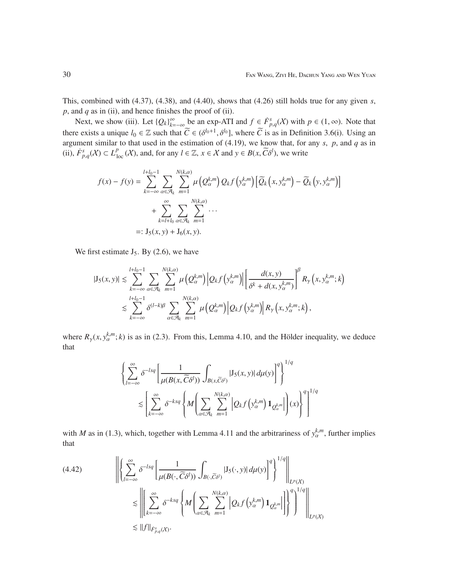This, combined with (4.37), (4.38), and (4.40), shows that (4.26) still holds true for any given *s*, *p*, and *q* as in (ii), and hence finishes the proof of (ii).

Next, we show (iii). Let  ${Q_k}_{k=-\infty}^{\infty}$  be an exp-ATI and  $f \in \dot{F}_{p,q}^s(\mathcal{X})$  with  $p \in (1,\infty)$ . Note that there exists a unique  $l_0 \in \mathbb{Z}$  such that  $\widetilde{C} \in (\delta^{l_0+1}, \delta^{l_0}]$ , where  $\widetilde{C}$  is as in Definition 3.6(i). Using an argument similar to that used in the estimation of (4.19), we know that, for any *s*, *p*, and *q* as in (ii),  $\dot{F}_{p,q}^s(\mathcal{X}) \subset L_{\text{loc}}^p(\mathcal{X})$ , and, for any  $l \in \mathbb{Z}$ ,  $x \in \mathcal{X}$  and  $y \in B(x, \widetilde{C}\delta^l)$ , we write

$$
f(x) - f(y) = \sum_{k=-\infty}^{l+l_0-1} \sum_{\alpha \in \mathcal{A}_k} \sum_{m=1}^{N(k,\alpha)} \mu\left(Q_{\alpha}^{k,m}\right) Q_k f\left(y_{\alpha}^{k,m}\right) \left[\widetilde{Q}_k\left(x, y_{\alpha}^{k,m}\right) - \widetilde{Q}_k\left(y, y_{\alpha}^{k,m}\right)\right] + \sum_{k=l+l_0}^{\infty} \sum_{\alpha \in \mathcal{A}_k} \sum_{m=1}^{N(k,\alpha)} \cdots
$$
  
=: J\_5(x, y) + J\_6(x, y).

We first estimate  $J_5$ . By (2.6), we have

$$
|J_5(x,y)| \leq \sum_{k=-\infty}^{l+l_0-1} \sum_{\alpha \in \mathcal{A}_k} \sum_{m=1}^{N(k,\alpha)} \mu\left(Q_{\alpha}^{k,m}\right) |Q_k f\left(y_{\alpha}^{k,m}\right)| \left[\frac{d(x,y)}{\delta^k + d(x,y_{\alpha}^{k,m})}\right]^{\beta} R_{\gamma}\left(x,y_{\alpha}^{k,m};k\right)
$$
  

$$
\lesssim \sum_{k=-\infty}^{l+l_0-1} \delta^{(l-k)\beta} \sum_{\alpha \in \mathcal{A}_k} \sum_{m=1}^{N(k,\alpha)} \mu\left(Q_{\alpha}^{k,m}\right) |Q_k f\left(y_{\alpha}^{k,m}\right) | R_{\gamma}\left(x,y_{\alpha}^{k,m};k\right),
$$

where  $R_{\gamma}(x, y_{\alpha}^{k,m}; k)$  is as in (2.3). From this, Lemma 4.10, and the Hölder inequality, we deduce that

$$
\left\{\sum_{l=-\infty}^{\infty} \delta^{-lsq} \left[\frac{1}{\mu(B(x,\widetilde{C}\delta^{l}))} \int_{B(x,\widetilde{C}\delta^{l})} |J_5(x,y)| d\mu(y)\right]^q\right\}^{1/q}
$$

$$
\lesssim \left[\sum_{k=-\infty}^{\infty} \delta^{-ksq} \left\{\right. \left.M \left(\sum_{\alpha \in \mathcal{A}_k} \sum_{m=1}^{N(k,\alpha)} \left|Q_k f\left(y_{\alpha}^{k,m}\right) \mathbf{1}_{Q_{\alpha}^{k,m}}\right|\right)(x)\right\}^q\right]^{1/q}
$$

with *M* as in (1.3), which, together with Lemma 4.11 and the arbitrariness of  $y_\alpha^{k,m}$ , further implies that

$$
(4.42)
$$
\n
$$
\left\| \left\{ \sum_{l=-\infty}^{\infty} \delta^{-lsq} \left[ \frac{1}{\mu(B(\cdot,\widetilde{C}\delta^{l}))} \int_{B(\cdot,\widetilde{C}\delta^{l})} |J_5(\cdot,y)| d\mu(y) \right]^q \right\}^{1/q} \right\|_{L^p(X)}
$$
\n
$$
\leq \left\| \left[ \sum_{k=-\infty}^{\infty} \delta^{-ksq} \left\{ M \left( \sum_{\alpha \in \mathcal{A}_k} \sum_{m=1}^{N(k,\alpha)} \left| Q_k f \left( y_{\alpha}^{k,m} \right) \mathbf{1}_{Q_{\alpha}^{k,m}} \right| \right] \right\}^{q} \right\}^{1/q} \right\|_{L^p(X)}
$$
\n
$$
\leq \|f\|_{F^s_{p,q}(X)}.
$$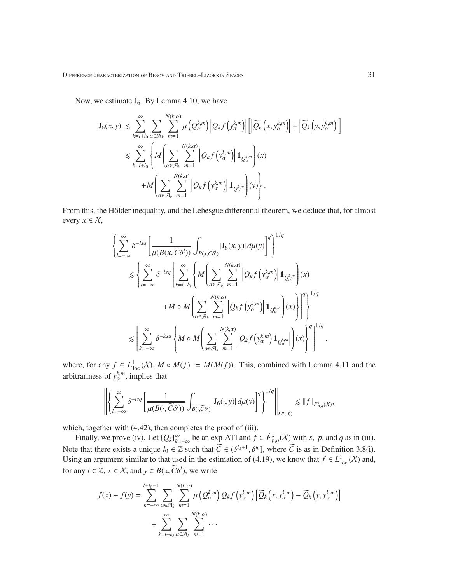Now, we estimate  $J_6$ . By Lemma 4.10, we have

$$
\begin{split} |J_{6}(x,y)|&\lesssim\sum_{k=l+l_{0}}^{\infty}\sum_{\alpha\in\mathcal{A}_{k}}\sum_{m=1}^{N(k,\alpha)}\mu\left(Q_{\alpha}^{k,m}\right)\left|Q_{k}f\left(y_{\alpha}^{k,m}\right)\right|\left[\left|\widetilde{Q}_{k}\left(x,y_{\alpha}^{k,m}\right)\right|+\left|\widetilde{Q}_{k}\left(y,y_{\alpha}^{k,m}\right)\right|\right] \\ &\lesssim\sum_{k=l+l_{0}}^{\infty}\left\{\left|M\left(\sum_{\alpha\in\mathcal{A}_{k}}\sum_{m=1}^{N(k,\alpha)}\left|Q_{k}f\left(y_{\alpha}^{k,m}\right)\right|\mathbf{1}_{Q_{\alpha}^{k,m}}\right)(x)\right. \\ &\left.+\left.M\left(\sum_{\alpha\in\mathcal{A}_{k}}\sum_{m=1}^{N(k,\alpha)}\left|Q_{k}f\left(y_{\alpha}^{k,m}\right)\right|\mathbf{1}_{Q_{\alpha}^{k,m}}\right)(y)\right.\right\}. \end{split}
$$

From this, the Hölder inequality, and the Lebesgue differential theorem, we deduce that, for almost every  $x \in \mathcal{X}$ ,

$$
\left\{\sum_{l=-\infty}^{\infty}\delta^{-lsq}\left[\frac{1}{\mu(B(x,\widetilde{C}\delta^{l}))}\int_{B(x,\widetilde{C}\delta^{l})}|J_{6}(x,y)|\,d\mu(y)\right]^{q}\right\}^{1/q} \n\lesssim \left\{\sum_{l=-\infty}^{\infty}\delta^{-lsq}\left[\sum_{k=l+l_{0}}^{\infty}\left\{M\left(\sum_{\alpha\in\mathcal{A}_{k}}\sum_{m=1}^{N(k,\alpha)}\left|\mathcal{Q}_{k}f\left(y^{k,m}_{\alpha}\right)\right|\mathbf{1}_{\mathcal{Q}_{\alpha}^{k,m}}\right)(x)\right. \right. \\ \left.\left.+M\circ M\left(\sum_{\alpha\in\mathcal{A}_{k}}\sum_{m=1}^{N(k,\alpha)}\left|\mathcal{Q}_{k}f\left(y^{k,m}_{\alpha}\right)\right|\mathbf{1}_{\mathcal{Q}_{\alpha}^{k,m}}\right)(x)\right\} \right\}^{q}\right\}^{1/q} \n\lesssim \left[\sum_{k=-\infty}^{\infty}\delta^{-ksq}\left\{M\circ M\left(\sum_{\alpha\in\mathcal{A}_{k}}\sum_{m=1}^{N(k,\alpha)}\left|\mathcal{Q}_{k}f\left(y^{k,m}_{\alpha}\right)\mathbf{1}_{\mathcal{Q}_{\alpha}^{k,m}}\right|\right)(x)\right\}^{q}\right]^{1/q},
$$

where, for any  $f \in L^1_{loc}(\mathcal{X})$ ,  $M \circ M(f) := M(M(f))$ . This, combined with Lemma 4.11 and the arbitrariness of  $y_\alpha^{k,m}$ , implies that

$$
\left\|\left\{\sum_{l=-\infty}^{\infty}\delta^{-l sq}\left[\frac{1}{\mu(B(\cdot,\widetilde{C}\delta^{l}))}\int_{B(\cdot,\widetilde{C}\delta^{l})}|J_6(\cdot,y)|\,d\mu(y)\right]^q\right\}^{1/q}\right\|_{L^p(X)}\lesssim \|f\|_{\dot{F}^{s}_{p,q}(X)},
$$

which, together with (4.42), then completes the proof of (iii).

Finally, we prove (iv). Let  ${Q_k}_{k=-\infty}^{\infty}$  be an exp-ATI and  $f \in \dot{F}_{p,q}^s(\mathcal{X})$  with *s*, *p*, and *q* as in (iii). Note that there exists a unique  $l_0 \in \mathbb{Z}$  such that  $\widetilde{C} \in (\delta^{l_0+1}, \delta^{l_0}]$ , where  $\widetilde{C}$  is as in Definition 3.8(i). Using an argument similar to that used in the estimation of (4.19), we know that  $f \in L^1_{loc}(\mathcal{X})$  and, for any  $l \in \mathbb{Z}, x \in \mathcal{X}$ , and  $y \in B(x, \widetilde{C}\delta^l)$ , we write

$$
f(x) - f(y) = \sum_{k=-\infty}^{l+l_0-1} \sum_{\alpha \in \mathcal{A}_k} \sum_{m=1}^{N(k,\alpha)} \mu\left(Q_{\alpha}^{k,m}\right) Q_k f\left(y_{\alpha}^{k,m}\right) \left[\widetilde{Q}_k\left(x, y_{\alpha}^{k,m}\right) - \widetilde{Q}_k\left(y, y_{\alpha}^{k,m}\right)\right] + \sum_{k=l+l_0}^{\infty} \sum_{\alpha \in \mathcal{A}_k} \sum_{m=1}^{N(k,\alpha)} \cdots
$$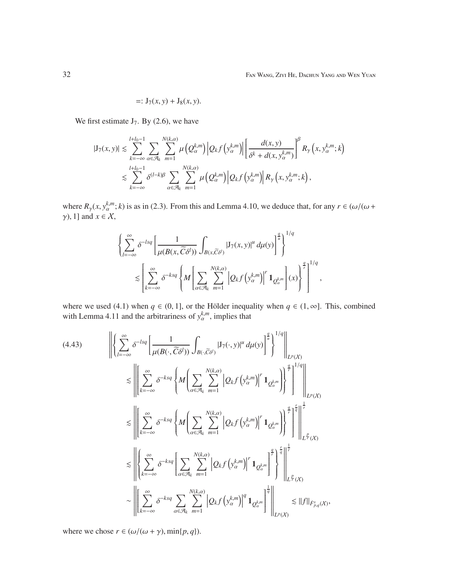$$
=: J_7(x, y) + J_8(x, y).
$$

We first estimate  $J_7$ . By (2.6), we have

$$
|J_{7}(x,y)| \lesssim \sum_{k=-\infty}^{l+l_{0}-1} \sum_{\alpha \in \mathcal{A}_{k}} \sum_{m=1}^{N(k,\alpha)} \mu\left(Q_{\alpha}^{k,m}\right) |Q_{k}f\left(y_{\alpha}^{k,m}\right)| \left[\frac{d(x,y)}{\delta^{k}+d(x,y_{\alpha}^{k,m})}\right]^{\beta} R_{\gamma}\left(x,y_{\alpha}^{k,m};k\right)
$$
  

$$
\lesssim \sum_{k=-\infty}^{l+l_{0}-1} \delta^{(l-k)\beta} \sum_{\alpha \in \mathcal{A}_{k}} \sum_{m=1}^{N(k,\alpha)} \mu\left(Q_{\alpha}^{k,m}\right) |Q_{k}f\left(y_{\alpha}^{k,m}\right)| R_{\gamma}\left(x,y_{\alpha}^{k,m};k\right),
$$

where  $R_{\gamma}(x, y_{\alpha}^{k,m}; k)$  is as in (2.3). From this and Lemma 4.10, we deduce that, for any  $r \in (\omega/(\omega +$  $\gamma$ ), 1] and  $x \in \mathcal{X}$ ,

$$
\left\{\sum_{l=-\infty}^{\infty}\delta^{-lsq}\left[\frac{1}{\mu(B(x,\widetilde{C}\delta^{l}))}\int_{B(x,\widetilde{C}\delta^{l})}|J_{7}(x,y)|^{u} d\mu(y)\right]^{\frac{q}{u}}\right\}^{1/q} \lesssim \left[\sum_{k=-\infty}^{\infty}\delta^{-ksq}\left\{M\left[\sum_{\alpha\in\mathcal{A}_{k}}\sum_{m=1}^{N(k,\alpha)}\left|\mathcal{Q}_{k}f\left(y_{\alpha}^{k,m}\right)\right|^{r}\mathbf{1}_{\mathcal{Q}_{\alpha}^{k,m}}\right](x)\right\}^{\frac{q}{r}}\right]^{1/q},
$$

where we used (4.1) when  $q \in (0, 1]$ , or the Hölder inequality when  $q \in (1, \infty]$ . This, combined with Lemma 4.11 and the arbitrariness of  $y_\alpha^{k,m}$ , implies that

$$
(4.43) \qquad \left\| \left\{ \sum_{l=-\infty}^{\infty} \delta^{-lsq} \left[ \frac{1}{\mu(B(\cdot,\widetilde{C}\delta^{l}))} \int_{B(\cdot,\widetilde{C}\delta^{l})} |J_{7}(\cdot,y)|^{u} d\mu(y) \right]^{u} \right\}^{1/q} \right\|_{L^{p}(X)} \leq \left\| \left[ \sum_{k=-\infty}^{\infty} \delta^{-ksq} \left\{ M \left( \sum_{\alpha \in \mathcal{A}_{k}} \sum_{m=1}^{N(k,\alpha)} \left| Q_{k} f \left( y_{\alpha}^{k,m} \right) \right|^{r} \mathbf{1}_{Q_{\alpha}^{k,m}} \right) \right\}^{u} \right\}^{1/q} \right\|_{L^{p}(X)} \leq \left\| \left[ \sum_{k=-\infty}^{\infty} \delta^{-ksq} \left\{ M \left( \sum_{\alpha \in \mathcal{A}_{k}} \sum_{m=1}^{N(k,\alpha)} \left| Q_{k} f \left( y_{\alpha}^{k,m} \right) \right|^{r} \mathbf{1}_{Q_{\alpha}^{k,m}} \right) \right\}^{u} \right\}^{u} \right\|_{L^{p}(X)} \leq \left\| \left\{ \sum_{k=-\infty}^{\infty} \delta^{-ksq} \left[ \sum_{\alpha \in \mathcal{A}_{k}} \sum_{m=1}^{N(k,\alpha)} \left| Q_{k} f \left( y_{\alpha}^{k,m} \right) \right|^{r} \mathbf{1}_{Q_{\alpha}^{k,m}} \right\}^{u} \right\}^{u} \right\|_{L^{p}(X)} \leq \left\| \left[ \sum_{k=-\infty}^{\infty} \delta^{-ksq} \sum_{\alpha \in \mathcal{A}_{k}} \sum_{m=1}^{N(k,\alpha)} \left| Q_{k} f \left( y_{\alpha}^{k,m} \right) \right|^{q} \mathbf{1}_{Q_{\alpha}^{k,m}} \right]^{u} \right\|_{L^{p}(X)} \leq ||f||_{F_{p,q}^{s}(X)},
$$

where we chose  $r \in (\omega/(\omega + \gamma), \min\{p, q\}).$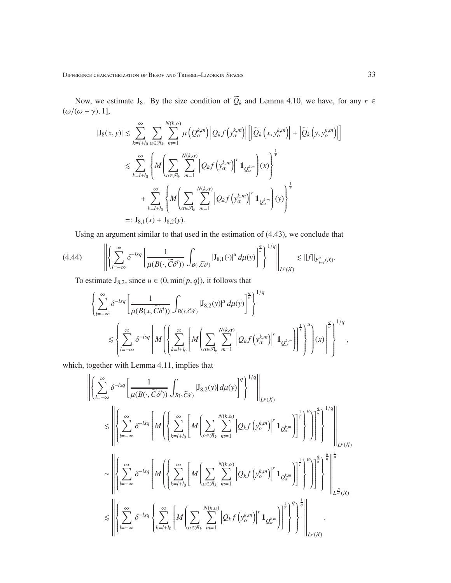Now, we estimate J<sub>8</sub>. By the size condition of  $\widetilde{Q}_k$  and Lemma 4.10, we have, for any  $r \in$  $(\omega/(\omega + \gamma), 1],$ 

$$
|J_8(x, y)| \leq \sum_{k=l+l_0}^{\infty} \sum_{\alpha \in \mathcal{A}_k} \sum_{m=1}^{N(k, \alpha)} \mu\left(Q_{\alpha}^{k,m}\right) |Q_k f\left(y_{\alpha}^{k,m}\right)| \left[\left|\widetilde{Q}_k\left(x, y_{\alpha}^{k,m}\right)\right| + \left|\widetilde{Q}_k\left(y, y_{\alpha}^{k,m}\right)\right|\right]
$$
  

$$
\leq \sum_{k=l+l_0}^{\infty} \left\{ M \left(\sum_{\alpha \in \mathcal{A}_k} \sum_{m=1}^{N(k, \alpha)} \left|Q_k f\left(y_{\alpha}^{k,m}\right)\right|^r \mathbf{1}_{Q_{\alpha}^{k,m}}\right)(x) \right\}^{\frac{1}{r}}
$$
  

$$
+ \sum_{k=l+l_0}^{\infty} \left\{ M \left(\sum_{\alpha \in \mathcal{A}_k} \sum_{m=1}^{N(k, \alpha)} \left|Q_k f\left(y_{\alpha}^{k,m}\right)\right|^r \mathbf{1}_{Q_{\alpha}^{k,m}}\right)(y) \right\}^{\frac{1}{r}}
$$
  

$$
=: J_{8,1}(x) + J_{8,2}(y).
$$

Using an argument similar to that used in the estimation of (4.43), we conclude that

$$
(4.44) \qquad \left\| \left\{ \sum_{l=-\infty}^{\infty} \delta^{-lsq} \left[ \frac{1}{\mu(B(\cdot,\widetilde{C}\delta^{l}))} \int_{B(\cdot,\widetilde{C}\delta^{l})} |J_{8,1}(\cdot)|^{u} \, d\mu(y) \right]^{\frac{q}{u}} \right\}^{1/q} \right\|_{L^{p}(X)} \lesssim \|f\|_{\dot{F}_{p,q}^{s}(X)}.
$$

To estimate  $J_{8,2}$ , since  $u \in (0, \min\{p, q\})$ , it follows that

$$
\left\{\sum_{l=-\infty}^{\infty} \delta^{-lsq} \left[\frac{1}{\mu(B(x,\widetilde{C}\delta^{l}))} \int_{B(x,\widetilde{C}\delta^{l})} |J_{8,2}(y)|^{u} d\mu(y)\right]^{\frac{q}{u}}\right\}^{1/q}
$$
  

$$
\lesssim \left\{\sum_{l=-\infty}^{\infty} \delta^{-lsq} \left[M\left(\sum_{k=l+l_{0}}^{\infty} \left[M\left(\sum_{\alpha \in \mathcal{A}_{k}} \sum_{m=1}^{N(k,\alpha)} \left|\mathcal{Q}_{k}f\left(y_{\alpha}^{k,m}\right)\right|^{r} \mathbf{1}_{\mathcal{Q}_{\alpha}^{k,m}}\right)\right]^{\frac{1}{r}}\right\}^{u}\right\}^{1/q}
$$

which, together with Lemma 4.11, implies that

$$
\left\| \left\{ \sum_{l=-\infty}^{\infty} \delta^{-lsq} \left[ \frac{1}{\mu(B(\cdot,\widetilde{C}\delta^{l}))} \int_{B(\cdot,\widetilde{C}\delta^{l})} |J_{8,2}(y)| d\mu(y) \right]^{q} \right\}^{1/q} \right\|_{L^{p}(X)} \leq \left\| \left\{ \sum_{l=-\infty}^{\infty} \delta^{-lsq} \left[ M \left( \left\{ \sum_{k=l+l_0}^{\infty} \left[ M \left( \sum_{\alpha \in \mathcal{A}_k} \sum_{m=1}^{N(k,\alpha)} \left| Q_{k} f \left( y_{\alpha}^{k,m} \right) \right|^{r} \mathbf{1}_{Q_{\alpha}^{k,m}} \right) \right]^{1} \right\}^{q} \right\}^{1/q} \right\|_{L^{p}(X)} \right\|_{L^{p}(X)} \times \left\| \left\{ \sum_{l=-\infty}^{\infty} \delta^{-lsq} \left[ M \left( \left\{ \sum_{k=l+l_0}^{\infty} \left[ M \left( \sum_{\alpha \in \mathcal{A}_k} \sum_{m=1}^{N(k,\alpha)} \left| Q_{k} f \left( y_{\alpha}^{k,m} \right) \right|^{r} \mathbf{1}_{Q_{\alpha}^{k,m}} \right) \right]^{1} \right\}^{q} \right\}^{1/q} \right\|_{L^{p}(X)} \right\|_{L^{p}(X)} \right\|_{L^{p}(X)}
$$

$$
\leq \left\| \left\{ \sum_{l=-\infty}^{\infty} \delta^{-lsq} \left\{ \sum_{k=l+l_0}^{\infty} \left[ M \left( \sum_{\alpha \in \mathcal{A}_k} \sum_{m=1}^{N(k,\alpha)} \left| Q_{k} f \left( y_{\alpha}^{k,m} \right) \right|^{r} \mathbf{1}_{Q_{\alpha}^{k,m}} \right) \right]^{1/q} \right\}^{1/q} \right\} \right\|_{L^{p}(X)} \right\|_{L^{p}(X)}
$$

,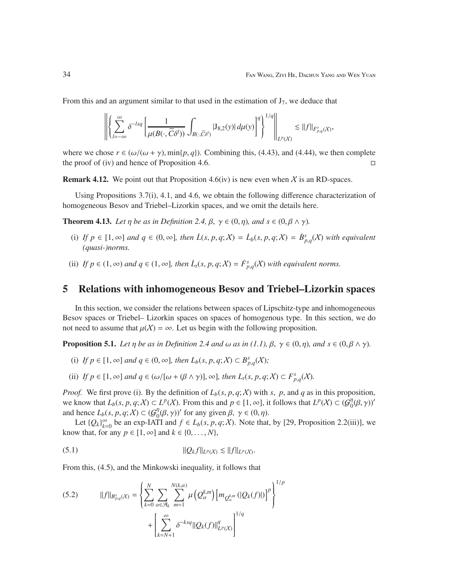From this and an argument similar to that used in the estimation of  $J_7$ , we deduce that

$$
\left\|\left\{\sum_{l=-\infty}^\infty \delta^{-l sq}\left[\frac{1}{\mu(B(\cdot,\widetilde{C}\delta^l))}\int_{B(\cdot,\widetilde{C}\delta^l)}|J_{8,2}(y)|\,d\mu(y)\right]^q\right\}^{1/q}\right\|_{L^p(X)}\lesssim \|f\|_{\dot{F}^{s}_{p,q}(X)},
$$

where we chose  $r \in (\omega/(\omega + \gamma), \min\{p, q\})$ . Combining this, (4.43), and (4.44), we then complete the proof of (iv) and hence of Proposition 4.6.

**Remark 4.12.** We point out that Proposition 4.6(iv) is new even when  $X$  is an RD-spaces.

Using Propositions 3.7(i), 4.1, and 4.6, we obtain the following difference characterization of homogeneous Besov and Triebel–Lizorkin spaces, and we omit the details here.

**Theorem 4.13.** *Let*  $\eta$  *be as in Definition 2.4,*  $\beta$ ,  $\gamma \in (0, \eta)$ *, and s*  $\in (0, \beta \land \gamma)$ *.* 

- (i) If  $p \in [1, \infty]$  and  $q \in (0, \infty]$ , then  $\dot{L}(s, p, q; \chi) = \dot{L}_b(s, p, q; \chi) = \dot{B}_{p,q}^s(\chi)$  with equivalent *(quasi-)norms.*
- (ii) If  $p \in (1, \infty)$  and  $q \in (1, \infty]$ , then  $\dot{L}_t(s, p, q; X) = \dot{F}_{p,q}^s(X)$  with equivalent norms.

## 5 Relations with inhomogeneous Besov and Triebel–Lizorkin spaces

In this section, we consider the relations between spaces of Lipschitz-type and inhomogeneous Besov spaces or Triebel– Lizorkin spaces on spaces of homogenous type. In this section, we do not need to assume that  $\mu(\chi) = \infty$ . Let us begin with the following proposition.

**Proposition 5.1.** *Let*  $\eta$  *be as in Definition 2.4 and*  $\omega$  *as in* (1.1),  $\beta$ ,  $\gamma \in (0, \eta)$ , and  $s \in (0, \beta \wedge \gamma)$ .

- (i) *If*  $p \in [1, \infty]$  *and*  $q \in (0, \infty]$ *, then*  $L_b(s, p, q; \mathcal{X}) \subset B_{p,q}^s(\mathcal{X})$ *;*
- (ii) *If*  $p \in [1, \infty]$  *and*  $q \in (\omega/[\omega + (\beta \wedge \gamma)], \infty]$ *, then*  $L_t(s, p, q; \chi) \subset F_{p,q}^s(\chi)$ *.*

*Proof.* We first prove (i). By the definition of  $L_b(s, p, q; X)$  with *s*, *p*, and *q* as in this proposition, we know that  $L_b(s, p, q; \lambda) \subset L^p(\lambda)$ . From this and  $p \in [1, \infty]$ , it follows that  $L^p(\lambda) \subset (\mathcal{G}_0^{\eta})$  $\int_0^{\eta}(\beta,\gamma)$ ' and hence  $L_b(s, p, q; \lambda) \subset (\mathcal{G}_0^{\eta})$  $\eta_0^{\eta}(\beta, \gamma)$ ' for any given  $\beta, \gamma \in (0, \eta)$ .

Let  $\{Q_k\}_{k=0}^{\infty}$  be an exp-IATI and  $f \in L_b(s, p, q; \mathcal{X})$ . Note that, by [29, Proposition 2.2(iii)], we know that, for any  $p \in [1, \infty]$  and  $k \in \{0, \ldots, N\}$ ,

$$
||Q_k f||_{L^p(X)} \lesssim ||f||_{L^p(X)}.
$$

From this, (4.5), and the Minkowski inequality, it follows that

(5.2) 
$$
||f||_{B_{p,q}^s(X)} = \left\{ \sum_{k=0}^N \sum_{\alpha \in \mathcal{A}_k} \sum_{m=1}^{N(k,\alpha)} \mu\left(Q_{\alpha}^{k,m}\right) \left[m_{Q_{\alpha}^{k,m}}\left(|Q_k(f)|\right)\right]^p \right\}^{1/p} + \left[\sum_{k=N+1}^{\infty} \delta^{-ksq} ||Q_k(f)||_{L^p(X)}^q\right]^{1/q}
$$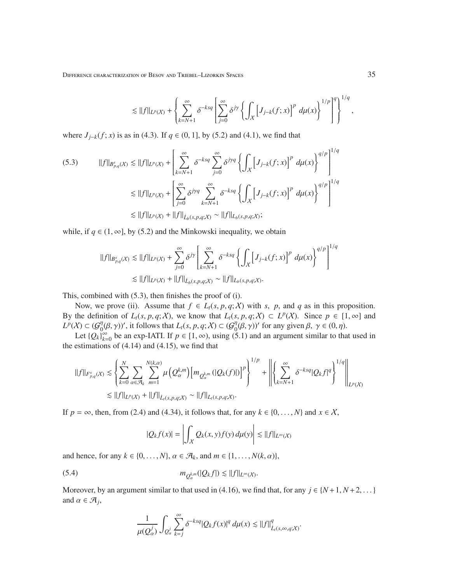$$
\lesssim \|f\|_{L^p(X)} + \left\{\sum_{k=N+1}^\infty \delta^{-ksq} \left[\sum_{j=0}^\infty \delta^{j\gamma} \left\{\int_X \left[J_{j-k}(f;x)\right]^p \ d\mu(x)\right\}^{1/p}\right]^q\right\}^{1/q},
$$

where *J*<sub>*j*−*k*</sub>(*f*; *x*) is as in (4.3). If *q* ∈ (0, 1], by (5.2) and (4.1), we find that

$$
(5.3) \qquad ||f||_{B_{p,q}^s(X)} \lesssim ||f||_{L^p(X)} + \left[ \sum_{k=N+1}^{\infty} \delta^{-ksq} \sum_{j=0}^{\infty} \delta^{j\gamma q} \left\{ \int_X \left[ J_{j-k}(f;x) \right]^p d\mu(x) \right\}^{q/p} \right]^{1/q}
$$
  

$$
\lesssim ||f||_{L^p(X)} + \left[ \sum_{j=0}^{\infty} \delta^{j\gamma q} \sum_{k=N+1}^{\infty} \delta^{-ksq} \left\{ \int_X \left[ J_{j-k}(f;x) \right]^p d\mu(x) \right\}^{q/p} \right]^{1/q}
$$
  

$$
\lesssim ||f||_{L^p(X)} + ||f||_{L_b(s,p,q;X)} \sim ||f||_{L_b(s,p,q;X)};
$$

while, if  $q \in (1, \infty)$ , by (5.2) and the Minkowski inequality, we obtain

$$
\begin{aligned} ||f||_{B^s_{p,q}(X)} &\lesssim ||f||_{L^p(X)} + \sum_{j=0}^\infty \delta^{j\gamma} \left[ \sum_{k=N+1}^\infty \delta^{-ksq} \left\{ \int_X \left[ J_{j-k}(f;x) \right]^p \ d\mu(x) \right\}^{q/p} \right]^{1/q} \\ &\lesssim ||f||_{L^p(X)} + ||f||_{\dot{L}_b(s,p,q;X)} \sim ||f||_{L_b(s,p,q;X)}. \end{aligned}
$$

This, combined with (5.3), then finishes the proof of (i).

Now, we prove (ii). Assume that  $f \in L_t(s, p, q; X)$  with *s*, *p*, and *q* as in this proposition. By the definition of  $L_t(s, p, q; \lambda)$ , we know that  $L_t(s, p, q; \lambda) \subset L^p(\lambda)$ . Since  $p \in [1, \infty]$  and *L*<sup>*p*</sup>(*X*) ⊂ ( $\mathcal{G}_0^{\eta}$  $\mathcal{O}_0^{\eta}(\beta, \gamma)$ ', it follows that  $L_t(s, p, q; \mathcal{X}) \subset (\mathcal{G}_0^{\eta})$  $\eta_0^{\eta}(\beta, \gamma)$ ' for any given  $\beta, \gamma \in (0, \eta)$ .

Let  ${Q_k}_{k=0}^{\infty}$  be an exp-IATI. If  $p \in [1, \infty)$ , using (5.1) and an argument similar to that used in the estimations of  $(4.14)$  and  $(4.15)$ , we find that

$$
\begin{split} ||f||_{F^s_{p,q}(\mathcal{X})}&\lesssim \left\{\sum_{k=0}^N\sum_{\alpha\in\mathcal{A}_k}\sum_{m=1}^{N(k,\alpha)}\mu\left(Q^{k,m}_{\alpha}\right)\left[m_{Q^{k,m}_{\alpha}}\left(|Q_k(f)|\right)\right]^p\right\}^{1/p}+\left\|\left\{\sum_{k=N+1}^\infty\delta^{-ksq}|Q_kf|^q\right\}^{1/q}\right\|_{L^p(\mathcal{X})}\\ &\lesssim ||f||_{L^p(\mathcal{X})}+\|f\|_{\dot{L}_t(s,p,q;\mathcal{X})}\sim \|f\|_{L_t(s,p,q;\mathcal{X})}. \end{split}
$$

If  $p = \infty$ , then, from (2.4) and (4.34), it follows that, for any  $k \in \{0, ..., N\}$  and  $x \in \mathcal{X}$ ,

$$
|Q_k f(x)| = \left| \int_X Q_k(x, y) f(y) \, d\mu(y) \right| \lesssim ||f||_{L^{\infty}(X)}
$$

and hence, for any  $k \in \{0, \ldots, N\}$ ,  $\alpha \in \mathcal{A}_k$ , and  $m \in \{1, \ldots, N(k, \alpha)\}$ ,

$$
(5.4) \t\t\t\t m_{Q_{\alpha}^{k,m}}(|Q_k f|) \lesssim ||f||_{L^{\infty}(X)}.
$$

Moreover, by an argument similar to that used in (4.16), we find that, for any  $j \in \{N+1, N+2, \dots\}$ and  $\alpha \in \mathcal{A}_j$ ,

$$
\frac{1}{\mu(Q_{\alpha}^{j})}\int_{Q_{\alpha}^{j}}\sum_{k=j}^{\infty}\delta^{-ksq}|Q_{k}f(x)|^{q} d\mu(x)\lesssim||f||_{\dot{L}_{t}(s,\infty,q;X)}^{q}.
$$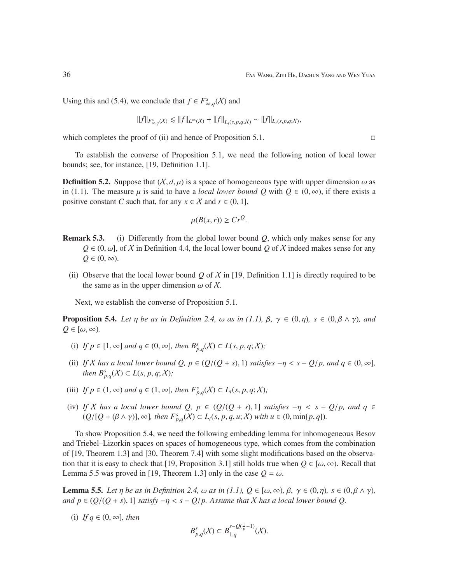Using this and (5.4), we conclude that  $f \in F^s_{\infty,q}(X)$  and

$$
\|f\|_{F^s_{\infty,q}(\mathcal X)}\lesssim \|f\|_{L^\infty(\mathcal X)}+\|f\|_{\dot L_t(s,p,q;\mathcal X)}\sim \|f\|_{L_t(s,p,q;\mathcal X)},
$$

which completes the proof of (ii) and hence of Proposition 5.1.  $\Box$ 

To establish the converse of Proposition 5.1, we need the following notion of local lower bounds; see, for instance, [19, Definition 1.1].

**Definition 5.2.** Suppose that  $(X, d, \mu)$  is a space of homogeneous type with upper dimension  $\omega$  as in (1.1). The measure  $\mu$  is said to have a *local lower bound Q* with  $Q \in (0, \infty)$ , if there exists a positive constant *C* such that, for any  $x \in \mathcal{X}$  and  $r \in (0, 1]$ ,

$$
\mu(B(x,r)) \ge Cr^Q.
$$

- Remark 5.3. (i) Differently from the global lower bound *Q*, which only makes sense for any  $Q \in (0, \omega]$ , of X in Definition 4.4, the local lower bound Q of X indeed makes sense for any  $Q \in (0, \infty)$ .
	- (ii) Observe that the local lower bound  $Q$  of  $X$  in [19, Definition 1.1] is directly required to be the same as in the upper dimension  $\omega$  of X.

Next, we establish the converse of Proposition 5.1.

**Proposition 5.4.** *Let*  $\eta$  *be as in Definition 2.4,*  $\omega$  *as in (1.1),*  $\beta$ ,  $\gamma \in (0, \eta)$ ,  $s \in (0, \beta \wedge \gamma)$ , and  $Q \in [\omega, \infty)$ .

- (i) *If*  $p \in [1, \infty]$  *and*  $q \in (0, \infty]$ *, then*  $B_{p,q}^{s}(\mathcal{X}) \subset L(s, p, q; \mathcal{X})$ *;*
- (ii) If X has a local lower bound Q,  $p \in (Q/(Q + s), 1)$  satisfies  $-\eta < s Q/p$ , and  $q \in (0, \infty)$ , *then*  $B_{p,q}^s(X) \subset L(s,p,q;X)$ ;
- (iii) *If*  $p \in (1, \infty)$  *and*  $q \in (1, \infty)$ *, then*  $F_{p,q}^s(X) \subset L_t(s, p, q; X)$ ;
- (iv) *If* X has a local lower bound Q,  $p \in (Q/(Q + s), 1]$  satisfies  $-\eta < s Q/p$ , and  $q \in$  $(Q/[Q + (\beta \wedge \gamma)], \infty]$ , then  $F^{s}_{p,q}(X) \subset L_{t}(s, p, q, u; X)$  with  $u \in (0, \min\{p, q\})$ .

To show Proposition 5.4, we need the following embedding lemma for inhomogeneous Besov and Triebel–Lizorkin spaces on spaces of homogeneous type, which comes from the combination of [19, Theorem 1.3] and [30, Theorem 7.4] with some slight modifications based on the observation that it is easy to check that [19, Proposition 3.1] still holds true when  $O \in [\omega, \infty)$ . Recall that Lemma 5.5 was proved in [19, Theorem 1.3] only in the case  $Q = \omega$ .

**Lemma 5.5.** *Let*  $\eta$  *be as in Definition 2.4,*  $\omega$  *as in* (1.1),  $Q \in [\omega, \infty)$ ,  $\beta$ ,  $\gamma \in (0, \eta)$ ,  $s \in (0, \beta \wedge \gamma)$ , *and*  $p \in (Q/(Q + s), 1]$  *satisfy*  $-\eta < s - Q/p$ *. Assume that* X *has a local lower bound* Q*.* 

(i) *If*  $q \in (0, \infty]$ *, then* 

$$
B_{p,q}^s(X) \subset B_{1,q}^{s-Q(\frac{1}{p}-1)}(X).
$$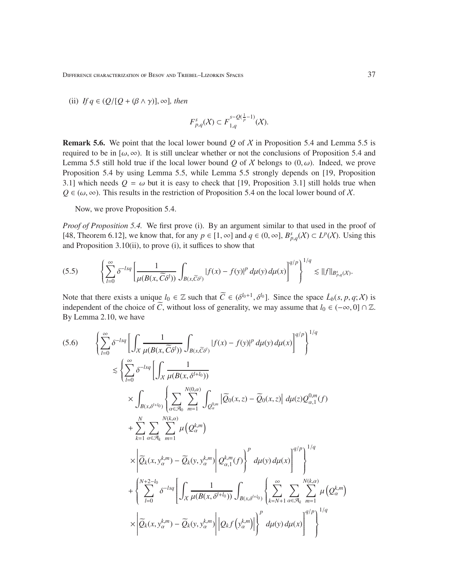(ii) *If q*  $\in$   $(Q/[Q + (\beta \wedge \gamma)], \infty]$ *, then* 

$$
F_{p,q}^s(X) \subset F_{1,q}^{s-Q(\frac{1}{p}-1)}(X).
$$

Remark 5.6. We point that the local lower bound *Q* of X in Proposition 5.4 and Lemma 5.5 is required to be in  $[\omega, \infty)$ . It is still unclear whether or not the conclusions of Proposition 5.4 and Lemma 5.5 still hold true if the local lower bound *Q* of  $\chi$  belongs to  $(0, \omega)$ . Indeed, we prove Proposition 5.4 by using Lemma 5.5, while Lemma 5.5 strongly depends on [19, Proposition 3.1] which needs  $Q = \omega$  but it is easy to check that [19, Proposition 3.1] still holds true when  $Q \in (\omega, \infty)$ . This results in the restriction of Proposition 5.4 on the local lower bound of X.

Now, we prove Proposition 5.4.

*Proof of Proposition 5.4.* We first prove (i). By an argument similar to that used in the proof of [48, Theorem 6.12], we know that, for any  $p \in [1, \infty]$  and  $q \in (0, \infty]$ ,  $B_{p,q}^s(\mathcal{X}) \subset L^p(\mathcal{X})$ . Using this and Proposition 3.10(ii), to prove (i), it suffices to show that

$$
(5.5) \qquad \left\{ \sum_{l=0}^{\infty} \delta^{-lsq} \left[ \frac{1}{\mu(B(x,\widetilde{C}\delta^{l}))} \int_{B(x,\widetilde{C}\delta^{l})} |f(x)-f(y)|^{p} d\mu(y) d\mu(x) \right]^{q/p} \right\}^{1/q} \lesssim ||f||_{B^{s}_{p,q}(X)}.
$$

Note that there exists a unique  $l_0 \in \mathbb{Z}$  such that  $\widetilde{C} \in (\delta^{l_0+1}, \delta^{l_0}]$ . Since the space  $\dot{L}_b(s, p, q; \chi)$  is independent of the choice of  $\tilde{C}$ , without loss of generality, we may assume that  $l_0 \in (-\infty, 0] \cap \mathbb{Z}$ . By Lemma 2.10, we have

$$
(5.6) \qquad \left\{ \sum_{l=0}^{\infty} \delta^{-lsq} \left[ \int_{\mathcal{X}} \frac{1}{\mu(B(x, \widetilde{C}\delta^{l}))} \int_{B(x, \widetilde{C}\delta^{l})} |f(x) - f(y)|^{p} d\mu(y) d\mu(x) \right]^{q/p} \right\}^{1/q}
$$
  
\n
$$
\leq \left\{ \sum_{l=0}^{\infty} \delta^{-lsq} \left[ \int_{\mathcal{X}} \frac{1}{\mu(B(x, \delta^{l+l_{0}}))} \right. \\ \times \int_{B(x, \delta^{l+l_{0}})} \left\{ \sum_{\alpha \in \mathcal{A}_{0}} \sum_{m=1}^{N(0, \alpha)} \int_{Q_{\alpha}^{0,m}} |\widetilde{Q}_{0}(x, z) - \widetilde{Q}_{0}(x, z)| d\mu(z) Q_{\alpha,1}^{0,m}(f) \right. \\ \left. + \sum_{k=1}^{N} \sum_{\alpha \in \mathcal{A}_{k}} \sum_{m=1}^{N(k, \alpha)} \mu(Q_{\alpha}^{k,m}) \right. \\ \times \left| \widetilde{Q}_{k}(x, y_{\alpha}^{k,m}) - \widetilde{Q}_{k}(y, y_{\alpha}^{k,m}) \right| Q_{\alpha,1}^{k,m}(f) \right\}^{p} d\mu(y) d\mu(x) \Big]^{q/p} \Bigg\}^{1/q}
$$
  
\n
$$
+ \left\{ \sum_{l=0}^{N+2-l_{0}} \delta^{-lsq} \left[ \int_{\mathcal{X}} \frac{1}{\mu(B(x, \delta^{l+l_{0}}))} \int_{B(x, \delta^{l+l_{0}})} \left\{ \sum_{k=N+1}^{\infty} \sum_{\alpha \in \mathcal{A}_{k}} \sum_{m=1}^{N(k, \alpha)} \mu(Q_{\alpha}^{k,m}) \right. \\ \times \left| \widetilde{Q}_{k}(x, y_{\alpha}^{k,m}) - \widetilde{Q}_{k}(y, y_{\alpha}^{k,m}) \right| \left| Q_{k} f(y_{\alpha}^{k,m}) \right| \right\}^{p} d\mu(y) d\mu(x) \Bigg]^{q/p} \Bigg\}^{1/q}
$$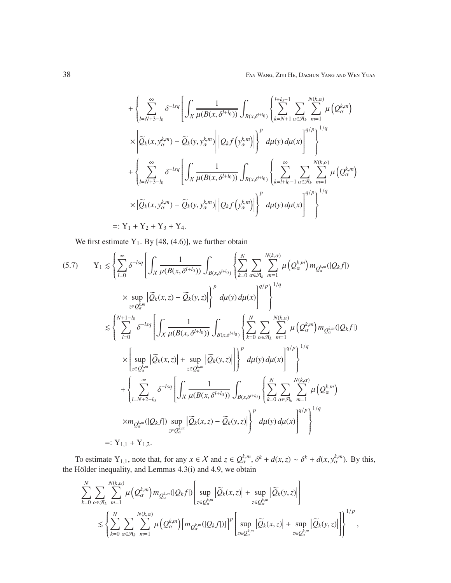$$
+ \left\{ \sum_{l=N+3-l_0}^{\infty} \delta^{-lsq} \left[ \int_X \frac{1}{\mu(B(x, \delta^{l+l_0}))} \int_{B(x, \delta^{l+l_0})} \left\{ \sum_{k=N+1}^{l+l_0-1} \sum_{\alpha \in \mathcal{A}_k} \sum_{m=1}^{N(k,\alpha)} \mu\left(Q_{\alpha}^{k,m}\right) \right. \right. \\ \times \left| \widetilde{Q}_k(x, y_{\alpha}^{k,m}) - \widetilde{Q}_k(y, y_{\alpha}^{k,m}) \right| \left| Q_k f\left(y_{\alpha}^{k,m}\right) \right| \right\}^p d\mu(y) d\mu(x) \Bigg]^{q/p} \Bigg\}^{1/q} \\ + \left\{ \sum_{l=N+3-l_0}^{\infty} \delta^{-lsq} \left[ \int_X \frac{1}{\mu(B(x, \delta^{l+l_0}))} \int_{B(x, \delta^{l+l_0})} \left\{ \sum_{k=l+l_0-1}^{\infty} \sum_{\alpha \in \mathcal{A}_k} \sum_{m=1}^{N(k,\alpha)} \mu\left(Q_{\alpha}^{k,m}\right) \right. \right. \\ \times \left| \widetilde{Q}_k(x, y_{\alpha}^{k,m}) - \widetilde{Q}_k(y, y_{\alpha}^{k,m}) \right| \left| Q_k f\left(y_{\alpha}^{k,m}\right) \right| \right\}^p d\mu(y) d\mu(x) \Bigg]^{q/p} \Bigg\}^{1/q} \\ =: Y_1 + Y_2 + Y_3 + Y_4.
$$

We first estimate  $Y_1$ . By [48, (4.6)], we further obtain

$$
(5.7) \quad Y_1 \leq \left\{ \sum_{l=0}^{\infty} \delta^{-lsq} \left[ \int_X \frac{1}{\mu(B(x, \delta^{l+l_0}))} \int_{B(x, \delta^{l+l_0})} \left\{ \sum_{k=0}^N \sum_{\alpha \in \mathcal{A}_k} \sum_{m=1}^{N(k,\alpha)} \mu\left(Q_{\alpha}^{k,m} \right) m_{Q_{\alpha}^{k,m}}(|Q_k f|) \right. \right. \\ \times \quad \text{sup} \left| \widetilde{Q}_k(x, z) - \widetilde{Q}_k(y, z) \right| \right\}^p d\mu(y) d\mu(x) \left\| \int^{q/p} \right\}^{1/q} \\ \leq \left\{ \sum_{l=0}^{N+1-l_0} \delta^{-lsq} \left[ \int_X \frac{1}{\mu(B(x, \delta^{l+l_0}))} \int_{B(x, \delta^{l+l_0})} \left\{ \sum_{k=0}^N \sum_{\alpha \in \mathcal{A}_k} \sum_{m=1}^{N(k,\alpha)} \mu\left(Q_{\alpha}^{k,m} \right) m_{Q_{\alpha}^{k,m}}(|Q_k f|) \right. \right. \\ \times \left[ \sup_{z \in Q_{\alpha}^{k,m}} \left| \widetilde{Q}_k(x, z) \right| + \sup_{z \in Q_{\alpha}^{k,m}} \left| \widetilde{Q}_k(y, z) \right| \right] \right\}^p d\mu(y) d\mu(x) \left\| \int^{q/p} \right\}^{1/q} \\ + \left\{ \sum_{l=N+2-l_0}^{\infty} \delta^{-lsq} \left[ \int_X \frac{1}{\mu(B(x, \delta^{l+l_0}))} \int_{B(x, \delta^{l+l_0})} \left\{ \sum_{k=0}^N \sum_{\alpha \in \mathcal{A}_k} \sum_{m=1}^{N(k,\alpha)} \mu\left(Q_{\alpha}^{k,m} \right) \right. \right. \\ \times m_{Q_{\alpha}^{k,m}}(|Q_k f|) \sup_{z \in Q_{\alpha}^{k,m}} \left| \widetilde{Q}_k(x, z) - \widetilde{Q}_k(y, z) \right| \right\}^p d\mu(y) d\mu(x) \left\| \int^{q/p} \right\}^{1/q} \\ =: Y_{1,1} + Y_{1,2}.
$$

To estimate Y<sub>1,1</sub>, note that, for any  $x \in \mathcal{X}$  and  $z \in Q_{\alpha}^{k,m}$ ,  $\delta^k + d(x, z) \sim \delta^k + d(x, y_{\alpha}^{k,m})$ . By this, the Hölder inequality, and Lemmas  $4.3(i)$  and  $4.9$ , we obtain

$$
\sum_{k=0}^N \sum_{\alpha \in \mathcal{A}_k} \sum_{m=1}^{N(k,\alpha)} \mu\left(Q_\alpha^{k,m}\right) m_{Q_\alpha^{k,m}}(|Q_k f|) \left[\sup_{z \in Q_\alpha^{k,m}} \left|\widetilde{Q}_k(x,z)\right| + \sup_{z \in Q_\alpha^{k,m}} \left|\widetilde{Q}_k(y,z)\right|\right] \n\lesssim \left\{\sum_{k=0}^N \sum_{\alpha \in \mathcal{A}_k} \sum_{m=1}^{N(k,\alpha)} \mu\left(Q_\alpha^{k,m}\right) \left[m_{Q_\alpha^{k,m}}(|Q_k f|) \right]^p \left[\sup_{z \in Q_\alpha^{k,m}} \left|\widetilde{Q}_k(x,z)\right| + \sup_{z \in Q_\alpha^{k,m}} \left|\widetilde{Q}_k(y,z)\right|\right] \right\}^{1/p},
$$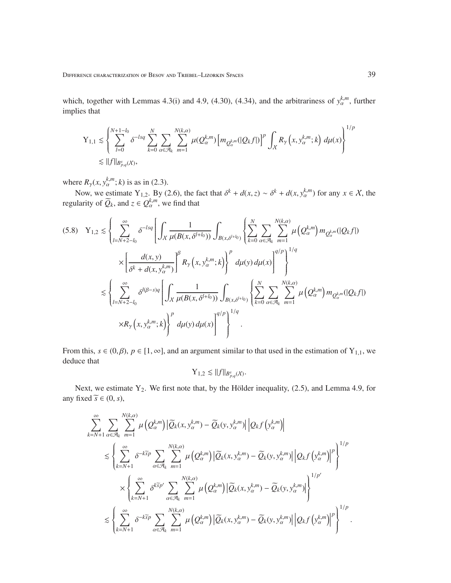which, together with Lemmas 4.3(i) and 4.9, (4.30), (4.34), and the arbitrariness of  $y_\alpha^{k,m}$ , further implies that

$$
Y_{1,1} \lesssim \left\{ \sum_{l=0}^{N+1-l_0} \delta^{-lsq} \sum_{k=0}^N \sum_{\alpha \in \mathcal{A}_k} \sum_{m=1}^{N(k,\alpha)} \mu(Q_\alpha^{k,m}) \left[ m_{Q_\alpha^{k,m}}(|Q_k f|) \right]^p \int_{\mathcal{X}} R_{\gamma}\left(x, y_{\alpha}^{k,m}; k\right) d\mu(x) \right\}^{1/p}
$$
  

$$
\lesssim ||f||_{B^s_{p,q}(\mathcal{X})},
$$

where  $R_{\gamma}(x, y_{\alpha}^{k,m}; k)$  is as in (2.3).

Now, we estimate Y<sub>1,2</sub>. By (2.6), the fact that  $\delta^k + d(x, z) \sim \delta^k + d(x, y_\alpha^{k,m})$  for any  $x \in \mathcal{X}$ , the regularity of  $\widetilde{Q}_k$ , and  $z \in Q_\alpha^{k,m}$ , we find that

$$
(5.8) \quad Y_{1,2} \leq \left\{ \sum_{l=N+2-l_0}^{\infty} \delta^{-lsq} \left[ \int_X \frac{1}{\mu(B(x,\delta^{l+l_0}))} \int_{B(x,\delta^{l+l_0})} \left\{ \sum_{k=0}^N \sum_{\alpha \in \mathcal{A}_k} \sum_{m=1}^{N(k,\alpha)} \mu\left(Q_{\alpha}^{k,m}\right) m_{Q_{\alpha}^{k,m}}(|Q_k f|) \right. \right. \\ \times \left. \left[ \frac{d(x,y)}{\delta^k + d(x,y_{\alpha}^{k,m})} \right]^\beta R_\gamma\left(x,y_{\alpha}^{k,m};k\right) \right\}^p d\mu(y) d\mu(x) \right\}^{q/p} \right\}^{1/q} \\ \leq \left\{ \sum_{l=N+2-l_0}^{\infty} \delta^{l(\beta-s)q} \left[ \int_X \frac{1}{\mu(B(x,\delta^{l+l_0}))} \int_{B(x,\delta^{l+l_0})} \left\{ \sum_{k=0}^N \sum_{\alpha \in \mathcal{A}_k} \sum_{m=1}^{N(k,\alpha)} \mu\left(Q_{\alpha}^{k,m}\right) m_{Q_{\alpha}^{k,m}}(|Q_k f|) \right. \right. \\ \times R_\gamma\left(x,y_{\alpha}^{k,m};k\right) \right\}^p d\mu(y) d\mu(x) \right\}^{q/p} .
$$

From this,  $s \in (0,\beta)$ ,  $p \in [1,\infty]$ , and an argument similar to that used in the estimation of Y<sub>1,1</sub>, we deduce that

$$
Y_{1,2} \lesssim ||f||_{B_{p,q}^s(X)}.
$$

Next, we estimate  $Y_2$ . We first note that, by the Hölder inequality, (2.5), and Lemma 4.9, for any fixed  $\widetilde{s} \in (0, s)$ ,

$$
\sum_{k=N+1}^{\infty} \sum_{\alpha \in \mathcal{A}_k}^{N(k,\alpha)} \mu\left(Q_{\alpha}^{k,m}\right) \left|\widetilde{Q}_k(x, y_{\alpha}^{k,m}) - \widetilde{Q}_k(y, y_{\alpha}^{k,m})\right| \left|Q_k f\left(y_{\alpha}^{k,m}\right)\right|
$$
\n
$$
\lesssim \left\{\sum_{k=N+1}^{\infty} \delta^{-k\widetilde{s}p} \sum_{\alpha \in \mathcal{A}_k} \sum_{m=1}^{N(k,\alpha)} \mu\left(Q_{\alpha}^{k,m}\right) \left|\widetilde{Q}_k(x, y_{\alpha}^{k,m}) - \widetilde{Q}_k(y, y_{\alpha}^{k,m})\right| \left|Q_k f\left(y_{\alpha}^{k,m}\right)\right|^{p}\right\}^{1/p}
$$
\n
$$
\times \left\{\sum_{k=N+1}^{\infty} \delta^{k\widetilde{s}p'} \sum_{\alpha \in \mathcal{A}_k} \sum_{m=1}^{N(k,\alpha)} \mu\left(Q_{\alpha}^{k,m}\right) \left|\widetilde{Q}_k(x, y_{\alpha}^{k,m}) - \widetilde{Q}_k(y, y_{\alpha}^{k,m})\right|\right\}^{1/p'}
$$
\n
$$
\lesssim \left\{\sum_{k=N+1}^{\infty} \delta^{-k\widetilde{s}p} \sum_{\alpha \in \mathcal{A}_k} \sum_{m=1}^{N(k,\alpha)} \mu\left(Q_{\alpha}^{k,m}\right) \left|\widetilde{Q}_k(x, y_{\alpha}^{k,m}) - \widetilde{Q}_k(y, y_{\alpha}^{k,m})\right| \left|Q_k f\left(y_{\alpha}^{k,m}\right)\right|^{p}\right\}^{1/p}
$$

.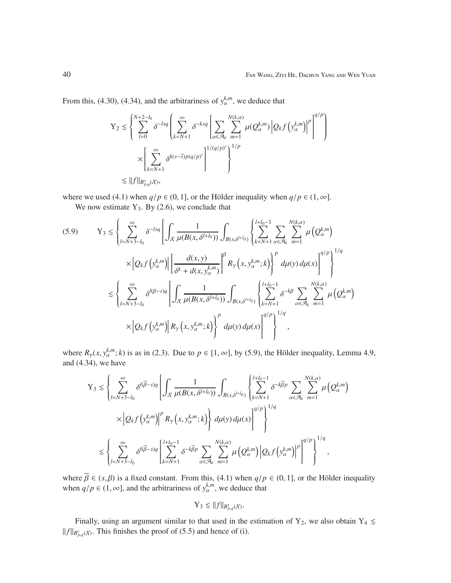From this, (4.30), (4.34), and the arbitrariness of  $y_\alpha^{k,m}$ , we deduce that

$$
\begin{split} \mathbf{Y}_2 &\lesssim \left\{ \sum_{l=0}^{N+2-l_0} \delta^{-lsq} \left( \sum_{k=N+1}^{\infty} \delta^{-ksq} \left[ \sum_{\alpha \in \mathcal{A}_k} \sum_{m=1}^{N(k,\alpha)} \mu(Q_{\alpha}^{k,m}) \left| Q_k f\left(\mathbf{y}_{\alpha}^{k,m}\right) \right|^p \right]^{q/p} \right\} \\ &\times \left[ \sum_{k=N+1}^{\infty} \delta^{k(s-\overline{s})p(q/p)'} \right]^{1/(q/p)'} \right\}^{1/p} \\ &\lesssim \|f\|_{\mathcal{B}^s_{p,q}(X)}, \end{split}
$$

where we used (4.1) when  $q/p \in (0, 1]$ , or the Hölder inequality when  $q/p \in (1, \infty]$ .

We now estimate  $Y_3$ . By (2.6), we conclude that

$$
(5.9) \tY_3 \leq \left\{ \sum_{l=N+3-l_0}^{\infty} \delta^{-lsq} \left[ \int_X \frac{1}{\mu(B(x, \delta^{l+l_0}))} \int_{B(x, \delta^{l+l_0})} \left\{ \sum_{k=N+1}^{l+l_0-1} \sum_{\alpha \in \mathcal{A}_k} \sum_{m=1}^{N(k, \alpha)} \mu\left(Q_{\alpha}^{k,m}\right) \right. \right. \\ \times \left| Q_k f\left(y_{\alpha}^{k,m}\right) \right| \left[ \frac{d(x, y)}{\delta^k + d(x, y_{\alpha}^{k,m})} \right]^\beta R_\gamma\left(x, y_{\alpha}^{k,m}; k\right) \right\}^p d\mu(y) d\mu(x) \right\}^{q/p} \right\}^{1/q}
$$

$$
\leq \left\{ \sum_{l=N+3-l_0}^{\infty} \delta^{l(\beta-s)q} \left[ \int_X \frac{1}{\mu(B(x, \delta^{l+l_0}))} \int_{B(x, \delta^{l+l_0})} \left\{ \sum_{k=N+1}^{l+l_0-1} \delta^{-k\beta} \sum_{\alpha \in \mathcal{A}_k} \sum_{m=1}^{N(k, \alpha)} \mu\left(Q_{\alpha}^{k,m}\right) \right. \right. \\ \times \left| Q_k f\left(y_{\alpha}^{k,m}\right) \right| R_\gamma\left(x, y_{\alpha}^{k,m}; k\right) \right\}^p d\mu(y) d\mu(x) \right\}^{q/p} \right\}^{1/q},
$$

where  $R_{\gamma}(x, y_{\alpha}^{k,m}; k)$  is as in (2.3). Due to  $p \in [1, \infty]$ , by (5.9), the Hölder inequality, Lemma 4.9, and (4.34), we have

$$
\begin{split} \mathbf{Y}_{3} &\lesssim \left\{\sum_{l=N+3-l_{0}}^{\infty}\delta^{l(\widetilde{\beta}-s)q}\left[\int_{\mathcal{X}}\frac{1}{\mu(B(x,\delta^{l+l_{0}}))}\int_{B(x,\delta^{l+l_{0}})}\left\{\sum_{k=N+1}^{l+l_{0}-1}\delta^{-k\widetilde{\beta}p}\sum_{\alpha\in\mathcal{A}_{k}}\sum_{m=1}^{N(k,\alpha)}\mu\left(Q_{\alpha}^{k,m}\right)\right.\\ &\left.\times\left|\mathcal{Q}_{k}f\left(\mathbf{y}_{\alpha}^{k,m}\right)\right|^{p}R_{\gamma}\left(x,\mathbf{y}_{\alpha}^{k,m};k\right)\right\}d\mu(\mathbf{y})\,d\mu(x)\right\}^{q/p}\right\}^{1/q} \\ &\lesssim \left\{\sum_{l=N+3-l_{0}}^{\infty}\delta^{l(\widetilde{\beta}-s)q}\left[\sum_{k=N+1}^{l+l_{0}-1}\delta^{-k\widetilde{\beta}p}\sum_{\alpha\in\mathcal{A}_{k}}\sum_{m=1}^{N(k,\alpha)}\mu\left(Q_{\alpha}^{k,m}\right)\left|\mathcal{Q}_{k}f\left(\mathbf{y}_{\alpha}^{k,m}\right)\right|^{p}\right]^{q/p}\right\}^{1/q}, \end{split}
$$

where  $\beta \in (s, \beta)$  is a fixed constant. From this, (4.1) when  $q/p \in (0, 1]$ , or the Hölder inequality when  $q/p \in (1, \infty]$ , and the arbitrariness of  $y_{\alpha}^{k,m}$ , we deduce that

$$
Y_3 \lesssim \|f\|_{B_{p,q}^s(\mathcal{X})}.
$$

Finally, using an argument similar to that used in the estimation of  $Y_2$ , we also obtain  $Y_4 \leq$  $||f||_{B_{p,q}^{s}(X)}$ . This finishes the proof of (5.5) and hence of (i).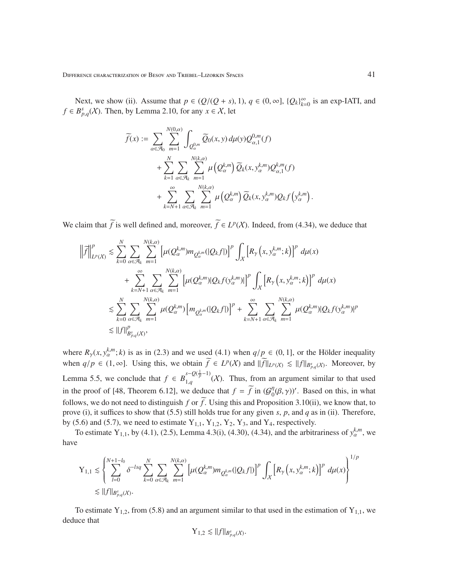Next, we show (ii). Assume that  $p \in (Q/(Q + s), 1), q \in (0, \infty], \{Q_k\}_{k=0}^{\infty}$  is an exp-IATI, and *f* ∈  $B_{p,q}^s(X)$ . Then, by Lemma 2.10, for any  $x \in X$ , let

$$
\widetilde{f}(x) := \sum_{\alpha \in \mathcal{A}_0} \sum_{m=1}^{N(0,\alpha)} \int_{Q_{\alpha}^{0,m}} \widetilde{Q}_0(x,y) d\mu(y) Q_{\alpha,1}^{0,m}(f) \n+ \sum_{k=1}^N \sum_{\alpha \in \mathcal{A}_k} \sum_{m=1}^{N(k,\alpha)} \mu(Q_{\alpha}^{k,m}) \widetilde{Q}_k(x,y_{\alpha}^{k,m}) Q_{\alpha,1}^{k,m}(f) \n+ \sum_{k=N+1}^{\infty} \sum_{\alpha \in \mathcal{A}_k} \sum_{m=1}^{N(k,\alpha)} \mu(Q_{\alpha}^{k,m}) \widetilde{Q}_k(x,y_{\alpha}^{k,m}) Q_k f(y_{\alpha}^{k,m}).
$$

We claim that  $\widetilde{f}$  is well defined and, moreover,  $\widetilde{f} \in L^p(X)$ . Indeed, from (4.34), we deduce that

$$
\begin{split} \left\|\widetilde{f}\right\|^{p}_{L^{p}(X)} &\lesssim \sum_{k=0}^{N}\sum_{\alpha\in\mathcal{A}_{k}}\sum_{m=1}^{N(k,\alpha)}\left[\mu(Q_{\alpha}^{k,m})m_{Q_{\alpha}^{k,m}}(|Q_{k}f|)\right]^{p}\int_{\mathcal{X}}\left[R_{\gamma}\left(x,y_{\alpha}^{k,m};k\right)\right]^{p}\,d\mu(x) \\ &+\sum_{k=N+1}^{\infty}\sum_{\alpha\in\mathcal{A}_{k}}\sum_{m=1}^{N(k,\alpha)}\left[\mu(Q_{\alpha}^{k,m})|Q_{k}f(y_{\alpha}^{k,m})|\right]^{p}\int_{\mathcal{X}}\left[R_{\gamma}\left(x,y_{\alpha}^{k,m};k\right)\right]^{p}\,d\mu(x) \\ &\lesssim \sum_{k=0}^{N}\sum_{\alpha\in\mathcal{A}_{k}}\sum_{m=1}^{N(k,\alpha)}\mu(Q_{\alpha}^{k,m})\left[m_{Q_{\alpha}^{k,m}}(|Q_{k}f|)\right]^{p}+\sum_{k=N+1}^{\infty}\sum_{\alpha\in\mathcal{A}_{k}}\sum_{m=1}^{N(k,\alpha)}\mu(Q_{\alpha}^{k,m})|Q_{k}f(y_{\alpha}^{k,m})|^{p} \\ &\lesssim \left\|f\right\|^{p}_{B^{s}_{p,q}(X)}.\end{split}
$$

where  $R_{\gamma}(x, y_{\alpha}^{k,m}; k)$  is as in (2.3) and we used (4.1) when  $q/p \in (0, 1]$ , or the Hölder inequality when  $q/p \in (1, \infty]$ . Using this, we obtain  $\widetilde{f} \in L^p(\mathcal{X})$  and  $\|\widetilde{f}\|_{L^p(\mathcal{X})} \leq \|f\|_{B_{p,q}^s(\mathcal{X})}$ . Moreover, by Lemma 5.5, we conclude that  $f \in B_{1a}^{s-Q(\frac{1}{p}-1)}$  $\int_{1,q}^{\infty}$  (X). Thus, from an argument similar to that used in the proof of [48, Theorem 6.12], we deduce that  $f = \tilde{f}$  in ( $G_0^{\eta}$  $\eta_0^{\eta}(\beta, \gamma)$ '. Based on this, in what follows, we do not need to distinguish  $f$  or  $\tilde{f}$ . Using this and Proposition 3.10(ii), we know that, to prove (i), it suffices to show that (5.5) still holds true for any given *s*, *p*, and *q* as in (ii). Therefore, by (5.6) and (5.7), we need to estimate  $Y_{1,1}$ ,  $Y_{1,2}$ ,  $Y_2$ ,  $Y_3$ , and  $Y_4$ , respectively.

To estimate Y<sub>1,1</sub>, by (4.1), (2.5), Lemma 4.3(i), (4.30), (4.34), and the arbitrariness of  $y_{\alpha}^{k,m}$ , we have

$$
\begin{split} \label{eq:Y_11} Y_{1,1} &\lesssim \left\{ \sum_{l=0}^{N+1-l_0} \delta^{-l s q} \sum_{k=0}^N \sum_{\alpha \in \mathcal{A}_k} \sum_{m=1}^{N(k,\alpha)} \left[ \mu(Q_\alpha^{k,m}) m_{Q_\alpha^{k,m}}(|Q_k f|) \right]^p \int_{\mathcal{X}} \left[ R_\gamma \left( x, y_\alpha^{k,m} ; k \right) \right]^p \, d\mu(x) \right\}^{1/p} \\ &\lesssim \| f \|_{B^s_{p,q}(\mathcal{X})}. \end{split}
$$

To estimate  $Y_{1,2}$ , from (5.8) and an argument similar to that used in the estimation of  $Y_{1,1}$ , we deduce that

$$
Y_{1,2} \lesssim ||f||_{B_{p,q}^s(\mathcal{X})}.
$$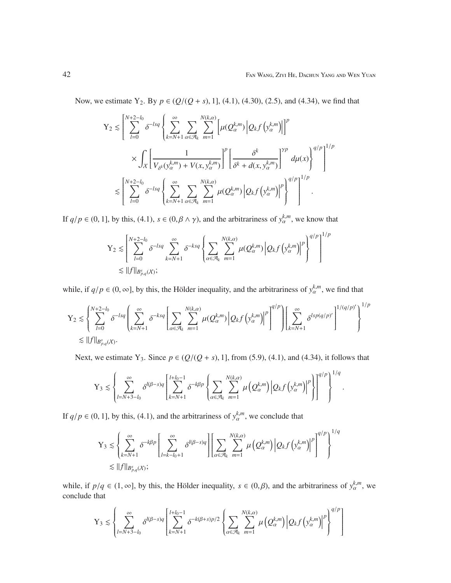1/*q*

Now, we estimate Y<sub>2</sub>. By  $p \in (Q/(Q + s), 1]$ , (4.1), (4.30), (2.5), and (4.34), we find that

$$
\begin{split} \mathbf{Y}_2 &\lesssim \left[ \sum_{l=0}^{N+2-l_0} \delta^{-lsq} \left\{ \sum_{k=N+1}^{\infty} \sum_{\alpha \in \mathcal{A}_k} \sum_{m=1}^{N(k,\alpha)} \left[ \mu(Q_{\alpha}^{k,m}) \left| Q_k f\left(\mathbf{y}_{\alpha}^{k,m}\right) \right| \right]^p \right. \\ & \times \int_{\mathcal{X}} \left[ \frac{1}{V_{\delta^k}(\mathbf{y}_{\alpha}^{k,m}) + V(x, \mathbf{y}_{\alpha}^{k,m})} \right]^p \left[ \frac{\delta^k}{\delta^k + d(x, \mathbf{y}_{\alpha}^{k,m})} \right]^{\gamma p} \left. d\mu(x) \right\}^{q/p} \right]^{1/p} \\ & \lesssim \left[ \sum_{l=0}^{N+2-l_0} \delta^{-lsq} \left\{ \sum_{k=N+1}^{\infty} \sum_{\alpha \in \mathcal{A}_k} \sum_{m=1}^{N(k,\alpha)} \mu(Q_{\alpha}^{k,m}) \left| Q_k f\left(\mathbf{y}_{\alpha}^{k,m}\right) \right|^p \right\}^{q/p} \right]^{1/p}. \end{split}
$$

If  $q/p \in (0, 1]$ , by this,  $(4.1)$ ,  $s \in (0, \beta \wedge \gamma)$ , and the arbitrariness of  $y_\alpha^{k,m}$ , we know that

$$
\begin{aligned} \mathbf{Y}_2 \lesssim & \left[ \sum_{l=0}^{N+2-l_0} \delta^{-lsq} \sum_{k=N+1}^{\infty} \delta^{-ksq} \left\{ \sum_{\alpha \in \mathcal{A}_k} \sum_{m=1}^{N(k,\alpha)} \mu(Q_\alpha^{k,m}) \left| Q_k f\left(y_\alpha^{k,m}\right) \right|^p \right\}^{q/p} \right]^{1/p} \\ \lesssim & \|f\|_{\mathcal{B}^s_{p,q}(X)}; \end{aligned}
$$

while, if  $q/p \in (0, \infty]$ , by this, the Hölder inequality, and the arbitrariness of  $y_\alpha^{k,m}$ , we find that

$$
\begin{split} \mathbf{Y}_2 &\lesssim \left\{ \sum_{l=0}^{N+2-l_0} \delta^{-lsq} \left( \sum_{k=N+1}^{\infty} \delta^{-ksq} \left[ \sum_{\alpha \in \mathcal{A}_k} \sum_{m=1}^{N(k,\alpha)} \mu(Q_\alpha^{k,m}) \left| Q_k f\left(y_\alpha^{k,m}\right) \right|^p \right]^{q/p} \right\} \left[ \sum_{k=N+1}^{\infty} \delta^{lsp(q/p)'} \right]^{1/(q/p)'} \right\}^{1/p} \\ &\lesssim ||f||_{B^s_{p,q}(\chi)}. \end{split}
$$

Next, we estimate Y<sub>3</sub>. Since  $p \in (Q/(Q + s), 1]$ , from (5.9), (4.1), and (4.34), it follows that

$$
Y_3 \lesssim \left\{ \sum_{l=N+3-l_0}^{\infty} \delta^{l(\beta-s)q} \left[ \sum_{k=N+1}^{l+l_0-1} \delta^{-k\beta p} \left\{ \sum_{\alpha \in \mathcal{A}_k} \sum_{m=1}^{N(k,\alpha)} \mu\left(Q_\alpha^{k,m}\right) \left| Q_k f\left(y_\alpha^{k,m}\right) \right|^p \right\} \right]^{1/q}.
$$

If  $q/p \in (0, 1]$ , by this, (4.1), and the arbitrariness of  $y_{\alpha}^{k,m}$ , we conclude that

$$
\begin{split} \mathbf{Y}_3 \lesssim & \left\{ \sum_{k=N+1}^\infty \delta^{-k\beta p} \left[ \sum_{l=k-l_0+1}^\infty \delta^{l(\beta-s)q} \right] \right| \sum_{\alpha \in \mathcal{A}_k} \sum_{m=1}^{N(k,\alpha)} \mu\left(Q_\alpha^{k,m}\right) \left| Q_k f\left(\mathbf{y}_\alpha^{k,m}\right) \right|^p \right\}^{q/p} \right\}^{1/q} \\ \lesssim & \left\|f \right\|_{B^s_{p,q}(\mathcal{X})}; \end{split}
$$

while, if  $p/q \in (1, \infty]$ , by this, the Hölder inequality,  $s \in (0, \beta)$ , and the arbitrariness of  $y_\alpha^{k,m}$ , we conclude that

$$
\label{eq:Y3} \mathbf{Y}_3 \lesssim \left\{ \sum_{l=N+3-l_0}^{\infty} \delta^{l(\beta-s)q} \left[ \sum_{k=N+1}^{l+l_0-1} \delta^{-k(\beta+s)p/2} \left\{ \sum_{\alpha \in \mathcal{A}_k} \sum_{m=1}^{N(k,\alpha)} \mu\left( Q_{\alpha}^{k,m} \right) \left| \mathcal{Q}_k f\left(\mathbf{y}_{\alpha}^{k,m}\right) \right|^p \right\}^{q/p} \right\}
$$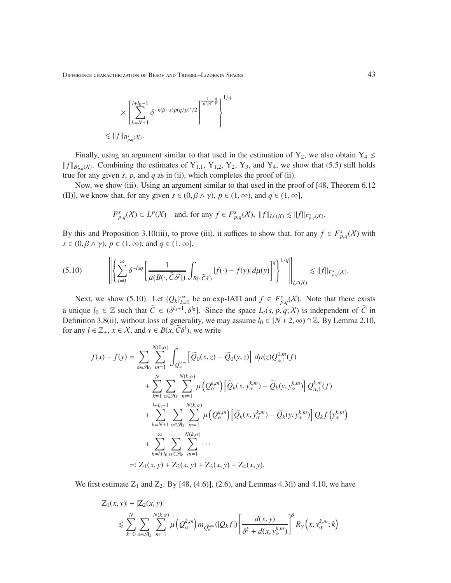$$
\times \left[ \sum_{k=N+1}^{l+l_0-1} \delta^{-k(\beta-s)p(q/p)'/2} \right]^{\frac{1}{(q/p)'}\frac{q}{p}} \right]^{1/q}
$$
  

$$
\lesssim ||f||_{B^s_{p,q}(\mathcal{X})}.
$$

Finally, using an argument similar to that used in the estimation of  $Y_2$ , we also obtain  $Y_4 \leq$  $||f||_{B_{p,q}^s(X)}$ . Combining the estimates of Y<sub>1,1</sub>, Y<sub>1,2</sub>, Y<sub>2</sub>, Y<sub>3</sub>, and Y<sub>4</sub>, we show that (5.5) still holds true for any given *s*, *p*, and *q* as in (ii), which completes the proof of (ii).

Now, we show (iii). Using an argument similar to that used in the proof of [48, Theorem 6.12 (II)], we know that, for any given  $s \in (0, \beta \wedge \gamma)$ ,  $p \in (1, \infty)$ , and  $q \in (1, \infty)$ ,

$$
F_{p,q}^s(\mathcal{X}) \subset L^p(\mathcal{X}) \quad \text{and, for any } f \in F_{p,q}^s(\mathcal{X}), \ ||f||_{L^p(\mathcal{X})} \lesssim ||f||_{F_{p,q}^s(\mathcal{X})}.
$$

By this and Proposition 3.10(iii), to prove (iii), it suffices to show that, for any  $f \in F^s_{p,q}(X)$  with  $s \in (0, \beta \wedge \gamma)$ ,  $p \in (1, \infty)$ , and  $q \in (1, \infty)$ ,

$$
(5.10) \qquad \left\| \left\{ \sum_{l=0}^{\infty} \delta^{-lsq} \left[ \frac{1}{\mu(B(\cdot,\widetilde{C}\delta^{l}))} \int_{B(\cdot,\widetilde{C}\delta^{l})} |f(\cdot)-f(y)| \, d\mu(y) \right]^q \right\}^{1/q} \right\|_{L^p(X)} \lesssim \|f\|_{F^s_{p,q}(X)}.
$$

Next, we show (5.10). Let  ${Q_k}_{k=0}^{\infty}$  be an exp-IATI and  $f \in F_{p,q}^s(\mathcal{X})$ . Note that there exists a unique  $l_0 \in \mathbb{Z}$  such that  $\widetilde{C} \in (\delta^{l_0+1}, \delta^{l_0}]$ . Since the space  $L_t(s, p, q; \chi)$  is independent of  $\widetilde{C}$  in Definition 3.8(ii), without loss of generality, we may assume  $l_0 \in [N+2, \infty) \cap \mathbb{Z}$ . By Lemma 2.10, for any  $l \in \mathbb{Z}_+$ ,  $x \in \mathcal{X}$ , and  $y \in B(x, \widetilde{C}\delta^l)$ , we write

$$
f(x) - f(y) = \sum_{\alpha \in \mathcal{A}_0} \sum_{m=1}^{N(0,\alpha)} \int_{Q_{\alpha}^{0,m}} \left[ \widetilde{Q}_0(x, z) - \widetilde{Q}_0(y, z) \right] d\mu(z) Q_{\alpha,1}^{0,m}(f) + \sum_{k=1}^N \sum_{\alpha \in \mathcal{A}_k} \sum_{m=1}^{N(k,\alpha)} \mu\left(Q_{\alpha}^{k,m}\right) \left[ \widetilde{Q}_k(x, y_{\alpha}^{k,m}) - \widetilde{Q}_k(y, y_{\alpha}^{k,m}) \right] Q_{\alpha,1}^{k,m}(f) + \sum_{k=N+1}^{l+l_0-1} \sum_{\alpha \in \mathcal{A}_k} \sum_{m=1}^{N(k,\alpha)} \mu\left(Q_{\alpha}^{k,m}\right) \left[ \widetilde{Q}_k(x, y_{\alpha}^{k,m}) - \widetilde{Q}_k(y, y_{\alpha}^{k,m}) \right] Q_k f\left(y_{\alpha}^{k,m}\right) + \sum_{k=l+l_0}^{\infty} \sum_{\alpha \in \mathcal{A}_k} \sum_{m=1}^{N(k,\alpha)} \cdots =: Z_1(x, y) + Z_2(x, y) + Z_3(x, y) + Z_4(x, y).
$$

We first estimate  $Z_1$  and  $Z_2$ . By [48, (4.6)], (2.6), and Lemmas 4.3(i) and 4.10, we have

$$
|Z_1(x,y)|+|Z_2(x,y)|
$$
  

$$
\lesssim \sum_{k=0}^N \sum_{\alpha \in \mathcal{A}_k} \sum_{m=1}^{N(k,\alpha)} \mu\left(Q_\alpha^{k,m}\right) m_{Q_\alpha^{k,m}}(|Q_k f|) \left[\frac{d(x,y)}{\delta^k+d(x,y_\alpha^{k,m})}\right]^\beta R_\gamma\left(x,y_\alpha^{k,m};k\right)
$$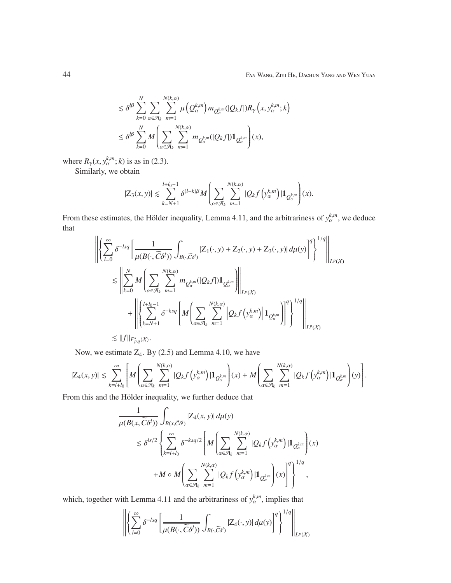$$
\leq \delta^{l\beta} \sum_{k=0}^N \sum_{\alpha \in \mathcal{A}_k} \sum_{m=1}^{N(k,\alpha)} \mu\left(Q_\alpha^{k,m}\right) m_{Q_\alpha^{k,m}}(|Q_k f|) R_\gamma\left(x, y_\alpha^{k,m}; k\right) \n\leq \delta^{l\beta} \sum_{k=0}^N M\left(\sum_{\alpha \in \mathcal{A}_k} \sum_{m=1}^{N(k,\alpha)} m_{Q_\alpha^{k,m}}(|Q_k f|) \mathbf{1}_{Q_\alpha^{k,m}}\right)(x),
$$

where  $R_{\gamma}(x, y_{\alpha}^{k,m}; k)$  is as in (2.3).

Similarly, we obtain

$$
|Z_3(x,y)| \lesssim \sum_{k=N+1}^{l+l_0-1} \delta^{(l-k)\beta} M\left(\sum_{\alpha \in \mathcal{A}_k} \sum_{m=1}^{N(k,\alpha)} |Q_k f\left(y_{\alpha}^{k,m}\right) | 1_{Q_{\alpha}^{k,m}}\right)(x).
$$

From these estimates, the Hölder inequality, Lemma 4.11, and the arbitrariness of  $y_\alpha^{k,m}$ , we deduce that

$$
\begin{split} &\left\|\left\{\sum_{l=0}^{\infty}\delta^{-l sq}\left[\frac{1}{\mu(B(\cdot,\widetilde{C}\delta^{l}))}\int_{B(\cdot,\widetilde{C}\delta^{l})}|Z_{1}(\cdot,y)+Z_{2}(\cdot,y)+Z_{3}(\cdot,y)|\,d\mu(y)\right]^{q}\right\}^{1/q}\right\|_{L^{p}(X)}\\ &\lesssim \left\|\sum_{k=0}^{N}M\left(\sum_{\alpha\in\mathcal{A}_{k}}\sum_{m=1}^{N(k,\alpha)}m_{Q_{\alpha}^{k,m}}(|Q_{k}f|){{\bf 1}}_{Q_{\alpha}^{k,m}}\right)\right\|_{L^{p}(X)}\\ &+\left\|\left\{\sum_{k=N+1}^{l+l_0-1}\delta^{-k sq}\left[M\left(\sum_{\alpha\in\mathcal{A}_{k}}\sum_{m=1}^{N(k,\alpha)}\left|Q_{k}f\left(y_{\alpha}^{k,m}\right)\right|{\bf 1}_{Q_{\alpha}^{k,m}}\right)\right]^{q}\right\}^{1/q}\right\|_{L^{p}(X)}\\ &\lesssim \|f\|_{F_{p,q}^{s}(X)}. \end{split}
$$

Now, we estimate  $Z_4$ . By (2.5) and Lemma 4.10, we have

$$
|Z_4(x,y)| \lesssim \sum_{k=l+l_0}^{\infty} \left[ M \left( \sum_{\alpha \in \mathcal{A}_k} \sum_{m=1}^{N(k,\alpha)} |Q_k f\left(y^{k,m}_{\alpha}\right) | 1_{Q_{\alpha}^{k,m}} \right) (x) + M \left( \sum_{\alpha \in \mathcal{A}_k} \sum_{m=1}^{N(k,\alpha)} |Q_k f\left(y^{k,m}_{\alpha}\right) | 1_{Q_{\alpha}^{k,m}} \right) (y) \right].
$$

From this and the Hölder inequality, we further deduce that

$$
\begin{aligned} &\frac{1}{\mu(B(x,\widetilde{C}\delta^{l}))}\int_{B(x,\widetilde{C}\delta^{l})} |Z_4(x,y)|\,d\mu(y)\\&\lesssim \delta^{ls/2}\left\{\sum_{k=l+l_0}^{\infty}\delta^{-ksq/2}\left[M\left(\sum_{\alpha\in\mathcal{A}_k}\sum_{m=1}^{N(k,\alpha)}|Q_k f\left(y_{\alpha}^{k,m}\right)|\mathbf{1}_{Q_{\alpha}^{k,m}}\right)(x)\right.\\&\left.\left.+M\circ M\left(\sum_{\alpha\in\mathcal{A}_k}\sum_{m=1}^{N(k,\alpha)}|Q_k f\left(y_{\alpha}^{k,m}\right)|\mathbf{1}_{Q_{\alpha}^{k,m}}\right)(x)\right]^{q}\right\}^{1/q}, \end{aligned}
$$

which, together with Lemma 4.11 and the arbitrariness of  $y_\alpha^{k,m}$ , implies that

$$
\left\| \left\{ \sum_{l=0}^{\infty} \delta^{-lsq} \left[ \frac{1}{\mu(B(\cdot,\widetilde{C}\delta^{l}))} \int_{B(\cdot,\widetilde{C}\delta^{l})} |Z_4(\cdot,y)| d\mu(y) \right]^q \right\}^{1/q} \right\|_{L^p(X)}
$$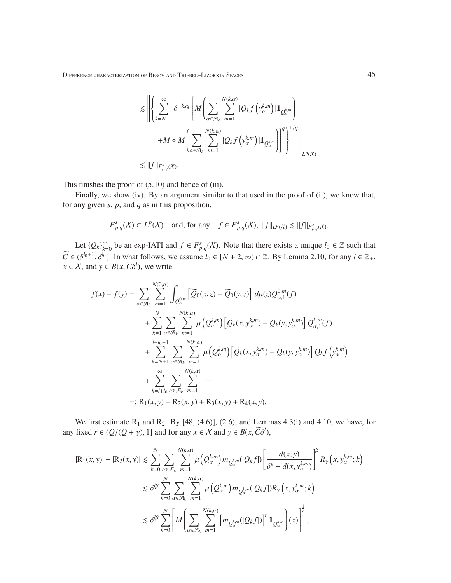$$
\leq \left\| \left\{ \sum_{k=N+1}^{\infty} \delta^{-ksq} \left[ M \left( \sum_{\alpha \in \mathcal{A}_k} \sum_{m=1}^{N(k,\alpha)} |Q_k f\left(\boldsymbol{y}_{\alpha}^{k,m}\right) | \mathbf{1}_{Q_{\alpha}^{k,m}} \right) \right. \right. \\ \left. + M \circ M \left( \sum_{\alpha \in \mathcal{A}_k} \sum_{m=1}^{N(k,\alpha)} |Q_k f\left(\boldsymbol{y}_{\alpha}^{k,m}\right) | \mathbf{1}_{Q_{\alpha}^{k,m}} \right) \right\}^q \right\}^{1/q} \right\|_{L^p(X)} \\ \lesssim ||f||_{F^s_{p,q}(X)}.
$$

This finishes the proof of (5.10) and hence of (iii).

Finally, we show (iv). By an argument similar to that used in the proof of (ii), we know that, for any given *s*, *p*, and *q* as in this proposition,

$$
F_{p,q}^s(X) \subset L^p(X)
$$
 and, for any  $f \in F_{p,q}^s(X)$ ,  $||f||_{L^p(X)} \lesssim ||f||_{F_{p,q}^s(X)}$ .

Let  ${Q_k}_{k=0}^{\infty}$  be an exp-IATI and  $f \in F^s_{p,q}(X)$ . Note that there exists a unique  $l_0 \in \mathbb{Z}$  such that  $\widetilde{C} \in (\delta^{l_0+1}, \delta^{l_0}]$ . In what follows, we assume  $l_0 \in [N+2, \infty) \cap \mathbb{Z}$ . By Lemma 2.10, for any  $l \in \mathbb{Z}_+$ ,  $x \in \mathcal{X}$ , and  $y \in B(x, \widetilde{C}\delta^l)$ , we write

$$
f(x) - f(y) = \sum_{\alpha \in \mathcal{A}_0} \sum_{m=1}^{N(0,\alpha)} \int_{Q_{\alpha}^{0,m}} \left[ \widetilde{Q}_0(x, z) - \widetilde{Q}_0(y, z) \right] d\mu(z) Q_{\alpha,1}^{0,m}(f) + \sum_{k=1}^{N} \sum_{\alpha \in \mathcal{A}_k} \sum_{m=1}^{N(k,\alpha)} \mu\left(Q_{\alpha}^{k,m}\right) \left[ \widetilde{Q}_k(x, y_{\alpha}^{k,m}) - \widetilde{Q}_k(y, y_{\alpha}^{k,m}) \right] Q_{\alpha,1}^{k,m}(f) + \sum_{k=N+1}^{l+l_0-1} \sum_{\alpha \in \mathcal{A}_k} \sum_{m=1}^{N(k,\alpha)} \mu\left(Q_{\alpha}^{k,m}\right) \left[ \widetilde{Q}_k(x, y_{\alpha}^{k,m}) - \widetilde{Q}_k(y, y_{\alpha}^{k,m}) \right] Q_k f\left(y_{\alpha}^{k,m}\right) + \sum_{k=l+l_0}^{\infty} \sum_{\alpha \in \mathcal{A}_k} \sum_{m=1}^{N(k,\alpha)} \cdots =: \mathbf{R}_1(x, y) + \mathbf{R}_2(x, y) + \mathbf{R}_3(x, y) + \mathbf{R}_4(x, y).
$$

We first estimate  $R_1$  and  $R_2$ . By [48, (4.6)], (2.6), and Lemmas 4.3(i) and 4.10, we have, for any fixed  $r \in (Q/(Q + \gamma), 1]$  and for any  $x \in \mathcal{X}$  and  $y \in B(x, \widetilde{C}\delta^l)$ ,

$$
\begin{aligned} |{\bf R}_1(x,y)|+|{\bf R}_2(x,y)|&\lesssim \sum_{k=0}^N \sum_{\alpha\in\mathcal{A}_k}\sum_{m=1}^{N(k,\alpha)}\mu\left(Q_\alpha^{k,m}\right)m_{Q_\alpha^{k,m}}(|Q_k f|)\left[\frac{d(x,y)}{\delta^k+d(x,y_\alpha^{k,m})}\right]^\beta R_\gamma\left(x,y_\alpha^{k,m};k\right)\\ &\lesssim \delta^{l\beta}\sum_{k=0}^N \sum_{\alpha\in\mathcal{A}_k}\sum_{m=1}^{N(k,\alpha)}\mu\left(Q_\alpha^{k,m}\right)m_{Q_\alpha^{k,m}}(|Q_k f|)R_\gamma\left(x,y_\alpha^{k,m};k\right)\\ &\lesssim \delta^{l\beta}\sum_{k=0}^N\left[M\left(\sum_{\alpha\in\mathcal{A}_k}\sum_{m=1}^{N(k,\alpha)}\left[m_{Q_\alpha^{k,m}}(|Q_k f|)\right]^r{\bf 1}_{Q_\alpha^{k,m}}\right)(x)\right]^\frac{1}{r}, \end{aligned}
$$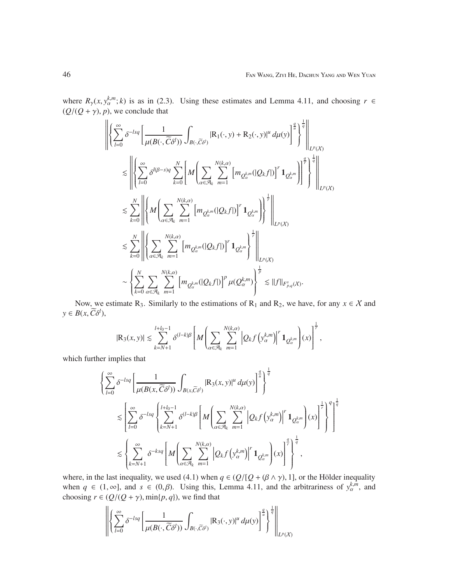where  $R_{\gamma}(x, y_{\alpha}^{k,m}; k)$  is as in (2.3). Using these estimates and Lemma 4.11, and choosing  $r \in$  $(Q/(Q + \gamma), p)$ , we conclude that

$$
\begin{split} &\left\|\left\{\sum_{l=0}^{\infty}\delta^{-l sq}\left[\frac{1}{\mu(B(\cdot,\widetilde{C}\delta^{l}))}\int_{B(\cdot,\widetilde{C}\delta^{l})}\left|R_{1}(\cdot,y)+R_{2}(\cdot,y)\right|^{u}d\mu(y)\right]^{\frac{q}{u}}\right\}^{\frac{1}{q}}\right\|_{L^{p}(X)}\\ &\lesssim \left\|\left\{\sum_{l=0}^{\infty}\delta^{l(\beta-s)q}\sum_{k=0}^{N}\left[M\left(\sum_{\alpha\in\mathcal{A}_{k}}\sum_{m=1}^{N(k,\alpha)}\left[m_{Q_{\alpha}^{k,m}}(|Q_{k}f|)\right]^{r}\mathbf{1}_{Q_{\alpha}^{k,m}}\right]\right]^{\frac{q}{q}}\right\}^{\frac{1}{q}}\right\|_{L^{p}(X)}\\ &\lesssim \sum_{k=0}^{N}\left\|\left\{M\left(\sum_{\alpha\in\mathcal{A}_{k}}\sum_{m=1}^{N(k,\alpha)}\left[m_{Q_{\alpha}^{k,m}}(|Q_{k}f|)\right]^{r}\mathbf{1}_{Q_{\alpha}^{k,m}}\right)\right\}^{\frac{1}{r}}\right\|_{L^{p}(X)}\\ &\lesssim \sum_{k=0}^{N}\left\|\left\{\sum_{\alpha\in\mathcal{A}_{k}}\sum_{m=1}^{N(k,\alpha)}\left[m_{Q_{\alpha}^{k,m}}(|Q_{k}f|)\right]^{r}\mathbf{1}_{Q_{\alpha}^{k,m}}\right\}^{\frac{1}{r}}\right\|_{L^{p}(X)}\\ &\sim \left\{\sum_{k=0}^{N}\sum_{\alpha\in\mathcal{A}_{k}}\sum_{m=1}^{N(k,\alpha)}\left[m_{Q_{\alpha}^{k,m}}(|Q_{k}f|)\right]^{p}\mu(Q_{\alpha}^{k,m})\right\}^{\frac{1}{p}}\lesssim ||f||_{F_{p,q}^{s}(X)}.\end{split}
$$

Now, we estimate R<sub>3</sub>. Similarly to the estimations of R<sub>1</sub> and R<sub>2</sub>, we have, for any  $x \in \mathcal{X}$  and  $y \in B(x, \widetilde{C}\delta^l),$ 

$$
|\mathbf{R}_3(x,y)|\lesssim \sum_{k=N+1}^{l+l_0-1}\delta^{(l-k)\beta}\left[M\left(\sum_{\alpha\in\mathcal{A}_k}\sum_{m=1}^{N(k,\alpha)}\left|\mathcal{Q}_kf\left(y_\alpha^{k,m}\right)\right|^{r}\mathbf{1}_{\mathcal{Q}_\alpha^{k,m}}\right)(x)\right]^{\frac{1}{r}},
$$

which further implies that

$$
\left\{\sum_{l=0}^{\infty} \delta^{-lsq} \left[\frac{1}{\mu(B(x,\widetilde{C}\delta^{l}))} \int_{B(x,\widetilde{C}\delta^{l})} |\mathbf{R}_{3}(x,y)|^{u} d\mu(y)\right]^{\frac{q}{u}}\right\}^{\frac{1}{q}} \n\lesssim \left[\sum_{l=0}^{\infty} \delta^{-lsq} \left\{\sum_{k=N+1}^{l+l_{0}-1} \delta^{(l-k)\beta} \left[M\left(\sum_{\alpha\in\mathcal{A}_{k}}\sum_{m=1}^{N(k,\alpha)} \left|\mathbf{Q}_{k}f\left(y_{\alpha}^{k,m}\right)\right|^{r} \mathbf{1}_{Q_{\alpha}^{k,m}}\right)(x)\right]^{\frac{1}{r}}\right\}^{q} \right\}^{\frac{1}{q}} \n\lesssim \left\{\sum_{k=N+1}^{\infty} \delta^{-ksq} \left[M\left(\sum_{\alpha\in\mathcal{A}_{k}}\sum_{m=1}^{N(k,\alpha)} \left|\mathbf{Q}_{k}f\left(y_{\alpha}^{k,m}\right)\right|^{r} \mathbf{1}_{Q_{\alpha}^{k,m}}\right)(x)\right]^{\frac{q}{r}}\right\}^{\frac{1}{q}},
$$

where, in the last inequality, we used (4.1) when  $q \in (Q/[Q + (\beta \wedge \gamma), 1]$ , or the Hölder inequality when  $q \in (1, \infty]$ , and  $s \in (0, \beta)$ . Using this, Lemma 4.11, and the arbitrariness of  $y_\alpha^{k,m}$ , and choosing  $r \in (Q/(Q + \gamma), \min\{p, q\})$ , we find that

$$
\left\| \left\{ \sum_{l=0}^{\infty} \delta^{-lsq} \left[ \frac{1}{\mu(B(\cdot,\widetilde{C}\delta^{l}))} \int_{B(\cdot,\widetilde{C}\delta^{l})} |R_3(\cdot,y)|^u d\mu(y) \right]^{\frac{q}{u}} \right\}^{\frac{1}{q}} \right\|_{L^p(X)}
$$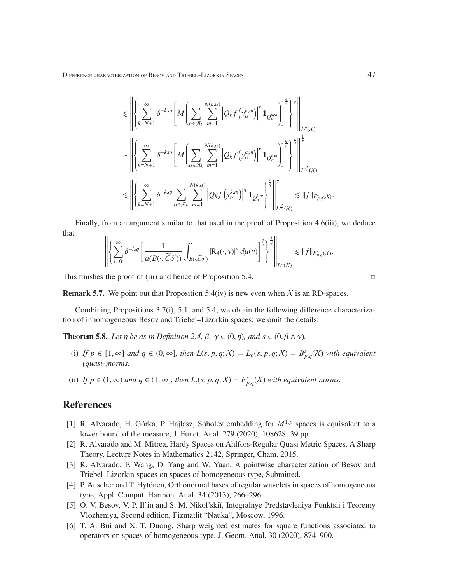$$
\lesssim \left\| \left\{ \sum_{k=N+1}^{\infty} \delta^{-ksq} \left[ M \left( \sum_{\alpha \in \mathcal{A}_k} \sum_{m=1}^{N(k,\alpha)} \left| Q_k f \left( y_{\alpha}^{k,m} \right) \right|^r \mathbf{1}_{Q_{\alpha}^{k,m}} \right) \right\}^{\frac{q}{r}} \right\}^{\frac{1}{q}} \right\|_{L^p(X)} \sim \left\| \left\{ \sum_{k=N+1}^{\infty} \delta^{-ksq} \left[ M \left( \sum_{\alpha \in \mathcal{A}_k} \sum_{m=1}^{N(k,\alpha)} \left| Q_k f \left( y_{\alpha}^{k,m} \right) \right|^r \mathbf{1}_{Q_{\alpha}^{k,m}} \right) \right\}^{\frac{q}{r}} \right\}^{\frac{1}{q}} \right\|_{L^p(X)} \approx \left\| \left\{ \sum_{k=N+1}^{\infty} \delta^{-ksq} \sum_{\alpha \in \mathcal{A}_k} \sum_{m=1}^{N(k,\alpha)} \left| Q_k f \left( y_{\alpha}^{k,m} \right) \right|^q \mathbf{1}_{Q_{\alpha}^{k,m}} \right\}^{\frac{r}{q}} \right\|_{L^p(X)}^{\frac{1}{r}} \lesssim ||f||_{F_{p,q}^s(X)}.
$$

Finally, from an argument similar to that used in the proof of Proposition 4.6(iii), we deduce that

$$
\left\|\left\{\sum_{l=0}^{\infty}\delta^{-l sq}\left[\frac{1}{\mu(B(\cdot,\widetilde{C}\delta^{l}))}\int_{B(\cdot,\widetilde{C}\delta^{l})}\left|R_4(\cdot,y)\right|^u d\mu(y)\right]^{\frac{q}{u}}\right\}^{\frac{1}{q}}\right\|_{L^p(X)}\lesssim \|f\|_{F^s_{p,q}(\mathcal{X})}.
$$

This finishes the proof of (iii) and hence of Proposition 5.4.  $\Box$ 

**Remark 5.7.** We point out that Proposition 5.4(iv) is new even when  $X$  is an RD-spaces.

Combining Propositions 3.7(i), 5.1, and 5.4, we obtain the following difference characterization of inhomogeneous Besov and Triebel–Lizorkin spaces; we omit the details.

**Theorem 5.8.** *Let*  $\eta$  *be as in Definition 2.4,*  $\beta$ ,  $\gamma \in (0, \eta)$ *, and*  $s \in (0, \beta \wedge \gamma)$ *.* 

- (i) If  $p \in [1, \infty]$  and  $q \in (0, \infty]$ , then  $L(s, p, q; \mathcal{X}) = L_b(s, p, q; \mathcal{X}) = B_{p,q}^s(\mathcal{X})$  with equivalent *(quasi-)norms.*
- (ii) If  $p \in (1, \infty)$  and  $q \in (1, \infty]$ , then  $L_t(s, p, q; \mathcal{X}) = F_{p,q}^s(\mathcal{X})$  with equivalent norms.

## References

- [1] R. Alvarado, H. Górka, P. Hajłasz, Sobolev embedding for  $M^{1,p}$  spaces is equivalent to a lower bound of the measure, J. Funct. Anal. 279 (2020), 108628, 39 pp.
- [2] R. Alvarado and M. Mitrea, Hardy Spaces on Ahlfors-Regular Quasi Metric Spaces. A Sharp Theory, Lecture Notes in Mathematics 2142, Springer, Cham, 2015.
- [3] R. Alvarado, F. Wang, D. Yang and W. Yuan, A pointwise characterization of Besov and Triebel–Lizorkin spaces on spaces of homogeneous type, Submitted.
- [4] P. Auscher and T. Hytönen, Orthonormal bases of regular wavelets in spaces of homogeneous type, Appl. Comput. Harmon. Anal. 34 (2013), 266–296.
- [5] O. V. Besov, V. P. Il'in and S. M. Nikol'skiĭ, Integralnye Predstavleniya Funktsii i Teoremy Vlozheniya, Second edition, Fizmatlit "Nauka", Moscow, 1996.
- [6] T. A. Bui and X. T. Duong, Sharp weighted estimates for square functions associated to operators on spaces of homogeneous type, J. Geom. Anal. 30 (2020), 874–900.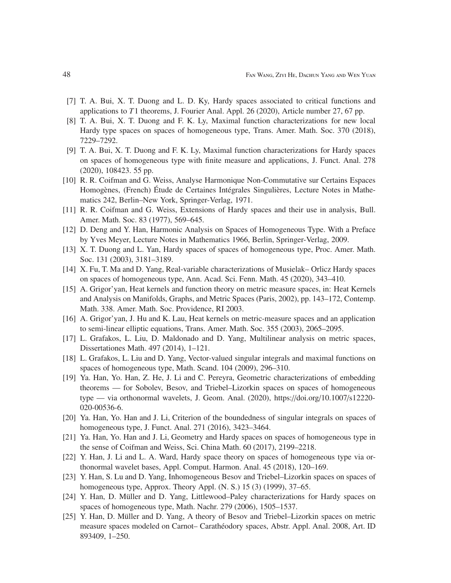- [7] T. A. Bui, X. T. Duong and L. D. Ky, Hardy spaces associated to critical functions and applications to *T*1 theorems, J. Fourier Anal. Appl. 26 (2020), Article number 27, 67 pp.
- [8] T. A. Bui, X. T. Duong and F. K. Ly, Maximal function characterizations for new local Hardy type spaces on spaces of homogeneous type, Trans. Amer. Math. Soc. 370 (2018), 7229–7292.
- [9] T. A. Bui, X. T. Duong and F. K. Ly, Maximal function characterizations for Hardy spaces on spaces of homogeneous type with finite measure and applications, J. Funct. Anal. 278 (2020), 108423. 55 pp.
- [10] R. R. Coifman and G. Weiss, Analyse Harmonique Non-Commutative sur Certains Espaces Homogènes, (French) Étude de Certaines Intégrales Singulières, Lecture Notes in Mathematics 242, Berlin–New York, Springer-Verlag, 1971.
- [11] R. R. Coifman and G. Weiss, Extensions of Hardy spaces and their use in analysis, Bull. Amer. Math. Soc. 83 (1977), 569–645.
- [12] D. Deng and Y. Han, Harmonic Analysis on Spaces of Homogeneous Type. With a Preface by Yves Meyer, Lecture Notes in Mathematics 1966, Berlin, Springer-Verlag, 2009.
- [13] X. T. Duong and L. Yan, Hardy spaces of spaces of homogeneous type, Proc. Amer. Math. Soc. 131 (2003), 3181–3189.
- [14] X. Fu, T. Ma and D. Yang, Real-variable characterizations of Musielak– Orlicz Hardy spaces on spaces of homogeneous type, Ann. Acad. Sci. Fenn. Math. 45 (2020), 343–410.
- [15] A. Grigor'yan, Heat kernels and function theory on metric measure spaces, in: Heat Kernels and Analysis on Manifolds, Graphs, and Metric Spaces (Paris, 2002), pp. 143–172, Contemp. Math. 338. Amer. Math. Soc. Providence, RI 2003.
- [16] A. Grigor'yan, J. Hu and K. Lau, Heat kernels on metric-measure spaces and an application to semi-linear elliptic equations, Trans. Amer. Math. Soc. 355 (2003), 2065–2095.
- [17] L. Grafakos, L. Liu, D. Maldonado and D. Yang, Multilinear analysis on metric spaces, Dissertationes Math. 497 (2014), 1–121.
- [18] L. Grafakos, L. Liu and D. Yang, Vector-valued singular integrals and maximal functions on spaces of homogeneous type, Math. Scand. 104 (2009), 296–310.
- [19] Ya. Han, Yo. Han, Z. He, J. Li and C. Pereyra, Geometric characterizations of embedding theorems — for Sobolev, Besov, and Triebel–Lizorkin spaces on spaces of homogeneous type — via orthonormal wavelets, J. Geom. Anal. (2020), https://doi.org/10.1007/s12220- 020-00536-6.
- [20] Ya. Han, Yo. Han and J. Li, Criterion of the boundedness of singular integrals on spaces of homogeneous type, J. Funct. Anal. 271 (2016), 3423–3464.
- [21] Ya. Han, Yo. Han and J. Li, Geometry and Hardy spaces on spaces of homogeneous type in the sense of Coifman and Weiss, Sci. China Math. 60 (2017), 2199–2218.
- [22] Y. Han, J. Li and L. A. Ward, Hardy space theory on spaces of homogeneous type via orthonormal wavelet bases, Appl. Comput. Harmon. Anal. 45 (2018), 120–169.
- [23] Y. Han, S. Lu and D. Yang, Inhomogeneous Besov and Triebel–Lizorkin spaces on spaces of homogeneous type, Approx. Theory Appl. (N. S.) 15 (3) (1999), 37–65.
- [24] Y. Han, D. Müller and D. Yang, Littlewood–Paley characterizations for Hardy spaces on spaces of homogeneous type, Math. Nachr. 279 (2006), 1505–1537.
- [25] Y. Han, D. Müller and D. Yang, A theory of Besov and Triebel–Lizorkin spaces on metric measure spaces modeled on Carnot– Carathéodory spaces, Abstr. Appl. Anal. 2008, Art. ID 893409, 1–250.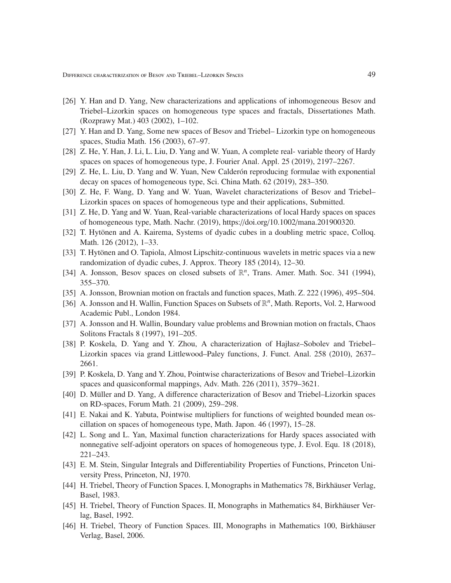- [26] Y. Han and D. Yang, New characterizations and applications of inhomogeneous Besov and Triebel–Lizorkin spaces on homogeneous type spaces and fractals, Dissertationes Math. (Rozprawy Mat.) 403 (2002), 1–102.
- [27] Y. Han and D. Yang, Some new spaces of Besov and Triebel– Lizorkin type on homogeneous spaces, Studia Math. 156 (2003), 67–97.
- [28] Z. He, Y. Han, J. Li, L. Liu, D. Yang and W. Yuan, A complete real- variable theory of Hardy spaces on spaces of homogeneous type, J. Fourier Anal. Appl. 25 (2019), 2197–2267.
- [29] Z. He, L. Liu, D. Yang and W. Yuan, New Calder on reproducing formulae with exponential decay on spaces of homogeneous type, Sci. China Math. 62 (2019), 283–350.
- [30] Z. He, F. Wang, D. Yang and W. Yuan, Wavelet characterizations of Besov and Triebel– Lizorkin spaces on spaces of homogeneous type and their applications, Submitted.
- [31] Z. He, D. Yang and W. Yuan, Real-variable characterizations of local Hardy spaces on spaces of homogeneous type, Math. Nachr. (2019), https://doi.org/10.1002/mana.201900320.
- [32] T. Hytönen and A. Kairema, Systems of dyadic cubes in a doubling metric space, Colloq. Math. 126 (2012), 1–33.
- [33] T. Hytönen and O. Tapiola, Almost Lipschitz-continuous wavelets in metric spaces via a new randomization of dyadic cubes, J. Approx. Theory 185 (2014), 12–30.
- [34] A. Jonsson, Besov spaces on closed subsets of  $\mathbb{R}^n$ , Trans. Amer. Math. Soc. 341 (1994), 355–370.
- [35] A. Jonsson, Brownian motion on fractals and function spaces, Math. Z. 222 (1996), 495–504.
- [36] A. Jonsson and H. Wallin, Function Spaces on Subsets of  $\mathbb{R}^n$ , Math. Reports, Vol. 2, Harwood Academic Publ., London 1984.
- [37] A. Jonsson and H. Wallin, Boundary value problems and Brownian motion on fractals, Chaos Solitons Fractals 8 (1997), 191–205.
- [38] P. Koskela, D. Yang and Y. Zhou, A characterization of Hajłasz–Sobolev and Triebel– Lizorkin spaces via grand Littlewood–Paley functions, J. Funct. Anal. 258 (2010), 2637– 2661.
- [39] P. Koskela, D. Yang and Y. Zhou, Pointwise characterizations of Besov and Triebel–Lizorkin spaces and quasiconformal mappings, Adv. Math. 226 (2011), 3579–3621.
- [40] D. Müller and D. Yang, A difference characterization of Besov and Triebel–Lizorkin spaces on RD-spaces, Forum Math. 21 (2009), 259–298.
- [41] E. Nakai and K. Yabuta, Pointwise multipliers for functions of weighted bounded mean oscillation on spaces of homogeneous type, Math. Japon. 46 (1997), 15–28.
- [42] L. Song and L. Yan, Maximal function characterizations for Hardy spaces associated with nonnegative self-adjoint operators on spaces of homogeneous type, J. Evol. Equ. 18 (2018), 221–243.
- [43] E. M. Stein, Singular Integrals and Differentiability Properties of Functions, Princeton University Press, Princeton, NJ, 1970.
- [44] H. Triebel, Theory of Function Spaces. I, Monographs in Mathematics 78, Birkhäuser Verlag, Basel, 1983.
- [45] H. Triebel, Theory of Function Spaces. II, Monographs in Mathematics 84, Birkhäuser Verlag, Basel, 1992.
- [46] H. Triebel, Theory of Function Spaces. III, Monographs in Mathematics 100, Birkhäuser Verlag, Basel, 2006.